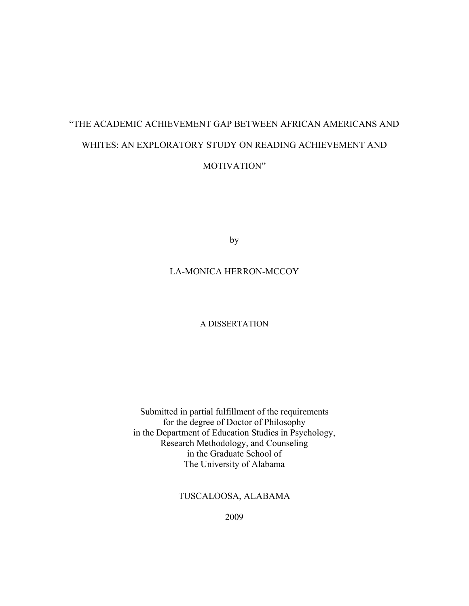# "THE ACADEMIC ACHIEVEMENT GAP BETWEEN AFRICAN AMERICANS AND WHITES: AN EXPLORATORY STUDY ON READING ACHIEVEMENT AND MOTIVATION"

by

# LA-MONICA HERRON-MCCOY

# A DISSERTATION

Submitted in partial fulfillment of the requirements for the degree of Doctor of Philosophy in the Department of Education Studies in Psychology, Research Methodology, and Counseling in the Graduate School of The University of Alabama

TUSCALOOSA, ALABAMA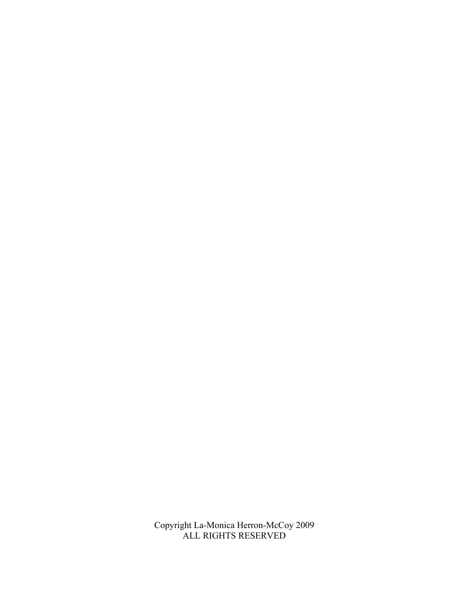Copyright La-Monica Herron-McCoy 2009 ALL RIGHTS RESERVED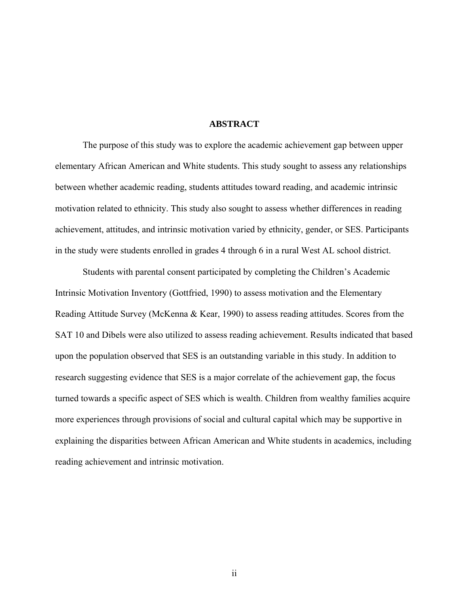### **ABSTRACT**

The purpose of this study was to explore the academic achievement gap between upper elementary African American and White students. This study sought to assess any relationships between whether academic reading, students attitudes toward reading, and academic intrinsic motivation related to ethnicity. This study also sought to assess whether differences in reading achievement, attitudes, and intrinsic motivation varied by ethnicity, gender, or SES. Participants in the study were students enrolled in grades 4 through 6 in a rural West AL school district.

Students with parental consent participated by completing the Children's Academic Intrinsic Motivation Inventory (Gottfried, 1990) to assess motivation and the Elementary Reading Attitude Survey (McKenna & Kear, 1990) to assess reading attitudes. Scores from the SAT 10 and Dibels were also utilized to assess reading achievement. Results indicated that based upon the population observed that SES is an outstanding variable in this study. In addition to research suggesting evidence that SES is a major correlate of the achievement gap, the focus turned towards a specific aspect of SES which is wealth. Children from wealthy families acquire more experiences through provisions of social and cultural capital which may be supportive in explaining the disparities between African American and White students in academics, including reading achievement and intrinsic motivation.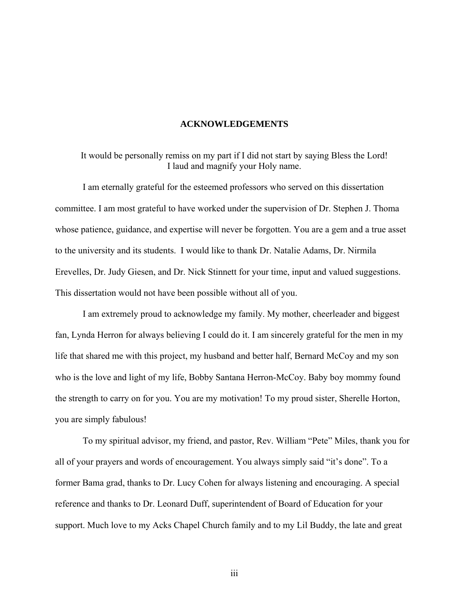# **ACKNOWLEDGEMENTS**

It would be personally remiss on my part if I did not start by saying Bless the Lord! I laud and magnify your Holy name.

I am eternally grateful for the esteemed professors who served on this dissertation committee. I am most grateful to have worked under the supervision of Dr. Stephen J. Thoma whose patience, guidance, and expertise will never be forgotten. You are a gem and a true asset to the university and its students. I would like to thank Dr. Natalie Adams, Dr. Nirmila Erevelles, Dr. Judy Giesen, and Dr. Nick Stinnett for your time, input and valued suggestions. This dissertation would not have been possible without all of you.

I am extremely proud to acknowledge my family. My mother, cheerleader and biggest fan, Lynda Herron for always believing I could do it. I am sincerely grateful for the men in my life that shared me with this project, my husband and better half, Bernard McCoy and my son who is the love and light of my life, Bobby Santana Herron-McCoy. Baby boy mommy found the strength to carry on for you. You are my motivation! To my proud sister, Sherelle Horton, you are simply fabulous!

To my spiritual advisor, my friend, and pastor, Rev. William "Pete" Miles, thank you for all of your prayers and words of encouragement. You always simply said "it's done". To a former Bama grad, thanks to Dr. Lucy Cohen for always listening and encouraging. A special reference and thanks to Dr. Leonard Duff, superintendent of Board of Education for your support. Much love to my Acks Chapel Church family and to my Lil Buddy, the late and great

iii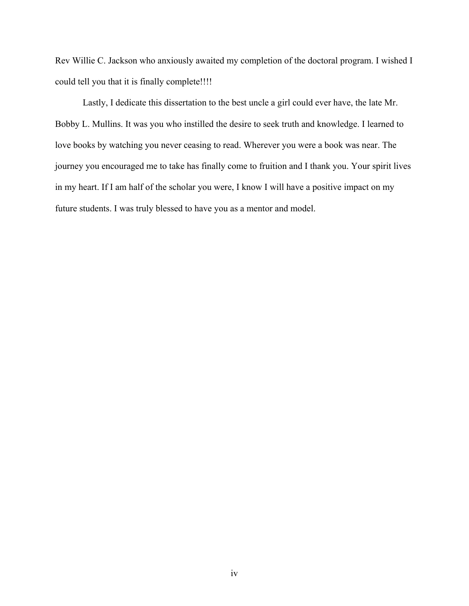Rev Willie C. Jackson who anxiously awaited my completion of the doctoral program. I wished I could tell you that it is finally complete!!!!

Lastly, I dedicate this dissertation to the best uncle a girl could ever have, the late Mr. Bobby L. Mullins. It was you who instilled the desire to seek truth and knowledge. I learned to love books by watching you never ceasing to read. Wherever you were a book was near. The journey you encouraged me to take has finally come to fruition and I thank you. Your spirit lives in my heart. If I am half of the scholar you were, I know I will have a positive impact on my future students. I was truly blessed to have you as a mentor and model.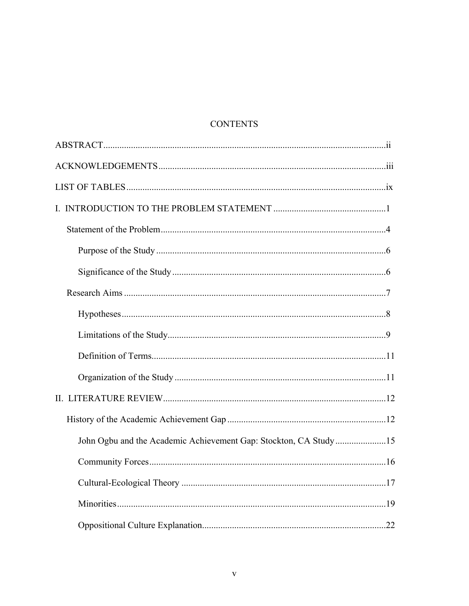# **CONTENTS**

| John Ogbu and the Academic Achievement Gap: Stockton, CA Study15 |  |
|------------------------------------------------------------------|--|
|                                                                  |  |
|                                                                  |  |
|                                                                  |  |
|                                                                  |  |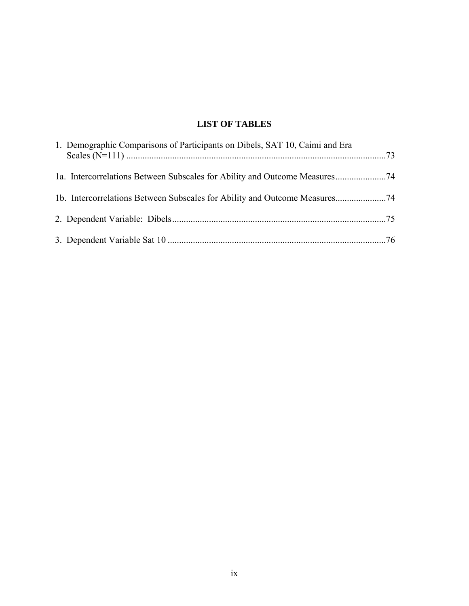# **LIST OF TABLES**

| 1. Demographic Comparisons of Participants on Dibels, SAT 10, Caimi and Era |  |
|-----------------------------------------------------------------------------|--|
|                                                                             |  |
|                                                                             |  |
|                                                                             |  |
|                                                                             |  |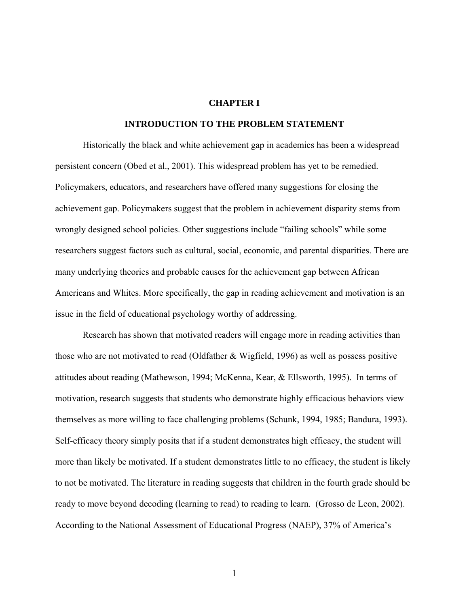# **CHAPTER I**

#### **INTRODUCTION TO THE PROBLEM STATEMENT**

Historically the black and white achievement gap in academics has been a widespread persistent concern (Obed et al., 2001). This widespread problem has yet to be remedied. Policymakers, educators, and researchers have offered many suggestions for closing the achievement gap. Policymakers suggest that the problem in achievement disparity stems from wrongly designed school policies. Other suggestions include "failing schools" while some researchers suggest factors such as cultural, social, economic, and parental disparities. There are many underlying theories and probable causes for the achievement gap between African Americans and Whites. More specifically, the gap in reading achievement and motivation is an issue in the field of educational psychology worthy of addressing.

Research has shown that motivated readers will engage more in reading activities than those who are not motivated to read (Oldfather & Wigfield, 1996) as well as possess positive attitudes about reading (Mathewson, 1994; McKenna, Kear, & Ellsworth, 1995).In terms of motivation, research suggests that students who demonstrate highly efficacious behaviors view themselves as more willing to face challenging problems (Schunk, 1994, 1985; Bandura, 1993). Self-efficacy theory simply posits that if a student demonstrates high efficacy, the student will more than likely be motivated. If a student demonstrates little to no efficacy, the student is likely to not be motivated. The literature in reading suggests that children in the fourth grade should be ready to move beyond decoding (learning to read) to reading to learn. (Grosso de Leon, 2002). According to the National Assessment of Educational Progress (NAEP), 37% of America's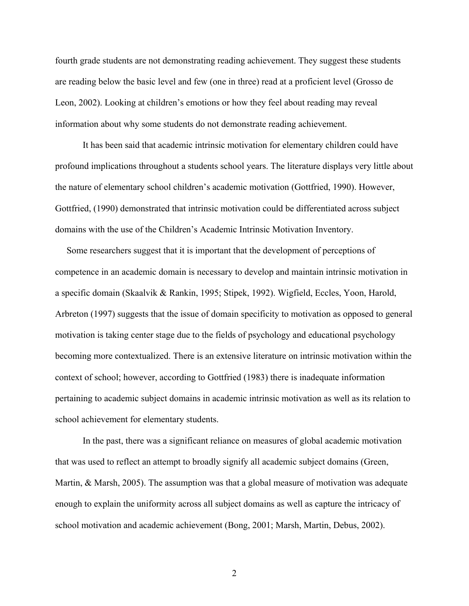fourth grade students are not demonstrating reading achievement. They suggest these students are reading below the basic level and few (one in three) read at a proficient level (Grosso de Leon, 2002). Looking at children's emotions or how they feel about reading may reveal information about why some students do not demonstrate reading achievement.

It has been said that academic intrinsic motivation for elementary children could have profound implications throughout a students school years. The literature displays very little about the nature of elementary school children's academic motivation (Gottfried, 1990). However, Gottfried, (1990) demonstrated that intrinsic motivation could be differentiated across subject domains with the use of the Children's Academic Intrinsic Motivation Inventory.

 Some researchers suggest that it is important that the development of perceptions of competence in an academic domain is necessary to develop and maintain intrinsic motivation in a specific domain (Skaalvik & Rankin, 1995; Stipek, 1992). Wigfield, Eccles, Yoon, Harold, Arbreton (1997) suggests that the issue of domain specificity to motivation as opposed to general motivation is taking center stage due to the fields of psychology and educational psychology becoming more contextualized. There is an extensive literature on intrinsic motivation within the context of school; however, according to Gottfried (1983) there is inadequate information pertaining to academic subject domains in academic intrinsic motivation as well as its relation to school achievement for elementary students.

In the past, there was a significant reliance on measures of global academic motivation that was used to reflect an attempt to broadly signify all academic subject domains (Green, Martin, & Marsh, 2005). The assumption was that a global measure of motivation was adequate enough to explain the uniformity across all subject domains as well as capture the intricacy of school motivation and academic achievement (Bong, 2001; Marsh, Martin, Debus, 2002).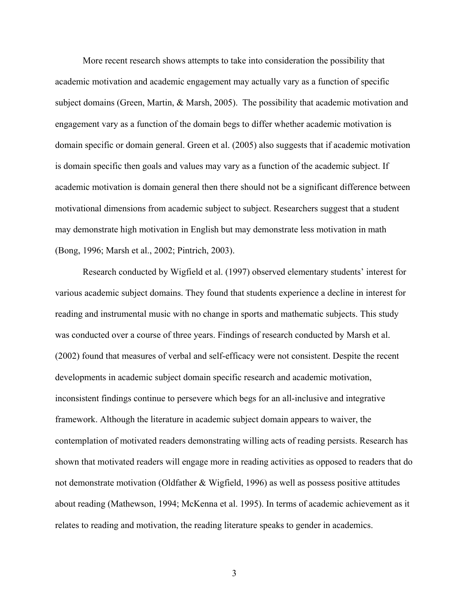More recent research shows attempts to take into consideration the possibility that academic motivation and academic engagement may actually vary as a function of specific subject domains (Green, Martin, & Marsh, 2005). The possibility that academic motivation and engagement vary as a function of the domain begs to differ whether academic motivation is domain specific or domain general. Green et al. (2005) also suggests that if academic motivation is domain specific then goals and values may vary as a function of the academic subject. If academic motivation is domain general then there should not be a significant difference between motivational dimensions from academic subject to subject. Researchers suggest that a student may demonstrate high motivation in English but may demonstrate less motivation in math (Bong, 1996; Marsh et al., 2002; Pintrich, 2003).

Research conducted by Wigfield et al. (1997) observed elementary students' interest for various academic subject domains. They found that students experience a decline in interest for reading and instrumental music with no change in sports and mathematic subjects. This study was conducted over a course of three years. Findings of research conducted by Marsh et al. (2002) found that measures of verbal and self-efficacy were not consistent. Despite the recent developments in academic subject domain specific research and academic motivation, inconsistent findings continue to persevere which begs for an all-inclusive and integrative framework. Although the literature in academic subject domain appears to waiver, the contemplation of motivated readers demonstrating willing acts of reading persists. Research has shown that motivated readers will engage more in reading activities as opposed to readers that do not demonstrate motivation (Oldfather & Wigfield, 1996) as well as possess positive attitudes about reading (Mathewson, 1994; McKenna et al. 1995). In terms of academic achievement as it relates to reading and motivation, the reading literature speaks to gender in academics.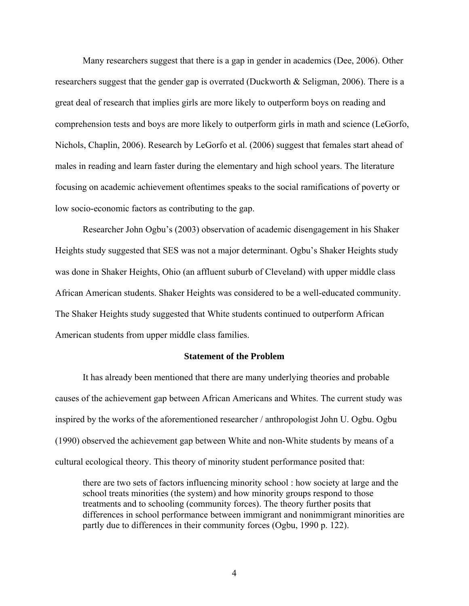Many researchers suggest that there is a gap in gender in academics (Dee, 2006). Other researchers suggest that the gender gap is overrated (Duckworth & Seligman, 2006). There is a great deal of research that implies girls are more likely to outperform boys on reading and comprehension tests and boys are more likely to outperform girls in math and science (LeGorfo, Nichols, Chaplin, 2006). Research by LeGorfo et al. (2006) suggest that females start ahead of males in reading and learn faster during the elementary and high school years. The literature focusing on academic achievement oftentimes speaks to the social ramifications of poverty or low socio-economic factors as contributing to the gap.

Researcher John Ogbu's (2003) observation of academic disengagement in his Shaker Heights study suggested that SES was not a major determinant. Ogbu's Shaker Heights study was done in Shaker Heights, Ohio (an affluent suburb of Cleveland) with upper middle class African American students. Shaker Heights was considered to be a well-educated community. The Shaker Heights study suggested that White students continued to outperform African American students from upper middle class families.

#### **Statement of the Problem**

It has already been mentioned that there are many underlying theories and probable causes of the achievement gap between African Americans and Whites. The current study was inspired by the works of the aforementioned researcher / anthropologist John U. Ogbu. Ogbu (1990) observed the achievement gap between White and non-White students by means of a cultural ecological theory. This theory of minority student performance posited that:

there are two sets of factors influencing minority school : how society at large and the school treats minorities (the system) and how minority groups respond to those treatments and to schooling (community forces). The theory further posits that differences in school performance between immigrant and nonimmigrant minorities are partly due to differences in their community forces (Ogbu, 1990 p. 122).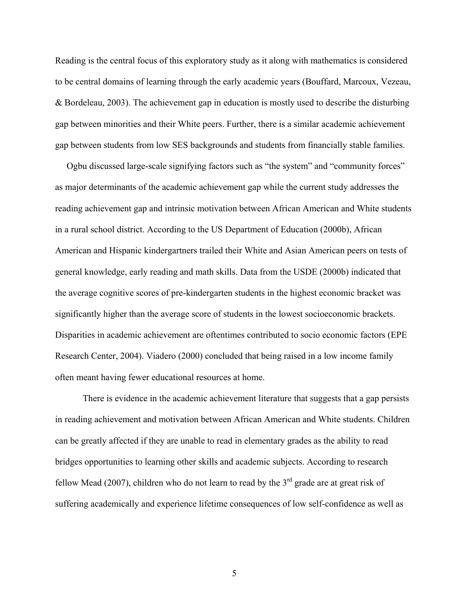Reading is the central focus of this exploratory study as it along with mathematics is considered to be central domains of learning through the early academic years (Bouffard, Marcoux, Vezeau, & Bordeleau, 2003). The achievement gap in education is mostly used to describe the disturbing gap between minorities and their White peers. Further, there is a similar academic achievement gap between students from low SES backgrounds and students from financially stable families.

 Ogbu discussed large-scale signifying factors such as "the system" and "community forces" as major determinants of the academic achievement gap while the current study addresses the reading achievement gap and intrinsic motivation between African American and White students in a rural school district. According to the US Department of Education (2000b), African American and Hispanic kindergartners trailed their White and Asian American peers on tests of general knowledge, early reading and math skills. Data from the USDE (2000b) indicated that the average cognitive scores of pre-kindergarten students in the highest economic bracket was significantly higher than the average score of students in the lowest socioeconomic brackets. Disparities in academic achievement are oftentimes contributed to socio economic factors (EPE Research Center, 2004). Viadero (2000) concluded that being raised in a low income family often meant having fewer educational resources at home.

There is evidence in the academic achievement literature that suggests that a gap persists in reading achievement and motivation between African American and White students. Children can be greatly affected if they are unable to read in elementary grades as the ability to read bridges opportunities to learning other skills and academic subjects. According to research fellow Mead (2007), children who do not learn to read by the  $3<sup>rd</sup>$  grade are at great risk of suffering academically and experience lifetime consequences of low self-confidence as well as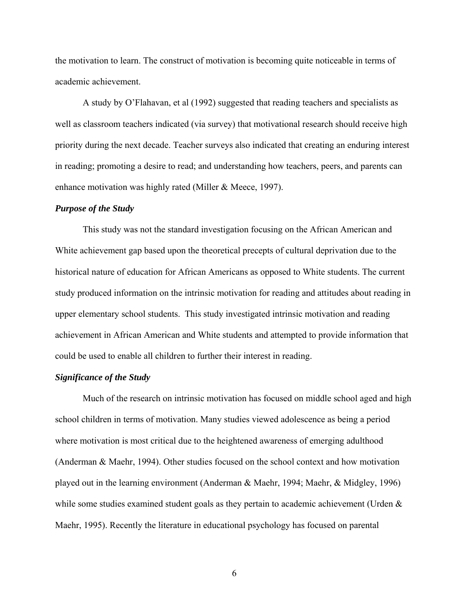the motivation to learn. The construct of motivation is becoming quite noticeable in terms of academic achievement.

A study by O'Flahavan, et al (1992) suggested that reading teachers and specialists as well as classroom teachers indicated (via survey) that motivational research should receive high priority during the next decade. Teacher surveys also indicated that creating an enduring interest in reading; promoting a desire to read; and understanding how teachers, peers, and parents can enhance motivation was highly rated (Miller & Meece, 1997).

#### *Purpose of the Study*

This study was not the standard investigation focusing on the African American and White achievement gap based upon the theoretical precepts of cultural deprivation due to the historical nature of education for African Americans as opposed to White students. The current study produced information on the intrinsic motivation for reading and attitudes about reading in upper elementary school students. This study investigated intrinsic motivation and reading achievement in African American and White students and attempted to provide information that could be used to enable all children to further their interest in reading.

# *Significance of the Study*

Much of the research on intrinsic motivation has focused on middle school aged and high school children in terms of motivation. Many studies viewed adolescence as being a period where motivation is most critical due to the heightened awareness of emerging adulthood (Anderman & Maehr, 1994). Other studies focused on the school context and how motivation played out in the learning environment (Anderman & Maehr, 1994; Maehr, & Midgley, 1996) while some studies examined student goals as they pertain to academic achievement (Urden  $\&$ Maehr, 1995). Recently the literature in educational psychology has focused on parental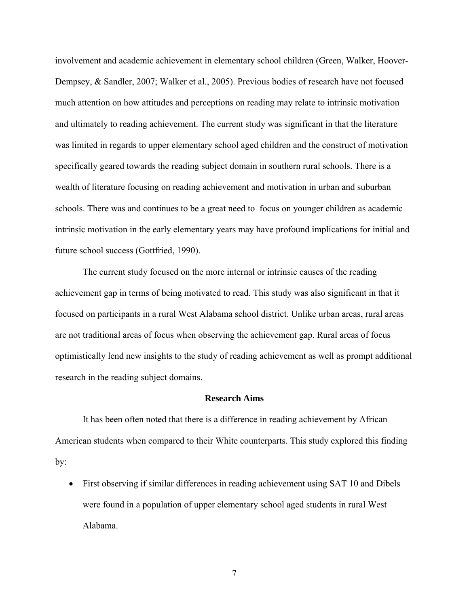involvement and academic achievement in elementary school children (Green, Walker, Hoover-Dempsey, & Sandler, 2007; Walker et al., 2005). Previous bodies of research have not focused much attention on how attitudes and perceptions on reading may relate to intrinsic motivation and ultimately to reading achievement. The current study was significant in that the literature was limited in regards to upper elementary school aged children and the construct of motivation specifically geared towards the reading subject domain in southern rural schools. There is a wealth of literature focusing on reading achievement and motivation in urban and suburban schools. There was and continues to be a great need to focus on younger children as academic intrinsic motivation in the early elementary years may have profound implications for initial and future school success (Gottfried, 1990).

The current study focused on the more internal or intrinsic causes of the reading achievement gap in terms of being motivated to read. This study was also significant in that it focused on participants in a rural West Alabama school district. Unlike urban areas, rural areas are not traditional areas of focus when observing the achievement gap. Rural areas of focus optimistically lend new insights to the study of reading achievement as well as prompt additional research in the reading subject domains.

# **Research Aims**

 It has been often noted that there is a difference in reading achievement by African American students when compared to their White counterparts. This study explored this finding by:

• First observing if similar differences in reading achievement using SAT 10 and Dibels were found in a population of upper elementary school aged students in rural West Alabama.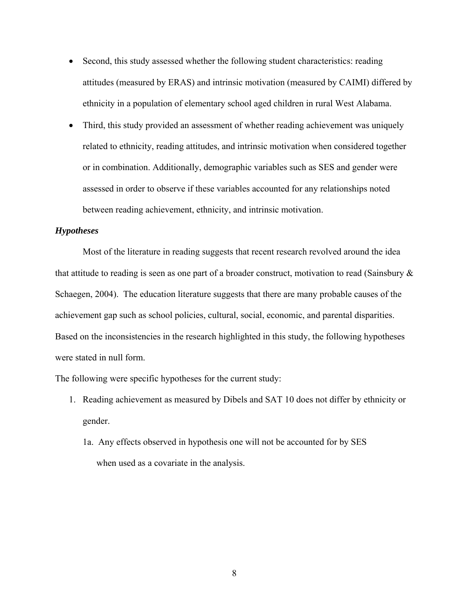- Second, this study assessed whether the following student characteristics: reading attitudes (measured by ERAS) and intrinsic motivation (measured by CAIMI) differed by ethnicity in a population of elementary school aged children in rural West Alabama.
- Third, this study provided an assessment of whether reading achievement was uniquely related to ethnicity, reading attitudes, and intrinsic motivation when considered together or in combination. Additionally, demographic variables such as SES and gender were assessed in order to observe if these variables accounted for any relationships noted between reading achievement, ethnicity, and intrinsic motivation.

# *Hypotheses*

Most of the literature in reading suggests that recent research revolved around the idea that attitude to reading is seen as one part of a broader construct, motivation to read (Sainsbury & Schaegen, 2004). The education literature suggests that there are many probable causes of the achievement gap such as school policies, cultural, social, economic, and parental disparities. Based on the inconsistencies in the research highlighted in this study, the following hypotheses were stated in null form.

The following were specific hypotheses for the current study:

- 1. Reading achievement as measured by Dibels and SAT 10 does not differ by ethnicity or gender.
	- 1a. Any effects observed in hypothesis one will not be accounted for by SES when used as a covariate in the analysis.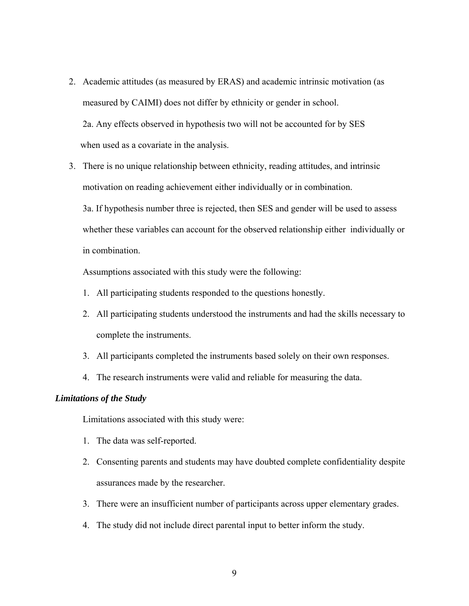- 2. Academic attitudes (as measured by ERAS) and academic intrinsic motivation (as measured by CAIMI) does not differ by ethnicity or gender in school. 2a. Any effects observed in hypothesis two will not be accounted for by SES when used as a covariate in the analysis.
- 3. There is no unique relationship between ethnicity, reading attitudes, and intrinsic motivation on reading achievement either individually or in combination. 3a. If hypothesis number three is rejected, then SES and gender will be used to assess whether these variables can account for the observed relationship either individually or in combination.

Assumptions associated with this study were the following:

- 1. All participating students responded to the questions honestly.
- 2. All participating students understood the instruments and had the skills necessary to complete the instruments.
- 3. All participants completed the instruments based solely on their own responses.
- 4. The research instruments were valid and reliable for measuring the data.

# *Limitations of the Study*

Limitations associated with this study were:

- 1. The data was self-reported.
- 2. Consenting parents and students may have doubted complete confidentiality despite assurances made by the researcher.
- 3. There were an insufficient number of participants across upper elementary grades.
- 4. The study did not include direct parental input to better inform the study.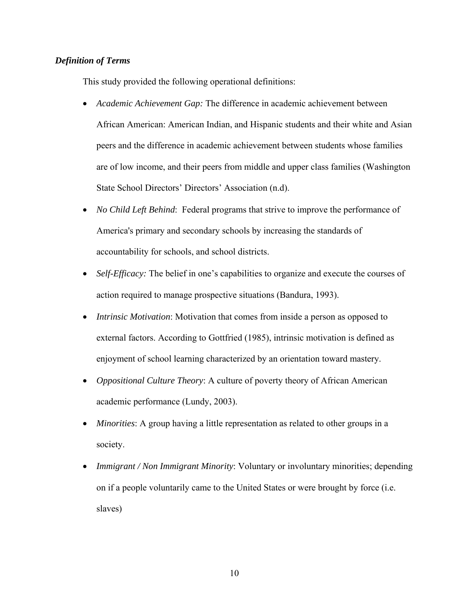# *Definition of Terms*

This study provided the following operational definitions:

- *Academic Achievement Gap:* The difference in academic achievement between African American: American Indian, and Hispanic students and their white and Asian peers and the difference in academic achievement between students whose families are of low income, and their peers from middle and upper class families (Washington State School Directors' Directors' Association (n.d).
- *No Child Left Behind*: Federal programs that strive to improve the performance of America's primary and secondary schools by increasing the standards of accountability for schools, and school districts.
- *Self-Efficacy:* The belief in one's capabilities to organize and execute the courses of action required to manage prospective situations (Bandura, 1993).
- *Intrinsic Motivation*: Motivation that comes from inside a person as opposed to external factors. According to Gottfried (1985), intrinsic motivation is defined as enjoyment of school learning characterized by an orientation toward mastery.
- *Oppositional Culture Theory*: A culture of poverty theory of African American academic performance (Lundy, 2003).
- *Minorities*: A group having a little representation as related to other groups in a society.
- *Immigrant / Non Immigrant Minority*: Voluntary or involuntary minorities; depending on if a people voluntarily came to the United States or were brought by force (i.e. slaves)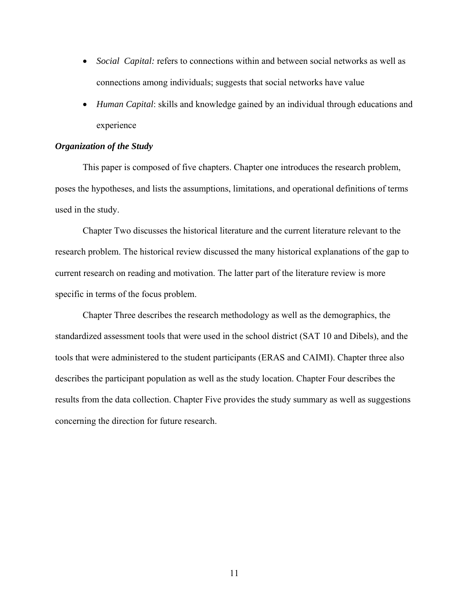- *Social Capital:* refers to connections within and between social networks as well as connections among individuals; suggests that social networks have value
- *Human Capital*: skills and knowledge gained by an individual through educations and experience

# *Organization of the Study*

This paper is composed of five chapters. Chapter one introduces the research problem, poses the hypotheses, and lists the assumptions, limitations, and operational definitions of terms used in the study.

Chapter Two discusses the historical literature and the current literature relevant to the research problem. The historical review discussed the many historical explanations of the gap to current research on reading and motivation. The latter part of the literature review is more specific in terms of the focus problem.

Chapter Three describes the research methodology as well as the demographics, the standardized assessment tools that were used in the school district (SAT 10 and Dibels), and the tools that were administered to the student participants (ERAS and CAIMI). Chapter three also describes the participant population as well as the study location. Chapter Four describes the results from the data collection. Chapter Five provides the study summary as well as suggestions concerning the direction for future research.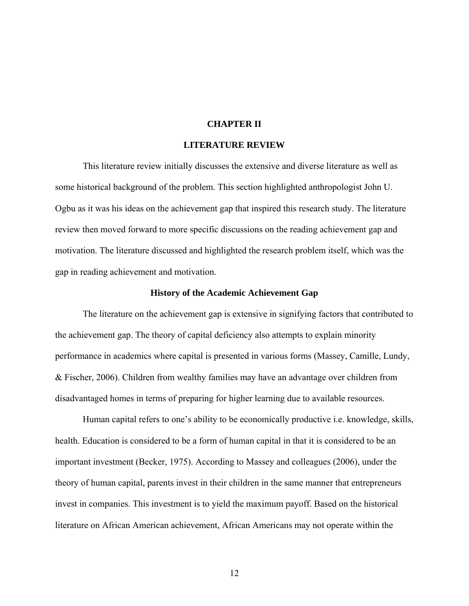# **CHAPTER II**

# **LITERATURE REVIEW**

This literature review initially discusses the extensive and diverse literature as well as some historical background of the problem. This section highlighted anthropologist John U. Ogbu as it was his ideas on the achievement gap that inspired this research study. The literature review then moved forward to more specific discussions on the reading achievement gap and motivation. The literature discussed and highlighted the research problem itself, which was the gap in reading achievement and motivation.

## **History of the Academic Achievement Gap**

The literature on the achievement gap is extensive in signifying factors that contributed to the achievement gap. The theory of capital deficiency also attempts to explain minority performance in academics where capital is presented in various forms (Massey, Camille, Lundy, & Fischer, 2006). Children from wealthy families may have an advantage over children from disadvantaged homes in terms of preparing for higher learning due to available resources.

Human capital refers to one's ability to be economically productive i.e. knowledge, skills, health. Education is considered to be a form of human capital in that it is considered to be an important investment (Becker, 1975). According to Massey and colleagues (2006), under the theory of human capital, parents invest in their children in the same manner that entrepreneurs invest in companies. This investment is to yield the maximum payoff. Based on the historical literature on African American achievement, African Americans may not operate within the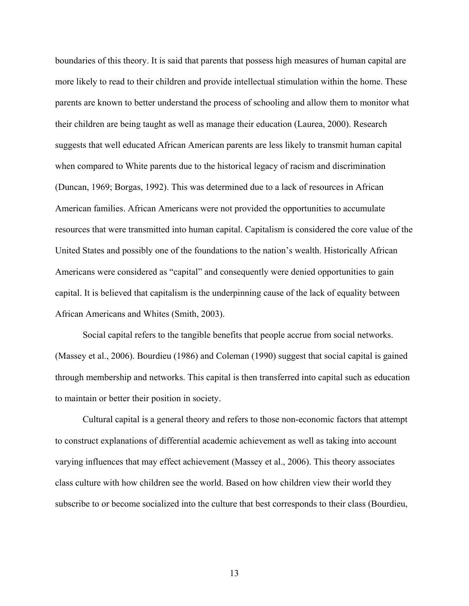boundaries of this theory. It is said that parents that possess high measures of human capital are more likely to read to their children and provide intellectual stimulation within the home. These parents are known to better understand the process of schooling and allow them to monitor what their children are being taught as well as manage their education (Laurea, 2000). Research suggests that well educated African American parents are less likely to transmit human capital when compared to White parents due to the historical legacy of racism and discrimination (Duncan, 1969; Borgas, 1992). This was determined due to a lack of resources in African American families. African Americans were not provided the opportunities to accumulate resources that were transmitted into human capital. Capitalism is considered the core value of the United States and possibly one of the foundations to the nation's wealth. Historically African Americans were considered as "capital" and consequently were denied opportunities to gain capital. It is believed that capitalism is the underpinning cause of the lack of equality between African Americans and Whites (Smith, 2003).

Social capital refers to the tangible benefits that people accrue from social networks. (Massey et al., 2006). Bourdieu (1986) and Coleman (1990) suggest that social capital is gained through membership and networks. This capital is then transferred into capital such as education to maintain or better their position in society.

Cultural capital is a general theory and refers to those non-economic factors that attempt to construct explanations of differential academic achievement as well as taking into account varying influences that may effect achievement (Massey et al., 2006). This theory associates class culture with how children see the world. Based on how children view their world they subscribe to or become socialized into the culture that best corresponds to their class (Bourdieu,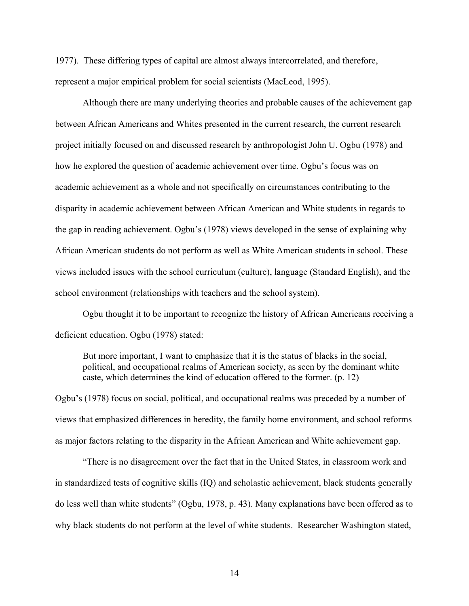1977). These differing types of capital are almost always intercorrelated, and therefore, represent a major empirical problem for social scientists (MacLeod, 1995).

Although there are many underlying theories and probable causes of the achievement gap between African Americans and Whites presented in the current research, the current research project initially focused on and discussed research by anthropologist John U. Ogbu (1978) and how he explored the question of academic achievement over time. Ogbu's focus was on academic achievement as a whole and not specifically on circumstances contributing to the disparity in academic achievement between African American and White students in regards to the gap in reading achievement. Ogbu's (1978) views developed in the sense of explaining why African American students do not perform as well as White American students in school. These views included issues with the school curriculum (culture), language (Standard English), and the school environment (relationships with teachers and the school system).

Ogbu thought it to be important to recognize the history of African Americans receiving a deficient education. Ogbu (1978) stated:

But more important, I want to emphasize that it is the status of blacks in the social, political, and occupational realms of American society, as seen by the dominant white caste, which determines the kind of education offered to the former. (p. 12)

Ogbu's (1978) focus on social, political, and occupational realms was preceded by a number of views that emphasized differences in heredity, the family home environment, and school reforms as major factors relating to the disparity in the African American and White achievement gap.

"There is no disagreement over the fact that in the United States, in classroom work and in standardized tests of cognitive skills (IQ) and scholastic achievement, black students generally do less well than white students" (Ogbu, 1978, p. 43). Many explanations have been offered as to why black students do not perform at the level of white students. Researcher Washington stated,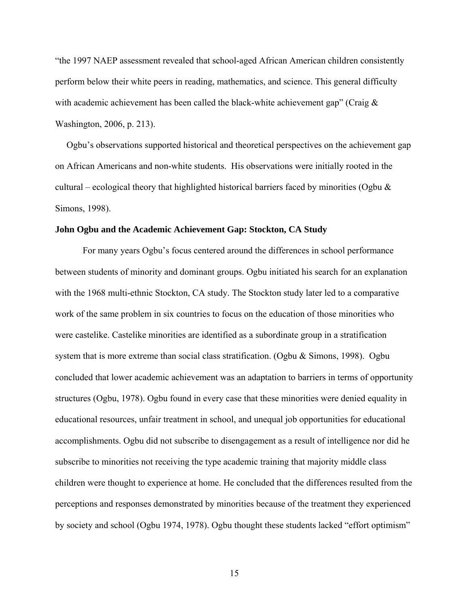"the 1997 NAEP assessment revealed that school-aged African American children consistently perform below their white peers in reading, mathematics, and science. This general difficulty with academic achievement has been called the black-white achievement gap" (Craig  $\&$ Washington, 2006, p. 213).

 Ogbu's observations supported historical and theoretical perspectives on the achievement gap on African Americans and non-white students. His observations were initially rooted in the cultural – ecological theory that highlighted historical barriers faced by minorities (Ogbu  $\&$ Simons, 1998).

# **John Ogbu and the Academic Achievement Gap: Stockton, CA Study**

For many years Ogbu's focus centered around the differences in school performance between students of minority and dominant groups. Ogbu initiated his search for an explanation with the 1968 multi-ethnic Stockton, CA study. The Stockton study later led to a comparative work of the same problem in six countries to focus on the education of those minorities who were castelike. Castelike minorities are identified as a subordinate group in a stratification system that is more extreme than social class stratification. (Ogbu & Simons, 1998). Ogbu concluded that lower academic achievement was an adaptation to barriers in terms of opportunity structures (Ogbu, 1978). Ogbu found in every case that these minorities were denied equality in educational resources, unfair treatment in school, and unequal job opportunities for educational accomplishments. Ogbu did not subscribe to disengagement as a result of intelligence nor did he subscribe to minorities not receiving the type academic training that majority middle class children were thought to experience at home. He concluded that the differences resulted from the perceptions and responses demonstrated by minorities because of the treatment they experienced by society and school (Ogbu 1974, 1978). Ogbu thought these students lacked "effort optimism"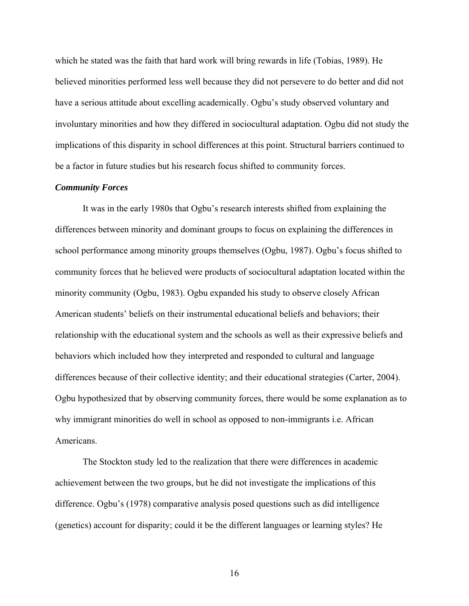which he stated was the faith that hard work will bring rewards in life (Tobias, 1989). He believed minorities performed less well because they did not persevere to do better and did not have a serious attitude about excelling academically. Ogbu's study observed voluntary and involuntary minorities and how they differed in sociocultural adaptation. Ogbu did not study the implications of this disparity in school differences at this point. Structural barriers continued to be a factor in future studies but his research focus shifted to community forces.

#### *Community Forces*

It was in the early 1980s that Ogbu's research interests shifted from explaining the differences between minority and dominant groups to focus on explaining the differences in school performance among minority groups themselves (Ogbu, 1987). Ogbu's focus shifted to community forces that he believed were products of sociocultural adaptation located within the minority community (Ogbu, 1983). Ogbu expanded his study to observe closely African American students' beliefs on their instrumental educational beliefs and behaviors; their relationship with the educational system and the schools as well as their expressive beliefs and behaviors which included how they interpreted and responded to cultural and language differences because of their collective identity; and their educational strategies (Carter, 2004). Ogbu hypothesized that by observing community forces, there would be some explanation as to why immigrant minorities do well in school as opposed to non-immigrants i.e. African Americans.

The Stockton study led to the realization that there were differences in academic achievement between the two groups, but he did not investigate the implications of this difference. Ogbu's (1978) comparative analysis posed questions such as did intelligence (genetics) account for disparity; could it be the different languages or learning styles? He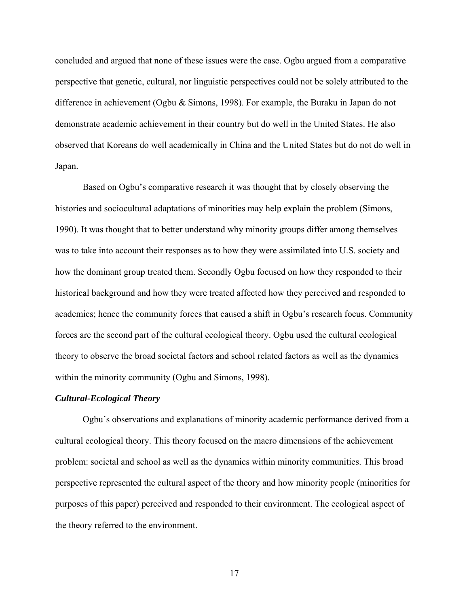concluded and argued that none of these issues were the case. Ogbu argued from a comparative perspective that genetic, cultural, nor linguistic perspectives could not be solely attributed to the difference in achievement (Ogbu & Simons, 1998). For example, the Buraku in Japan do not demonstrate academic achievement in their country but do well in the United States. He also observed that Koreans do well academically in China and the United States but do not do well in Japan.

Based on Ogbu's comparative research it was thought that by closely observing the histories and sociocultural adaptations of minorities may help explain the problem (Simons, 1990). It was thought that to better understand why minority groups differ among themselves was to take into account their responses as to how they were assimilated into U.S. society and how the dominant group treated them. Secondly Ogbu focused on how they responded to their historical background and how they were treated affected how they perceived and responded to academics; hence the community forces that caused a shift in Ogbu's research focus. Community forces are the second part of the cultural ecological theory. Ogbu used the cultural ecological theory to observe the broad societal factors and school related factors as well as the dynamics within the minority community (Ogbu and Simons, 1998).

#### *Cultural-Ecological Theory*

Ogbu's observations and explanations of minority academic performance derived from a cultural ecological theory. This theory focused on the macro dimensions of the achievement problem: societal and school as well as the dynamics within minority communities. This broad perspective represented the cultural aspect of the theory and how minority people (minorities for purposes of this paper) perceived and responded to their environment. The ecological aspect of the theory referred to the environment.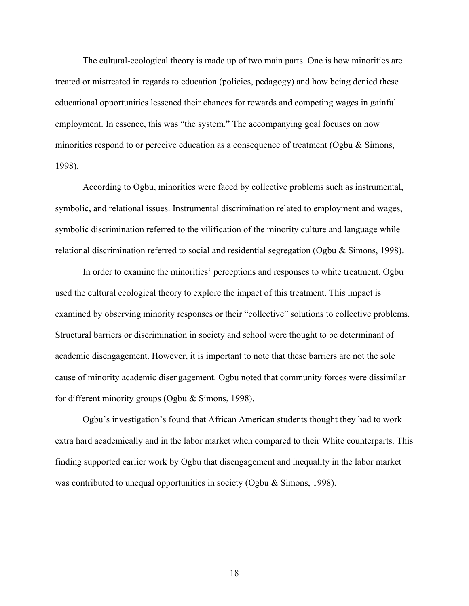The cultural-ecological theory is made up of two main parts. One is how minorities are treated or mistreated in regards to education (policies, pedagogy) and how being denied these educational opportunities lessened their chances for rewards and competing wages in gainful employment. In essence, this was "the system." The accompanying goal focuses on how minorities respond to or perceive education as a consequence of treatment (Ogbu & Simons, 1998).

According to Ogbu, minorities were faced by collective problems such as instrumental, symbolic, and relational issues. Instrumental discrimination related to employment and wages, symbolic discrimination referred to the vilification of the minority culture and language while relational discrimination referred to social and residential segregation (Ogbu & Simons, 1998).

In order to examine the minorities' perceptions and responses to white treatment, Ogbu used the cultural ecological theory to explore the impact of this treatment. This impact is examined by observing minority responses or their "collective" solutions to collective problems. Structural barriers or discrimination in society and school were thought to be determinant of academic disengagement. However, it is important to note that these barriers are not the sole cause of minority academic disengagement. Ogbu noted that community forces were dissimilar for different minority groups (Ogbu & Simons, 1998).

Ogbu's investigation's found that African American students thought they had to work extra hard academically and in the labor market when compared to their White counterparts. This finding supported earlier work by Ogbu that disengagement and inequality in the labor market was contributed to unequal opportunities in society (Ogbu & Simons, 1998).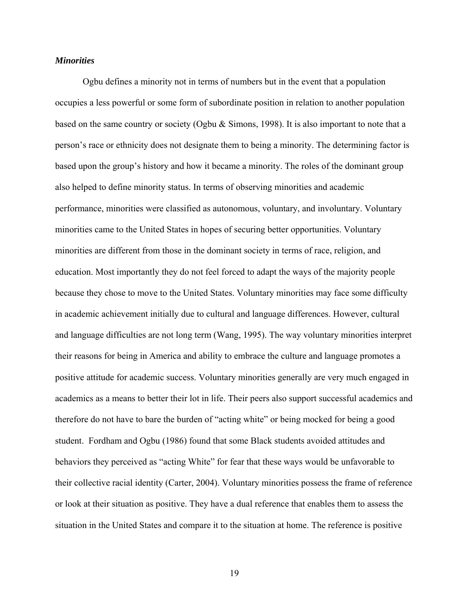# *Minorities*

Ogbu defines a minority not in terms of numbers but in the event that a population occupies a less powerful or some form of subordinate position in relation to another population based on the same country or society (Ogbu & Simons, 1998). It is also important to note that a person's race or ethnicity does not designate them to being a minority. The determining factor is based upon the group's history and how it became a minority. The roles of the dominant group also helped to define minority status. In terms of observing minorities and academic performance, minorities were classified as autonomous, voluntary, and involuntary. Voluntary minorities came to the United States in hopes of securing better opportunities. Voluntary minorities are different from those in the dominant society in terms of race, religion, and education. Most importantly they do not feel forced to adapt the ways of the majority people because they chose to move to the United States. Voluntary minorities may face some difficulty in academic achievement initially due to cultural and language differences. However, cultural and language difficulties are not long term (Wang, 1995). The way voluntary minorities interpret their reasons for being in America and ability to embrace the culture and language promotes a positive attitude for academic success. Voluntary minorities generally are very much engaged in academics as a means to better their lot in life. Their peers also support successful academics and therefore do not have to bare the burden of "acting white" or being mocked for being a good student. Fordham and Ogbu (1986) found that some Black students avoided attitudes and behaviors they perceived as "acting White" for fear that these ways would be unfavorable to their collective racial identity (Carter, 2004). Voluntary minorities possess the frame of reference or look at their situation as positive. They have a dual reference that enables them to assess the situation in the United States and compare it to the situation at home. The reference is positive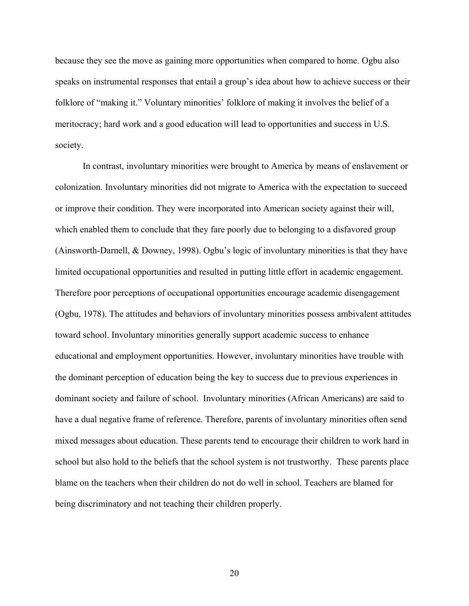because they see the move as gaining more opportunities when compared to home. Ogbu also speaks on instrumental responses that entail a group's idea about how to achieve success or their folklore of "making it." Voluntary minorities' folklore of making it involves the belief of a meritocracy; hard work and a good education will lead to opportunities and success in U.S. society.

In contrast, involuntary minorities were brought to America by means of enslavement or colonization. Involuntary minorities did not migrate to America with the expectation to succeed or improve their condition. They were incorporated into American society against their will, which enabled them to conclude that they fare poorly due to belonging to a disfavored group (Ainsworth-Darnell, & Downey, 1998). Ogbu's logic of involuntary minorities is that they have limited occupational opportunities and resulted in putting little effort in academic engagement. Therefore poor perceptions of occupational opportunities encourage academic disengagement (Ogbu, 1978). The attitudes and behaviors of involuntary minorities possess ambivalent attitudes toward school. Involuntary minorities generally support academic success to enhance educational and employment opportunities. However, involuntary minorities have trouble with the dominant perception of education being the key to success due to previous experiences in dominant society and failure of school. Involuntary minorities (African Americans) are said to have a dual negative frame of reference. Therefore, parents of involuntary minorities often send mixed messages about education. These parents tend to encourage their children to work hard in school but also hold to the beliefs that the school system is not trustworthy. These parents place blame on the teachers when their children do not do well in school. Teachers are blamed for being discriminatory and not teaching their children properly.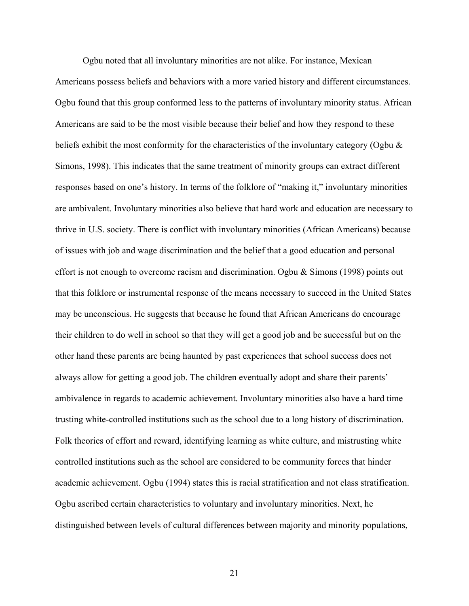Ogbu noted that all involuntary minorities are not alike. For instance, Mexican Americans possess beliefs and behaviors with a more varied history and different circumstances. Ogbu found that this group conformed less to the patterns of involuntary minority status. African Americans are said to be the most visible because their belief and how they respond to these beliefs exhibit the most conformity for the characteristics of the involuntary category (Ogbu  $\&$ Simons, 1998). This indicates that the same treatment of minority groups can extract different responses based on one's history. In terms of the folklore of "making it," involuntary minorities are ambivalent. Involuntary minorities also believe that hard work and education are necessary to thrive in U.S. society. There is conflict with involuntary minorities (African Americans) because of issues with job and wage discrimination and the belief that a good education and personal effort is not enough to overcome racism and discrimination. Ogbu  $\&$  Simons (1998) points out that this folklore or instrumental response of the means necessary to succeed in the United States may be unconscious. He suggests that because he found that African Americans do encourage their children to do well in school so that they will get a good job and be successful but on the other hand these parents are being haunted by past experiences that school success does not always allow for getting a good job. The children eventually adopt and share their parents' ambivalence in regards to academic achievement. Involuntary minorities also have a hard time trusting white-controlled institutions such as the school due to a long history of discrimination. Folk theories of effort and reward, identifying learning as white culture, and mistrusting white controlled institutions such as the school are considered to be community forces that hinder academic achievement. Ogbu (1994) states this is racial stratification and not class stratification. Ogbu ascribed certain characteristics to voluntary and involuntary minorities. Next, he distinguished between levels of cultural differences between majority and minority populations,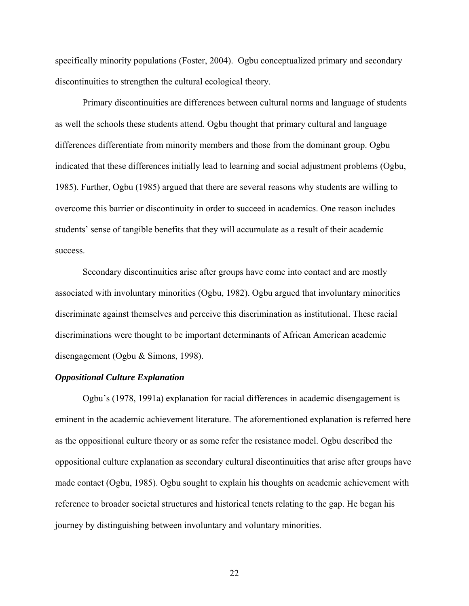specifically minority populations (Foster, 2004). Ogbu conceptualized primary and secondary discontinuities to strengthen the cultural ecological theory.

Primary discontinuities are differences between cultural norms and language of students as well the schools these students attend. Ogbu thought that primary cultural and language differences differentiate from minority members and those from the dominant group. Ogbu indicated that these differences initially lead to learning and social adjustment problems (Ogbu, 1985). Further, Ogbu (1985) argued that there are several reasons why students are willing to overcome this barrier or discontinuity in order to succeed in academics. One reason includes students' sense of tangible benefits that they will accumulate as a result of their academic success.

Secondary discontinuities arise after groups have come into contact and are mostly associated with involuntary minorities (Ogbu, 1982). Ogbu argued that involuntary minorities discriminate against themselves and perceive this discrimination as institutional. These racial discriminations were thought to be important determinants of African American academic disengagement (Ogbu & Simons, 1998).

# *Oppositional Culture Explanation*

Ogbu's (1978, 1991a) explanation for racial differences in academic disengagement is eminent in the academic achievement literature. The aforementioned explanation is referred here as the oppositional culture theory or as some refer the resistance model. Ogbu described the oppositional culture explanation as secondary cultural discontinuities that arise after groups have made contact (Ogbu, 1985). Ogbu sought to explain his thoughts on academic achievement with reference to broader societal structures and historical tenets relating to the gap. He began his journey by distinguishing between involuntary and voluntary minorities.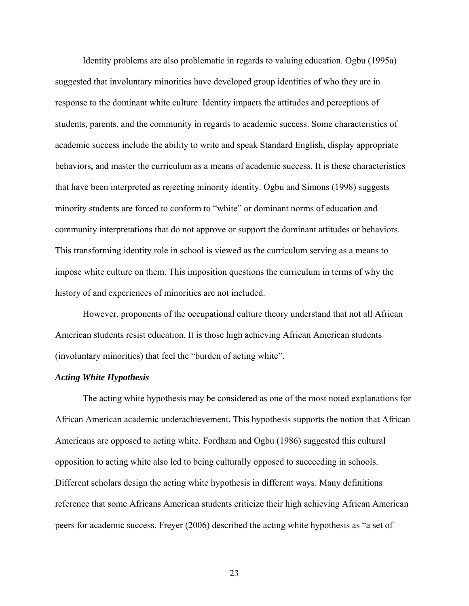Identity problems are also problematic in regards to valuing education. Ogbu (1995a) suggested that involuntary minorities have developed group identities of who they are in response to the dominant white culture. Identity impacts the attitudes and perceptions of students, parents, and the community in regards to academic success. Some characteristics of academic success include the ability to write and speak Standard English, display appropriate behaviors, and master the curriculum as a means of academic success. It is these characteristics that have been interpreted as rejecting minority identity. Ogbu and Simons (1998) suggests minority students are forced to conform to "white" or dominant norms of education and community interpretations that do not approve or support the dominant attitudes or behaviors. This transforming identity role in school is viewed as the curriculum serving as a means to impose white culture on them. This imposition questions the curriculum in terms of why the history of and experiences of minorities are not included.

However, proponents of the occupational culture theory understand that not all African American students resist education. It is those high achieving African American students (involuntary minorities) that feel the "burden of acting white".

# *Acting White Hypothesis*

The acting white hypothesis may be considered as one of the most noted explanations for African American academic underachievement. This hypothesis supports the notion that African Americans are opposed to acting white. Fordham and Ogbu (1986) suggested this cultural opposition to acting white also led to being culturally opposed to succeeding in schools. Different scholars design the acting white hypothesis in different ways. Many definitions reference that some Africans American students criticize their high achieving African American peers for academic success. Freyer (2006) described the acting white hypothesis as "a set of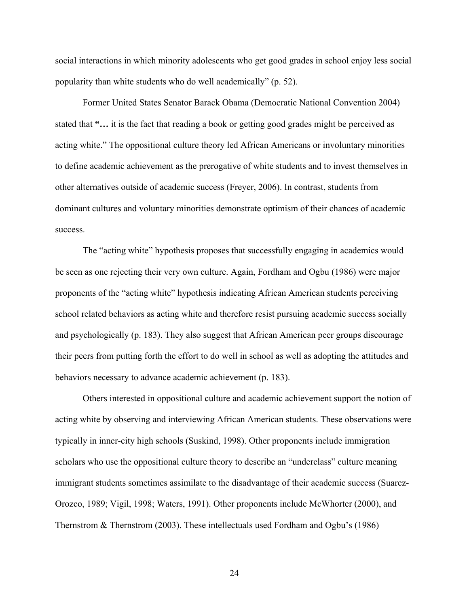social interactions in which minority adolescents who get good grades in school enjoy less social popularity than white students who do well academically" (p. 52).

Former United States Senator Barack Obama (Democratic National Convention 2004) stated that **"…** it is the fact that reading a book or getting good grades might be perceived as acting white." The oppositional culture theory led African Americans or involuntary minorities to define academic achievement as the prerogative of white students and to invest themselves in other alternatives outside of academic success (Freyer, 2006). In contrast, students from dominant cultures and voluntary minorities demonstrate optimism of their chances of academic success.

The "acting white" hypothesis proposes that successfully engaging in academics would be seen as one rejecting their very own culture. Again, Fordham and Ogbu (1986) were major proponents of the "acting white" hypothesis indicating African American students perceiving school related behaviors as acting white and therefore resist pursuing academic success socially and psychologically (p. 183). They also suggest that African American peer groups discourage their peers from putting forth the effort to do well in school as well as adopting the attitudes and behaviors necessary to advance academic achievement (p. 183).

Others interested in oppositional culture and academic achievement support the notion of acting white by observing and interviewing African American students. These observations were typically in inner-city high schools (Suskind, 1998). Other proponents include immigration scholars who use the oppositional culture theory to describe an "underclass" culture meaning immigrant students sometimes assimilate to the disadvantage of their academic success (Suarez-Orozco, 1989; Vigil, 1998; Waters, 1991). Other proponents include McWhorter (2000), and Thernstrom & Thernstrom (2003). These intellectuals used Fordham and Ogbu's (1986)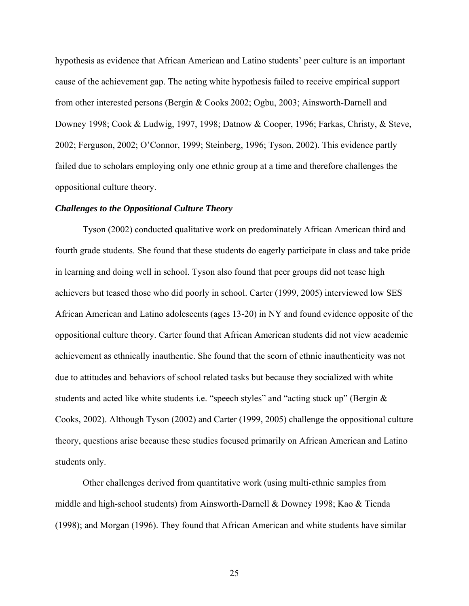hypothesis as evidence that African American and Latino students' peer culture is an important cause of the achievement gap. The acting white hypothesis failed to receive empirical support from other interested persons (Bergin & Cooks 2002; Ogbu, 2003; Ainsworth-Darnell and Downey 1998; Cook & Ludwig, 1997, 1998; Datnow & Cooper, 1996; Farkas, Christy, & Steve, 2002; Ferguson, 2002; O'Connor, 1999; Steinberg, 1996; Tyson, 2002). This evidence partly failed due to scholars employing only one ethnic group at a time and therefore challenges the oppositional culture theory.

# *Challenges to the Oppositional Culture Theory*

Tyson (2002) conducted qualitative work on predominately African American third and fourth grade students. She found that these students do eagerly participate in class and take pride in learning and doing well in school. Tyson also found that peer groups did not tease high achievers but teased those who did poorly in school. Carter (1999, 2005) interviewed low SES African American and Latino adolescents (ages 13-20) in NY and found evidence opposite of the oppositional culture theory. Carter found that African American students did not view academic achievement as ethnically inauthentic. She found that the scorn of ethnic inauthenticity was not due to attitudes and behaviors of school related tasks but because they socialized with white students and acted like white students i.e. "speech styles" and "acting stuck up" (Bergin & Cooks, 2002). Although Tyson (2002) and Carter (1999, 2005) challenge the oppositional culture theory, questions arise because these studies focused primarily on African American and Latino students only.

Other challenges derived from quantitative work (using multi-ethnic samples from middle and high-school students) from Ainsworth-Darnell & Downey 1998; Kao & Tienda (1998); and Morgan (1996). They found that African American and white students have similar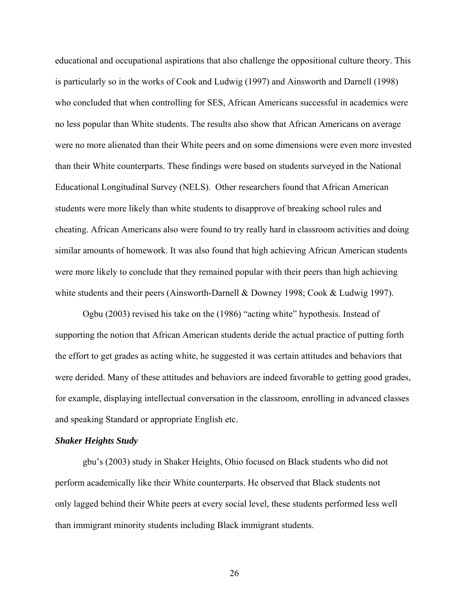educational and occupational aspirations that also challenge the oppositional culture theory. This is particularly so in the works of Cook and Ludwig (1997) and Ainsworth and Darnell (1998) who concluded that when controlling for SES, African Americans successful in academics were no less popular than White students. The results also show that African Americans on average were no more alienated than their White peers and on some dimensions were even more invested than their White counterparts. These findings were based on students surveyed in the National Educational Longitudinal Survey (NELS). Other researchers found that African American students were more likely than white students to disapprove of breaking school rules and cheating. African Americans also were found to try really hard in classroom activities and doing similar amounts of homework. It was also found that high achieving African American students were more likely to conclude that they remained popular with their peers than high achieving white students and their peers (Ainsworth-Darnell & Downey 1998; Cook & Ludwig 1997).

Ogbu (2003) revised his take on the (1986) "acting white" hypothesis. Instead of supporting the notion that African American students deride the actual practice of putting forth the effort to get grades as acting white, he suggested it was certain attitudes and behaviors that were derided. Many of these attitudes and behaviors are indeed favorable to getting good grades, for example, displaying intellectual conversation in the classroom, enrolling in advanced classes and speaking Standard or appropriate English etc.

## *Shaker Heights Study*

gbu's (2003) study in Shaker Heights, Ohio focused on Black students who did not perform academically like their White counterparts. He observed that Black students not only lagged behind their White peers at every social level, these students performed less well than immigrant minority students including Black immigrant students.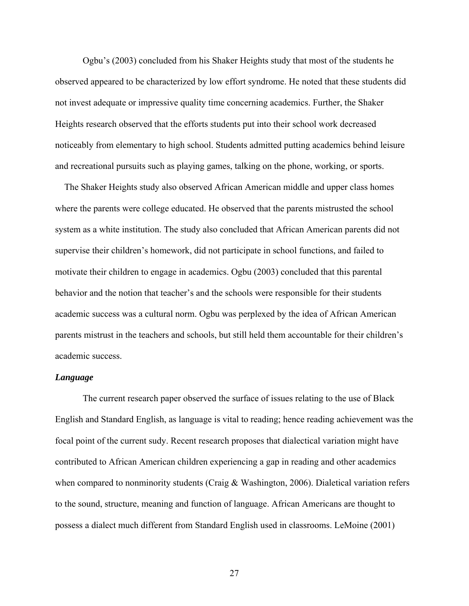Ogbu's (2003) concluded from his Shaker Heights study that most of the students he observed appeared to be characterized by low effort syndrome. He noted that these students did not invest adequate or impressive quality time concerning academics. Further, the Shaker Heights research observed that the efforts students put into their school work decreased noticeably from elementary to high school. Students admitted putting academics behind leisure and recreational pursuits such as playing games, talking on the phone, working, or sports.

 The Shaker Heights study also observed African American middle and upper class homes where the parents were college educated. He observed that the parents mistrusted the school system as a white institution. The study also concluded that African American parents did not supervise their children's homework, did not participate in school functions, and failed to motivate their children to engage in academics. Ogbu (2003) concluded that this parental behavior and the notion that teacher's and the schools were responsible for their students academic success was a cultural norm. Ogbu was perplexed by the idea of African American parents mistrust in the teachers and schools, but still held them accountable for their children's academic success.

#### *Language*

The current research paper observed the surface of issues relating to the use of Black English and Standard English, as language is vital to reading; hence reading achievement was the focal point of the current sudy. Recent research proposes that dialectical variation might have contributed to African American children experiencing a gap in reading and other academics when compared to nonminority students (Craig & Washington, 2006). Dialetical variation refers to the sound, structure, meaning and function of language. African Americans are thought to possess a dialect much different from Standard English used in classrooms. LeMoine (2001)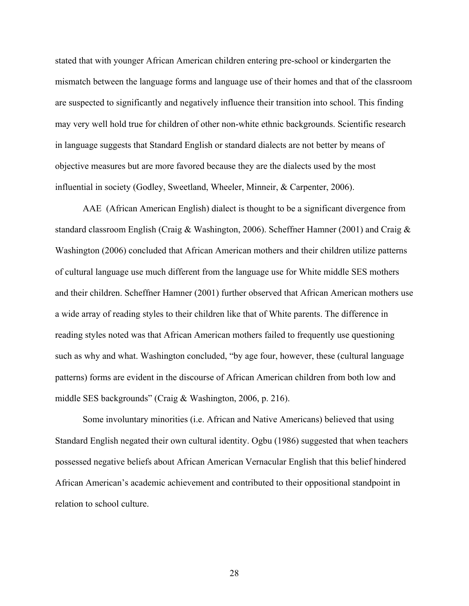stated that with younger African American children entering pre-school or kindergarten the mismatch between the language forms and language use of their homes and that of the classroom are suspected to significantly and negatively influence their transition into school. This finding may very well hold true for children of other non-white ethnic backgrounds. Scientific research in language suggests that Standard English or standard dialects are not better by means of objective measures but are more favored because they are the dialects used by the most influential in society (Godley, Sweetland, Wheeler, Minneir, & Carpenter, 2006).

AAE (African American English) dialect is thought to be a significant divergence from standard classroom English (Craig & Washington, 2006). Scheffner Hamner (2001) and Craig & Washington (2006) concluded that African American mothers and their children utilize patterns of cultural language use much different from the language use for White middle SES mothers and their children. Scheffner Hamner (2001) further observed that African American mothers use a wide array of reading styles to their children like that of White parents. The difference in reading styles noted was that African American mothers failed to frequently use questioning such as why and what. Washington concluded, "by age four, however, these (cultural language patterns) forms are evident in the discourse of African American children from both low and middle SES backgrounds" (Craig & Washington, 2006, p. 216).

Some involuntary minorities (i.e. African and Native Americans) believed that using Standard English negated their own cultural identity. Ogbu (1986) suggested that when teachers possessed negative beliefs about African American Vernacular English that this belief hindered African American's academic achievement and contributed to their oppositional standpoint in relation to school culture.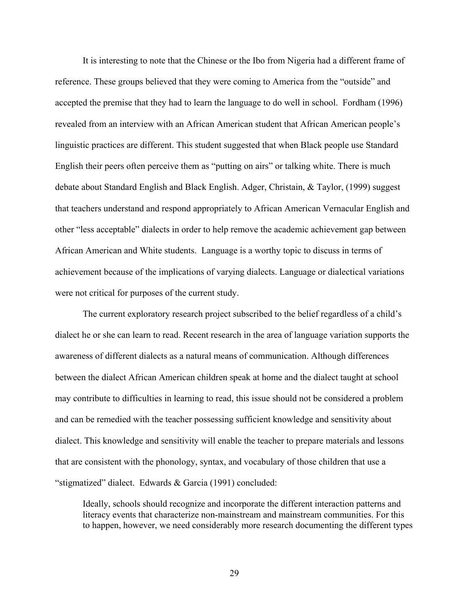It is interesting to note that the Chinese or the Ibo from Nigeria had a different frame of reference. These groups believed that they were coming to America from the "outside" and accepted the premise that they had to learn the language to do well in school. Fordham (1996) revealed from an interview with an African American student that African American people's linguistic practices are different. This student suggested that when Black people use Standard English their peers often perceive them as "putting on airs" or talking white. There is much debate about Standard English and Black English. Adger, Christain, & Taylor, (1999) suggest that teachers understand and respond appropriately to African American Vernacular English and other "less acceptable" dialects in order to help remove the academic achievement gap between African American and White students. Language is a worthy topic to discuss in terms of achievement because of the implications of varying dialects. Language or dialectical variations were not critical for purposes of the current study.

 The current exploratory research project subscribed to the belief regardless of a child's dialect he or she can learn to read. Recent research in the area of language variation supports the awareness of different dialects as a natural means of communication. Although differences between the dialect African American children speak at home and the dialect taught at school may contribute to difficulties in learning to read, this issue should not be considered a problem and can be remedied with the teacher possessing sufficient knowledge and sensitivity about dialect. This knowledge and sensitivity will enable the teacher to prepare materials and lessons that are consistent with the phonology, syntax, and vocabulary of those children that use a "stigmatized" dialect. Edwards & Garcia (1991) concluded:

Ideally, schools should recognize and incorporate the different interaction patterns and literacy events that characterize non-mainstream and mainstream communities. For this to happen, however, we need considerably more research documenting the different types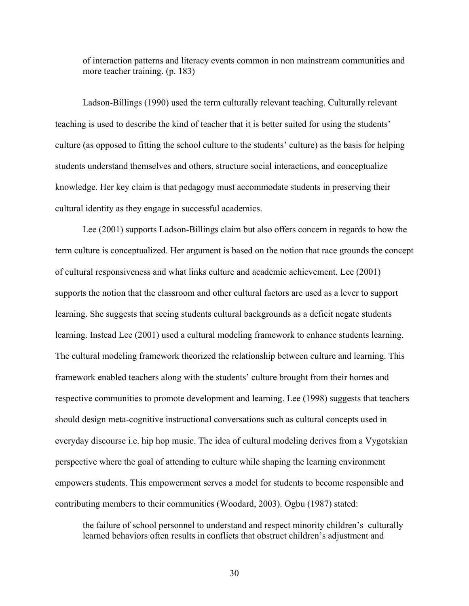of interaction patterns and literacy events common in non mainstream communities and more teacher training. (p. 183)

Ladson-Billings (1990) used the term culturally relevant teaching. Culturally relevant teaching is used to describe the kind of teacher that it is better suited for using the students' culture (as opposed to fitting the school culture to the students' culture) as the basis for helping students understand themselves and others, structure social interactions, and conceptualize knowledge. Her key claim is that pedagogy must accommodate students in preserving their cultural identity as they engage in successful academics.

Lee (2001) supports Ladson-Billings claim but also offers concern in regards to how the term culture is conceptualized. Her argument is based on the notion that race grounds the concept of cultural responsiveness and what links culture and academic achievement. Lee (2001) supports the notion that the classroom and other cultural factors are used as a lever to support learning. She suggests that seeing students cultural backgrounds as a deficit negate students learning. Instead Lee (2001) used a cultural modeling framework to enhance students learning. The cultural modeling framework theorized the relationship between culture and learning. This framework enabled teachers along with the students' culture brought from their homes and respective communities to promote development and learning. Lee (1998) suggests that teachers should design meta-cognitive instructional conversations such as cultural concepts used in everyday discourse i.e. hip hop music. The idea of cultural modeling derives from a Vygotskian perspective where the goal of attending to culture while shaping the learning environment empowers students. This empowerment serves a model for students to become responsible and contributing members to their communities (Woodard, 2003). Ogbu (1987) stated:

the failure of school personnel to understand and respect minority children's culturally learned behaviors often results in conflicts that obstruct children's adjustment and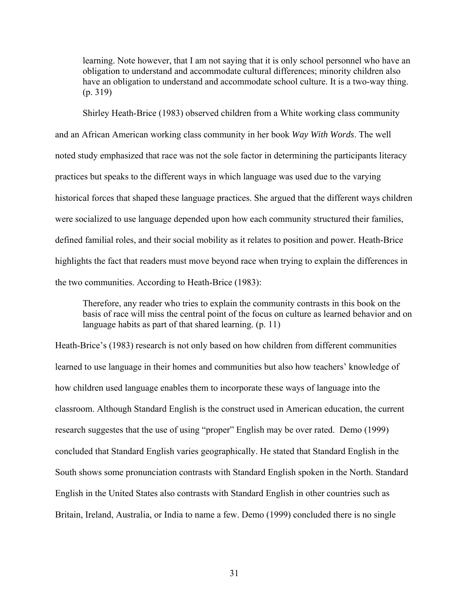learning. Note however, that I am not saying that it is only school personnel who have an obligation to understand and accommodate cultural differences; minority children also have an obligation to understand and accommodate school culture. It is a two-way thing. (p. 319)

Shirley Heath-Brice (1983) observed children from a White working class community and an African American working class community in her book *Way With Words*. The well noted study emphasized that race was not the sole factor in determining the participants literacy practices but speaks to the different ways in which language was used due to the varying historical forces that shaped these language practices. She argued that the different ways children were socialized to use language depended upon how each community structured their families, defined familial roles, and their social mobility as it relates to position and power. Heath-Brice highlights the fact that readers must move beyond race when trying to explain the differences in the two communities. According to Heath-Brice (1983):

Therefore, any reader who tries to explain the community contrasts in this book on the basis of race will miss the central point of the focus on culture as learned behavior and on language habits as part of that shared learning. (p. 11)

Heath-Brice's (1983) research is not only based on how children from different communities learned to use language in their homes and communities but also how teachers' knowledge of how children used language enables them to incorporate these ways of language into the classroom. Although Standard English is the construct used in American education, the current research suggestes that the use of using "proper" English may be over rated. Demo (1999) concluded that Standard English varies geographically. He stated that Standard English in the South shows some pronunciation contrasts with Standard English spoken in the North. Standard English in the United States also contrasts with Standard English in other countries such as Britain, Ireland, Australia, or India to name a few. Demo (1999) concluded there is no single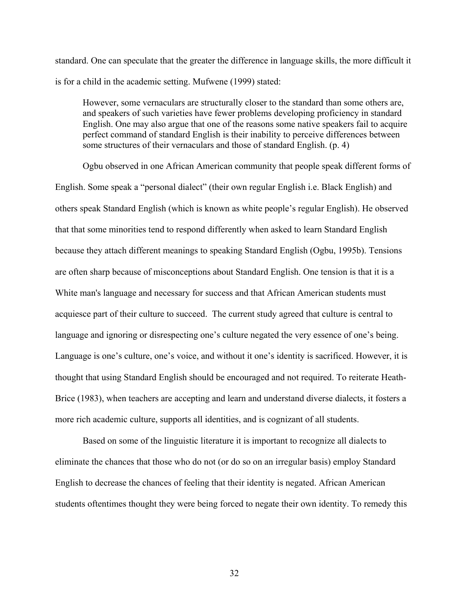standard. One can speculate that the greater the difference in language skills, the more difficult it is for a child in the academic setting. Mufwene (1999) stated:

However, some vernaculars are structurally closer to the standard than some others are, and speakers of such varieties have fewer problems developing proficiency in standard English. One may also argue that one of the reasons some native speakers fail to acquire perfect command of standard English is their inability to perceive differences between some structures of their vernaculars and those of standard English. (p. 4)

Ogbu observed in one African American community that people speak different forms of English. Some speak a "personal dialect" (their own regular English i.e. Black English) and others speak Standard English (which is known as white people's regular English). He observed that that some minorities tend to respond differently when asked to learn Standard English because they attach different meanings to speaking Standard English (Ogbu, 1995b). Tensions are often sharp because of misconceptions about Standard English. One tension is that it is a White man's language and necessary for success and that African American students must acquiesce part of their culture to succeed. The current study agreed that culture is central to language and ignoring or disrespecting one's culture negated the very essence of one's being. Language is one's culture, one's voice, and without it one's identity is sacrificed. However, it is thought that using Standard English should be encouraged and not required. To reiterate Heath-Brice (1983), when teachers are accepting and learn and understand diverse dialects, it fosters a more rich academic culture, supports all identities, and is cognizant of all students.

Based on some of the linguistic literature it is important to recognize all dialects to eliminate the chances that those who do not (or do so on an irregular basis) employ Standard English to decrease the chances of feeling that their identity is negated. African American students oftentimes thought they were being forced to negate their own identity. To remedy this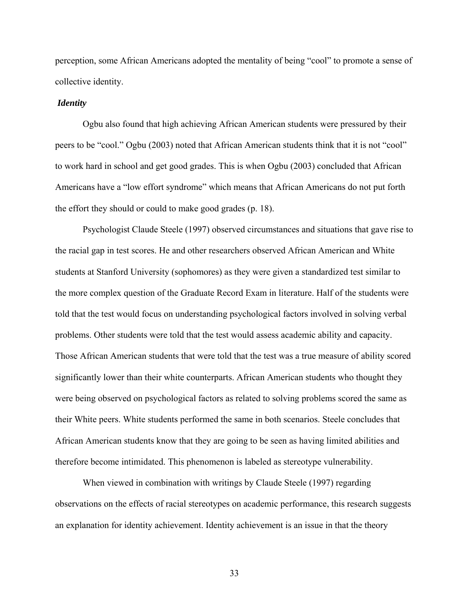perception, some African Americans adopted the mentality of being "cool" to promote a sense of collective identity.

#### *Identity*

Ogbu also found that high achieving African American students were pressured by their peers to be "cool." Ogbu (2003) noted that African American students think that it is not "cool" to work hard in school and get good grades. This is when Ogbu (2003) concluded that African Americans have a "low effort syndrome" which means that African Americans do not put forth the effort they should or could to make good grades (p. 18).

Psychologist Claude Steele (1997) observed circumstances and situations that gave rise to the racial gap in test scores. He and other researchers observed African American and White students at Stanford University (sophomores) as they were given a standardized test similar to the more complex question of the Graduate Record Exam in literature. Half of the students were told that the test would focus on understanding psychological factors involved in solving verbal problems. Other students were told that the test would assess academic ability and capacity. Those African American students that were told that the test was a true measure of ability scored significantly lower than their white counterparts. African American students who thought they were being observed on psychological factors as related to solving problems scored the same as their White peers. White students performed the same in both scenarios. Steele concludes that African American students know that they are going to be seen as having limited abilities and therefore become intimidated. This phenomenon is labeled as stereotype vulnerability.

When viewed in combination with writings by Claude Steele (1997) regarding observations on the effects of racial stereotypes on academic performance, this research suggests an explanation for identity achievement. Identity achievement is an issue in that the theory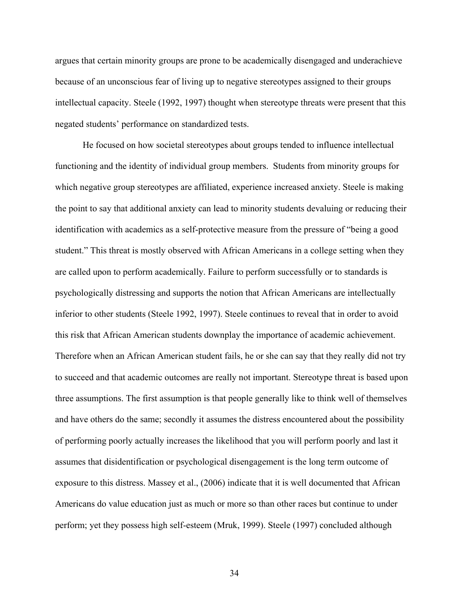argues that certain minority groups are prone to be academically disengaged and underachieve because of an unconscious fear of living up to negative stereotypes assigned to their groups intellectual capacity. Steele (1992, 1997) thought when stereotype threats were present that this negated students' performance on standardized tests.

He focused on how societal stereotypes about groups tended to influence intellectual functioning and the identity of individual group members. Students from minority groups for which negative group stereotypes are affiliated, experience increased anxiety. Steele is making the point to say that additional anxiety can lead to minority students devaluing or reducing their identification with academics as a self-protective measure from the pressure of "being a good student." This threat is mostly observed with African Americans in a college setting when they are called upon to perform academically. Failure to perform successfully or to standards is psychologically distressing and supports the notion that African Americans are intellectually inferior to other students (Steele 1992, 1997). Steele continues to reveal that in order to avoid this risk that African American students downplay the importance of academic achievement. Therefore when an African American student fails, he or she can say that they really did not try to succeed and that academic outcomes are really not important. Stereotype threat is based upon three assumptions. The first assumption is that people generally like to think well of themselves and have others do the same; secondly it assumes the distress encountered about the possibility of performing poorly actually increases the likelihood that you will perform poorly and last it assumes that disidentification or psychological disengagement is the long term outcome of exposure to this distress. Massey et al., (2006) indicate that it is well documented that African Americans do value education just as much or more so than other races but continue to under perform; yet they possess high self-esteem (Mruk, 1999). Steele (1997) concluded although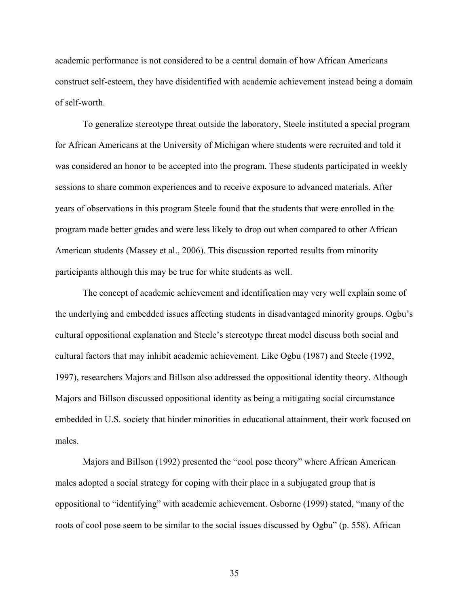academic performance is not considered to be a central domain of how African Americans construct self-esteem, they have disidentified with academic achievement instead being a domain of self-worth.

To generalize stereotype threat outside the laboratory, Steele instituted a special program for African Americans at the University of Michigan where students were recruited and told it was considered an honor to be accepted into the program. These students participated in weekly sessions to share common experiences and to receive exposure to advanced materials. After years of observations in this program Steele found that the students that were enrolled in the program made better grades and were less likely to drop out when compared to other African American students (Massey et al., 2006). This discussion reported results from minority participants although this may be true for white students as well.

The concept of academic achievement and identification may very well explain some of the underlying and embedded issues affecting students in disadvantaged minority groups. Ogbu's cultural oppositional explanation and Steele's stereotype threat model discuss both social and cultural factors that may inhibit academic achievement. Like Ogbu (1987) and Steele (1992, 1997), researchers Majors and Billson also addressed the oppositional identity theory. Although Majors and Billson discussed oppositional identity as being a mitigating social circumstance embedded in U.S. society that hinder minorities in educational attainment, their work focused on males.

Majors and Billson (1992) presented the "cool pose theory" where African American males adopted a social strategy for coping with their place in a subjugated group that is oppositional to "identifying" with academic achievement. Osborne (1999) stated, "many of the roots of cool pose seem to be similar to the social issues discussed by Ogbu" (p. 558). African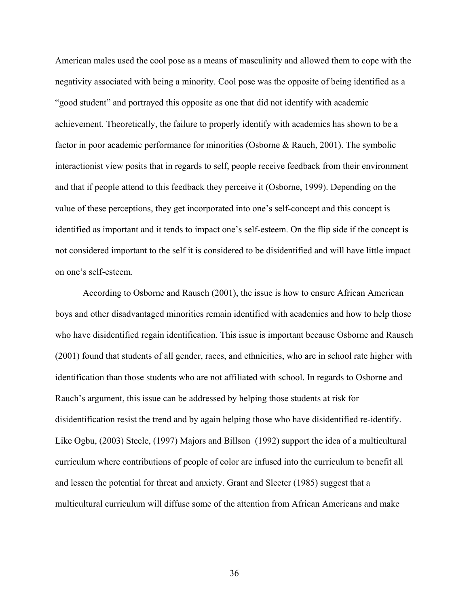American males used the cool pose as a means of masculinity and allowed them to cope with the negativity associated with being a minority. Cool pose was the opposite of being identified as a "good student" and portrayed this opposite as one that did not identify with academic achievement. Theoretically, the failure to properly identify with academics has shown to be a factor in poor academic performance for minorities (Osborne & Rauch, 2001). The symbolic interactionist view posits that in regards to self, people receive feedback from their environment and that if people attend to this feedback they perceive it (Osborne, 1999). Depending on the value of these perceptions, they get incorporated into one's self-concept and this concept is identified as important and it tends to impact one's self-esteem. On the flip side if the concept is not considered important to the self it is considered to be disidentified and will have little impact on one's self-esteem.

According to Osborne and Rausch (2001), the issue is how to ensure African American boys and other disadvantaged minorities remain identified with academics and how to help those who have disidentified regain identification. This issue is important because Osborne and Rausch (2001) found that students of all gender, races, and ethnicities, who are in school rate higher with identification than those students who are not affiliated with school. In regards to Osborne and Rauch's argument, this issue can be addressed by helping those students at risk for disidentification resist the trend and by again helping those who have disidentified re-identify. Like Ogbu, (2003) Steele, (1997) Majors and Billson (1992) support the idea of a multicultural curriculum where contributions of people of color are infused into the curriculum to benefit all and lessen the potential for threat and anxiety. Grant and Sleeter (1985) suggest that a multicultural curriculum will diffuse some of the attention from African Americans and make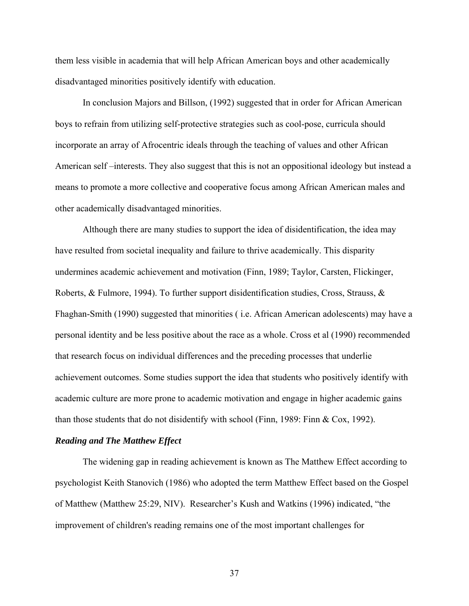them less visible in academia that will help African American boys and other academically disadvantaged minorities positively identify with education.

In conclusion Majors and Billson, (1992) suggested that in order for African American boys to refrain from utilizing self-protective strategies such as cool-pose, curricula should incorporate an array of Afrocentric ideals through the teaching of values and other African American self –interests. They also suggest that this is not an oppositional ideology but instead a means to promote a more collective and cooperative focus among African American males and other academically disadvantaged minorities.

Although there are many studies to support the idea of disidentification, the idea may have resulted from societal inequality and failure to thrive academically. This disparity undermines academic achievement and motivation (Finn, 1989; Taylor, Carsten, Flickinger, Roberts, & Fulmore, 1994). To further support disidentification studies, Cross, Strauss, & Fhaghan-Smith (1990) suggested that minorities ( i.e. African American adolescents) may have a personal identity and be less positive about the race as a whole. Cross et al (1990) recommended that research focus on individual differences and the preceding processes that underlie achievement outcomes. Some studies support the idea that students who positively identify with academic culture are more prone to academic motivation and engage in higher academic gains than those students that do not disidentify with school (Finn, 1989: Finn & Cox, 1992).

## *Reading and The Matthew Effect*

The widening gap in reading achievement is known as The Matthew Effect according to psychologist Keith Stanovich (1986) who adopted the term Matthew Effect based on the Gospel of Matthew (Matthew 25:29, NIV). Researcher's Kush and Watkins (1996) indicated, "the improvement of children's reading remains one of the most important challenges for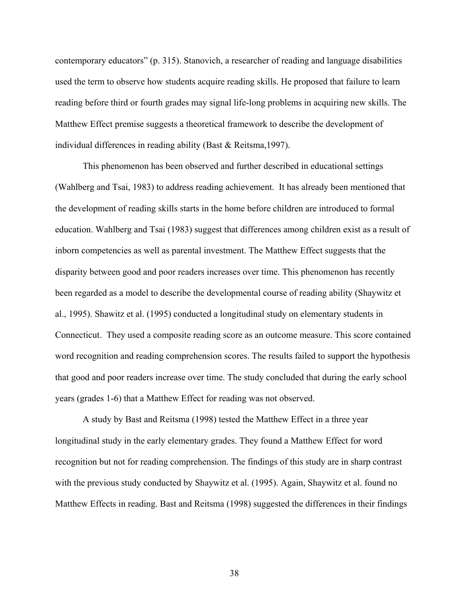contemporary educators" (p. 315). Stanovich, a researcher of reading and language disabilities used the term to observe how students acquire reading skills. He proposed that failure to learn reading before third or fourth grades may signal life-long problems in acquiring new skills. The Matthew Effect premise suggests a theoretical framework to describe the development of individual differences in reading ability (Bast & Reitsma,1997).

This phenomenon has been observed and further described in educational settings (Wahlberg and Tsai, 1983) to address reading achievement. It has already been mentioned that the development of reading skills starts in the home before children are introduced to formal education. Wahlberg and Tsai (1983) suggest that differences among children exist as a result of inborn competencies as well as parental investment. The Matthew Effect suggests that the disparity between good and poor readers increases over time. This phenomenon has recently been regarded as a model to describe the developmental course of reading ability (Shaywitz et al., 1995). Shawitz et al. (1995) conducted a longitudinal study on elementary students in Connecticut. They used a composite reading score as an outcome measure. This score contained word recognition and reading comprehension scores. The results failed to support the hypothesis that good and poor readers increase over time. The study concluded that during the early school years (grades 1-6) that a Matthew Effect for reading was not observed.

A study by Bast and Reitsma (1998) tested the Matthew Effect in a three year longitudinal study in the early elementary grades. They found a Matthew Effect for word recognition but not for reading comprehension. The findings of this study are in sharp contrast with the previous study conducted by Shaywitz et al. (1995). Again, Shaywitz et al. found no Matthew Effects in reading. Bast and Reitsma (1998) suggested the differences in their findings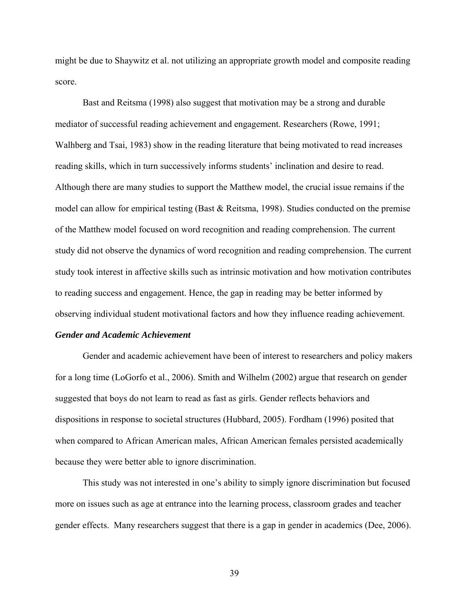might be due to Shaywitz et al. not utilizing an appropriate growth model and composite reading score.

Bast and Reitsma (1998) also suggest that motivation may be a strong and durable mediator of successful reading achievement and engagement. Researchers (Rowe, 1991; Walhberg and Tsai, 1983) show in the reading literature that being motivated to read increases reading skills, which in turn successively informs students' inclination and desire to read. Although there are many studies to support the Matthew model, the crucial issue remains if the model can allow for empirical testing (Bast & Reitsma, 1998). Studies conducted on the premise of the Matthew model focused on word recognition and reading comprehension. The current study did not observe the dynamics of word recognition and reading comprehension. The current study took interest in affective skills such as intrinsic motivation and how motivation contributes to reading success and engagement. Hence, the gap in reading may be better informed by observing individual student motivational factors and how they influence reading achievement.

## *Gender and Academic Achievement*

 Gender and academic achievement have been of interest to researchers and policy makers for a long time (LoGorfo et al., 2006). Smith and Wilhelm (2002) argue that research on gender suggested that boys do not learn to read as fast as girls. Gender reflects behaviors and dispositions in response to societal structures (Hubbard, 2005). Fordham (1996) posited that when compared to African American males, African American females persisted academically because they were better able to ignore discrimination.

This study was not interested in one's ability to simply ignore discrimination but focused more on issues such as age at entrance into the learning process, classroom grades and teacher gender effects. Many researchers suggest that there is a gap in gender in academics (Dee, 2006).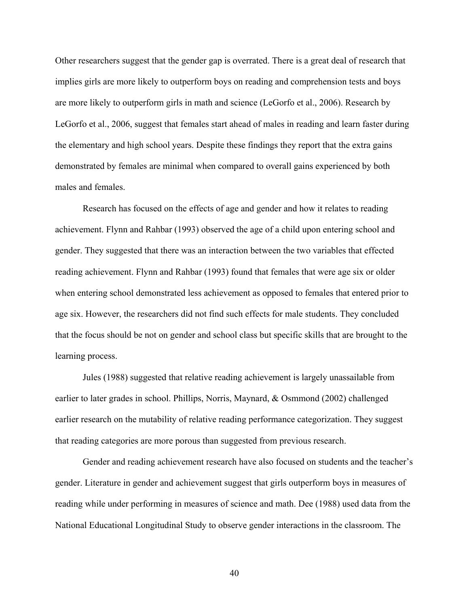Other researchers suggest that the gender gap is overrated. There is a great deal of research that implies girls are more likely to outperform boys on reading and comprehension tests and boys are more likely to outperform girls in math and science (LeGorfo et al., 2006). Research by LeGorfo et al., 2006, suggest that females start ahead of males in reading and learn faster during the elementary and high school years. Despite these findings they report that the extra gains demonstrated by females are minimal when compared to overall gains experienced by both males and females.

Research has focused on the effects of age and gender and how it relates to reading achievement. Flynn and Rahbar (1993) observed the age of a child upon entering school and gender. They suggested that there was an interaction between the two variables that effected reading achievement. Flynn and Rahbar (1993) found that females that were age six or older when entering school demonstrated less achievement as opposed to females that entered prior to age six. However, the researchers did not find such effects for male students. They concluded that the focus should be not on gender and school class but specific skills that are brought to the learning process.

Jules (1988) suggested that relative reading achievement is largely unassailable from earlier to later grades in school. Phillips, Norris, Maynard, & Osmmond (2002) challenged earlier research on the mutability of relative reading performance categorization. They suggest that reading categories are more porous than suggested from previous research.

Gender and reading achievement research have also focused on students and the teacher's gender. Literature in gender and achievement suggest that girls outperform boys in measures of reading while under performing in measures of science and math. Dee (1988) used data from the National Educational Longitudinal Study to observe gender interactions in the classroom. The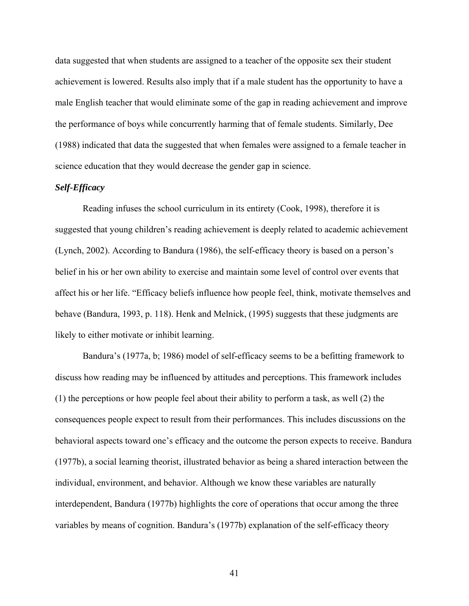data suggested that when students are assigned to a teacher of the opposite sex their student achievement is lowered. Results also imply that if a male student has the opportunity to have a male English teacher that would eliminate some of the gap in reading achievement and improve the performance of boys while concurrently harming that of female students. Similarly, Dee (1988) indicated that data the suggested that when females were assigned to a female teacher in science education that they would decrease the gender gap in science.

# *Self-Efficacy*

Reading infuses the school curriculum in its entirety (Cook, 1998), therefore it is suggested that young children's reading achievement is deeply related to academic achievement (Lynch, 2002). According to Bandura (1986), the self-efficacy theory is based on a person's belief in his or her own ability to exercise and maintain some level of control over events that affect his or her life. "Efficacy beliefs influence how people feel, think, motivate themselves and behave (Bandura, 1993, p. 118). Henk and Melnick, (1995) suggests that these judgments are likely to either motivate or inhibit learning.

Bandura's (1977a, b; 1986) model of self-efficacy seems to be a befitting framework to discuss how reading may be influenced by attitudes and perceptions. This framework includes (1) the perceptions or how people feel about their ability to perform a task, as well (2) the consequences people expect to result from their performances. This includes discussions on the behavioral aspects toward one's efficacy and the outcome the person expects to receive. Bandura (1977b), a social learning theorist, illustrated behavior as being a shared interaction between the individual, environment, and behavior. Although we know these variables are naturally interdependent, Bandura (1977b) highlights the core of operations that occur among the three variables by means of cognition. Bandura's (1977b) explanation of the self-efficacy theory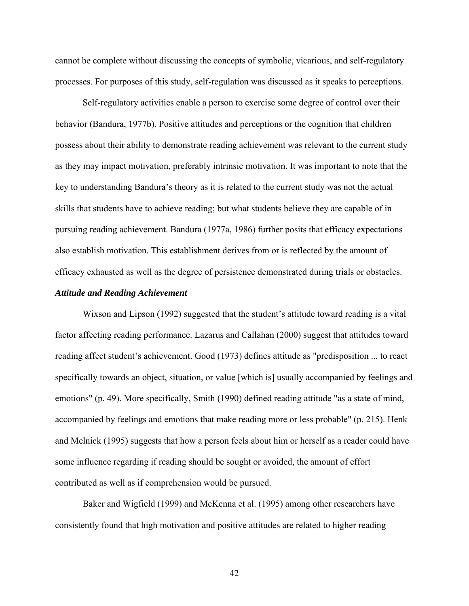cannot be complete without discussing the concepts of symbolic, vicarious, and self-regulatory processes. For purposes of this study, self-regulation was discussed as it speaks to perceptions.

Self-regulatory activities enable a person to exercise some degree of control over their behavior (Bandura, 1977b). Positive attitudes and perceptions or the cognition that children possess about their ability to demonstrate reading achievement was relevant to the current study as they may impact motivation, preferably intrinsic motivation. It was important to note that the key to understanding Bandura's theory as it is related to the current study was not the actual skills that students have to achieve reading; but what students believe they are capable of in pursuing reading achievement. Bandura (1977a, 1986) further posits that efficacy expectations also establish motivation. This establishment derives from or is reflected by the amount of efficacy exhausted as well as the degree of persistence demonstrated during trials or obstacles.

### *Attitude and Reading Achievement*

Wixson and Lipson (1992) suggested that the student's attitude toward reading is a vital factor affecting reading performance. Lazarus and Callahan (2000) suggest that attitudes toward reading affect student's achievement. Good (1973) defines attitude as "predisposition ... to react specifically towards an object, situation, or value [which is] usually accompanied by feelings and emotions" (p. 49). More specifically, Smith (1990) defined reading attitude "as a state of mind, accompanied by feelings and emotions that make reading more or less probable" (p. 215). Henk and Melnick (1995) suggests that how a person feels about him or herself as a reader could have some influence regarding if reading should be sought or avoided, the amount of effort contributed as well as if comprehension would be pursued.

Baker and Wigfield (1999) and McKenna et al. (1995) among other researchers have consistently found that high motivation and positive attitudes are related to higher reading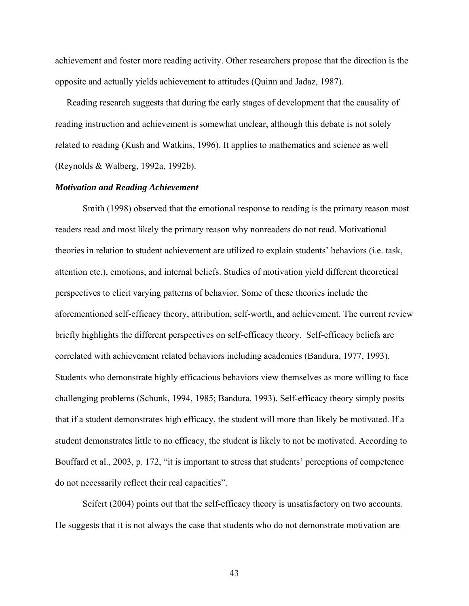achievement and foster more reading activity. Other researchers propose that the direction is the opposite and actually yields achievement to attitudes (Quinn and Jadaz, 1987).

 Reading research suggests that during the early stages of development that the causality of reading instruction and achievement is somewhat unclear, although this debate is not solely related to reading (Kush and Watkins, 1996). It applies to mathematics and science as well (Reynolds & Walberg, 1992a, 1992b).

### *Motivation and Reading Achievement*

Smith (1998) observed that the emotional response to reading is the primary reason most readers read and most likely the primary reason why nonreaders do not read. Motivational theories in relation to student achievement are utilized to explain students' behaviors (i.e. task, attention etc.), emotions, and internal beliefs. Studies of motivation yield different theoretical perspectives to elicit varying patterns of behavior. Some of these theories include the aforementioned self-efficacy theory, attribution, self-worth, and achievement. The current review briefly highlights the different perspectives on self-efficacy theory. Self-efficacy beliefs are correlated with achievement related behaviors including academics (Bandura, 1977, 1993). Students who demonstrate highly efficacious behaviors view themselves as more willing to face challenging problems (Schunk, 1994, 1985; Bandura, 1993). Self-efficacy theory simply posits that if a student demonstrates high efficacy, the student will more than likely be motivated. If a student demonstrates little to no efficacy, the student is likely to not be motivated. According to Bouffard et al., 2003, p. 172, "it is important to stress that students' perceptions of competence do not necessarily reflect their real capacities".

Seifert (2004) points out that the self-efficacy theory is unsatisfactory on two accounts. He suggests that it is not always the case that students who do not demonstrate motivation are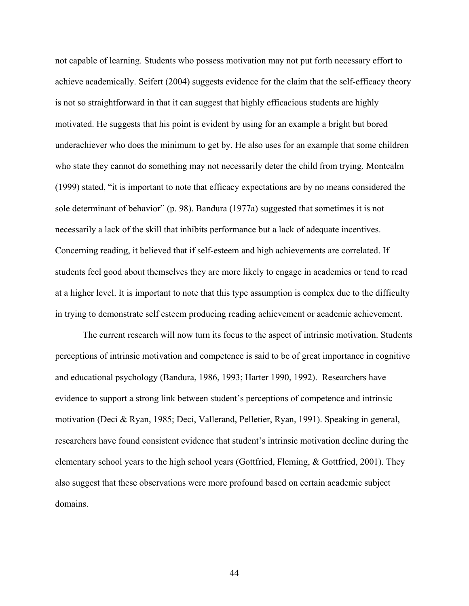not capable of learning. Students who possess motivation may not put forth necessary effort to achieve academically. Seifert (2004) suggests evidence for the claim that the self-efficacy theory is not so straightforward in that it can suggest that highly efficacious students are highly motivated. He suggests that his point is evident by using for an example a bright but bored underachiever who does the minimum to get by. He also uses for an example that some children who state they cannot do something may not necessarily deter the child from trying. Montcalm (1999) stated, "it is important to note that efficacy expectations are by no means considered the sole determinant of behavior" (p. 98). Bandura (1977a) suggested that sometimes it is not necessarily a lack of the skill that inhibits performance but a lack of adequate incentives. Concerning reading, it believed that if self-esteem and high achievements are correlated. If students feel good about themselves they are more likely to engage in academics or tend to read at a higher level. It is important to note that this type assumption is complex due to the difficulty in trying to demonstrate self esteem producing reading achievement or academic achievement.

The current research will now turn its focus to the aspect of intrinsic motivation. Students perceptions of intrinsic motivation and competence is said to be of great importance in cognitive and educational psychology (Bandura, 1986, 1993; Harter 1990, 1992). Researchers have evidence to support a strong link between student's perceptions of competence and intrinsic motivation (Deci & Ryan, 1985; Deci, Vallerand, Pelletier, Ryan, 1991). Speaking in general, researchers have found consistent evidence that student's intrinsic motivation decline during the elementary school years to the high school years (Gottfried, Fleming, & Gottfried, 2001). They also suggest that these observations were more profound based on certain academic subject domains.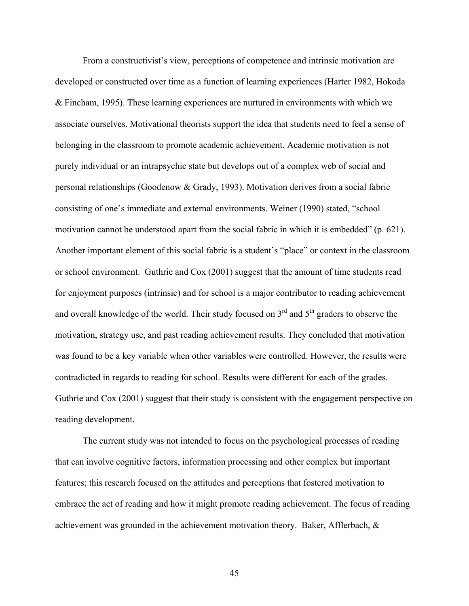From a constructivist's view, perceptions of competence and intrinsic motivation are developed or constructed over time as a function of learning experiences (Harter 1982, Hokoda & Fincham, 1995). These learning experiences are nurtured in environments with which we associate ourselves. Motivational theorists support the idea that students need to feel a sense of belonging in the classroom to promote academic achievement. Academic motivation is not purely individual or an intrapsychic state but develops out of a complex web of social and personal relationships (Goodenow & Grady, 1993). Motivation derives from a social fabric consisting of one's immediate and external environments. Weiner (1990) stated, "school motivation cannot be understood apart from the social fabric in which it is embedded" (p. 621). Another important element of this social fabric is a student's "place" or context in the classroom or school environment. Guthrie and Cox (2001) suggest that the amount of time students read for enjoyment purposes (intrinsic) and for school is a major contributor to reading achievement and overall knowledge of the world. Their study focused on  $3<sup>rd</sup>$  and  $5<sup>th</sup>$  graders to observe the motivation, strategy use, and past reading achievement results. They concluded that motivation was found to be a key variable when other variables were controlled. However, the results were contradicted in regards to reading for school. Results were different for each of the grades. Guthrie and Cox (2001) suggest that their study is consistent with the engagement perspective on reading development.

The current study was not intended to focus on the psychological processes of reading that can involve cognitive factors, information processing and other complex but important features; this research focused on the attitudes and perceptions that fostered motivation to embrace the act of reading and how it might promote reading achievement. The focus of reading achievement was grounded in the achievement motivation theory. Baker, Afflerbach, &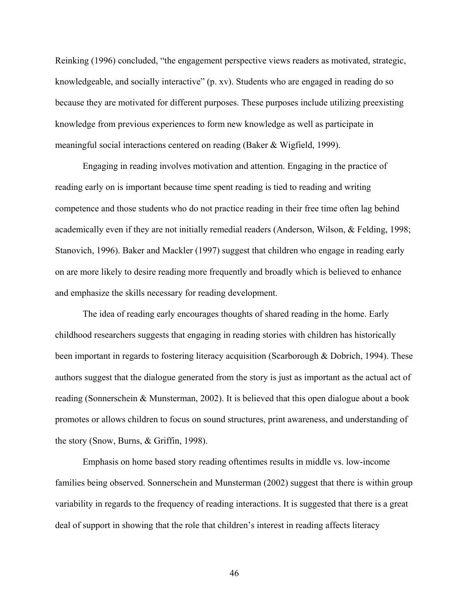Reinking (1996) concluded, "the engagement perspective views readers as motivated, strategic, knowledgeable, and socially interactive" (p. xv). Students who are engaged in reading do so because they are motivated for different purposes. These purposes include utilizing preexisting knowledge from previous experiences to form new knowledge as well as participate in meaningful social interactions centered on reading (Baker & Wigfield, 1999).

Engaging in reading involves motivation and attention. Engaging in the practice of reading early on is important because time spent reading is tied to reading and writing competence and those students who do not practice reading in their free time often lag behind academically even if they are not initially remedial readers (Anderson, Wilson, & Felding, 1998; Stanovich, 1996). Baker and Mackler (1997) suggest that children who engage in reading early on are more likely to desire reading more frequently and broadly which is believed to enhance and emphasize the skills necessary for reading development.

The idea of reading early encourages thoughts of shared reading in the home. Early childhood researchers suggests that engaging in reading stories with children has historically been important in regards to fostering literacy acquisition (Scarborough & Dobrich, 1994). These authors suggest that the dialogue generated from the story is just as important as the actual act of reading (Sonnerschein & Munsterman, 2002). It is believed that this open dialogue about a book promotes or allows children to focus on sound structures, print awareness, and understanding of the story (Snow, Burns, & Griffin, 1998).

Emphasis on home based story reading oftentimes results in middle vs. low-income families being observed. Sonnerschein and Munsterman (2002) suggest that there is within group variability in regards to the frequency of reading interactions. It is suggested that there is a great deal of support in showing that the role that children's interest in reading affects literacy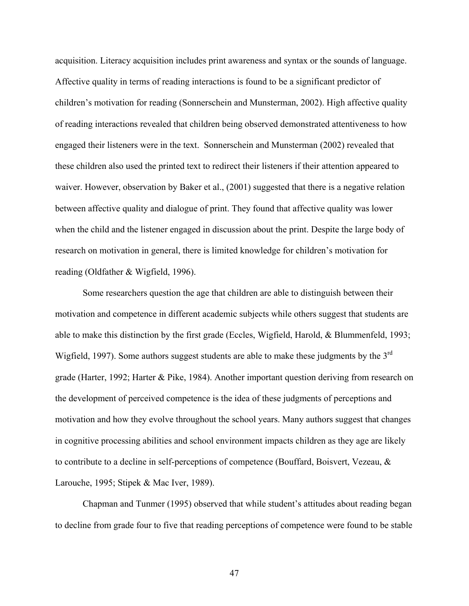acquisition. Literacy acquisition includes print awareness and syntax or the sounds of language. Affective quality in terms of reading interactions is found to be a significant predictor of children's motivation for reading (Sonnerschein and Munsterman, 2002). High affective quality of reading interactions revealed that children being observed demonstrated attentiveness to how engaged their listeners were in the text. Sonnerschein and Munsterman (2002) revealed that these children also used the printed text to redirect their listeners if their attention appeared to waiver. However, observation by Baker et al., (2001) suggested that there is a negative relation between affective quality and dialogue of print. They found that affective quality was lower when the child and the listener engaged in discussion about the print. Despite the large body of research on motivation in general, there is limited knowledge for children's motivation for reading (Oldfather & Wigfield, 1996).

Some researchers question the age that children are able to distinguish between their motivation and competence in different academic subjects while others suggest that students are able to make this distinction by the first grade (Eccles, Wigfield, Harold, & Blummenfeld, 1993; Wigfield, 1997). Some authors suggest students are able to make these judgments by the 3<sup>rd</sup> grade (Harter, 1992; Harter & Pike, 1984). Another important question deriving from research on the development of perceived competence is the idea of these judgments of perceptions and motivation and how they evolve throughout the school years. Many authors suggest that changes in cognitive processing abilities and school environment impacts children as they age are likely to contribute to a decline in self-perceptions of competence (Bouffard, Boisvert, Vezeau, & Larouche, 1995; Stipek & Mac Iver, 1989).

Chapman and Tunmer (1995) observed that while student's attitudes about reading began to decline from grade four to five that reading perceptions of competence were found to be stable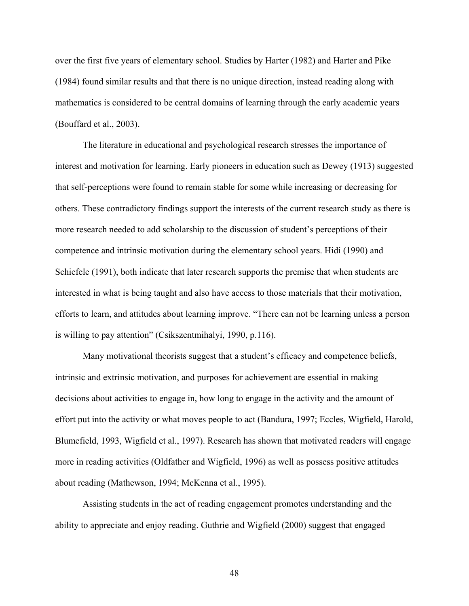over the first five years of elementary school. Studies by Harter (1982) and Harter and Pike (1984) found similar results and that there is no unique direction, instead reading along with mathematics is considered to be central domains of learning through the early academic years (Bouffard et al., 2003).

The literature in educational and psychological research stresses the importance of interest and motivation for learning. Early pioneers in education such as Dewey (1913) suggested that self-perceptions were found to remain stable for some while increasing or decreasing for others. These contradictory findings support the interests of the current research study as there is more research needed to add scholarship to the discussion of student's perceptions of their competence and intrinsic motivation during the elementary school years. Hidi (1990) and Schiefele (1991), both indicate that later research supports the premise that when students are interested in what is being taught and also have access to those materials that their motivation, efforts to learn, and attitudes about learning improve. "There can not be learning unless a person is willing to pay attention" (Csikszentmihalyi, 1990, p.116).

Many motivational theorists suggest that a student's efficacy and competence beliefs, intrinsic and extrinsic motivation, and purposes for achievement are essential in making decisions about activities to engage in, how long to engage in the activity and the amount of effort put into the activity or what moves people to act (Bandura, 1997; Eccles, Wigfield, Harold, Blumefield, 1993, Wigfield et al., 1997). Research has shown that motivated readers will engage more in reading activities (Oldfather and Wigfield, 1996) as well as possess positive attitudes about reading (Mathewson, 1994; McKenna et al., 1995).

Assisting students in the act of reading engagement promotes understanding and the ability to appreciate and enjoy reading. Guthrie and Wigfield (2000) suggest that engaged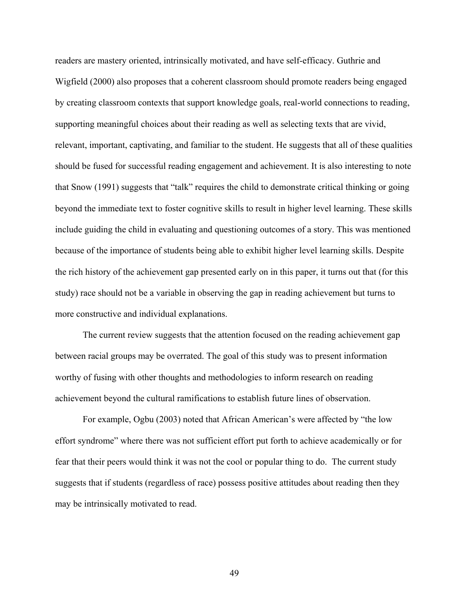readers are mastery oriented, intrinsically motivated, and have self-efficacy. Guthrie and Wigfield (2000) also proposes that a coherent classroom should promote readers being engaged by creating classroom contexts that support knowledge goals, real-world connections to reading, supporting meaningful choices about their reading as well as selecting texts that are vivid, relevant, important, captivating, and familiar to the student. He suggests that all of these qualities should be fused for successful reading engagement and achievement. It is also interesting to note that Snow (1991) suggests that "talk" requires the child to demonstrate critical thinking or going beyond the immediate text to foster cognitive skills to result in higher level learning. These skills include guiding the child in evaluating and questioning outcomes of a story. This was mentioned because of the importance of students being able to exhibit higher level learning skills. Despite the rich history of the achievement gap presented early on in this paper, it turns out that (for this study) race should not be a variable in observing the gap in reading achievement but turns to more constructive and individual explanations.

The current review suggests that the attention focused on the reading achievement gap between racial groups may be overrated. The goal of this study was to present information worthy of fusing with other thoughts and methodologies to inform research on reading achievement beyond the cultural ramifications to establish future lines of observation.

For example, Ogbu (2003) noted that African American's were affected by "the low effort syndrome" where there was not sufficient effort put forth to achieve academically or for fear that their peers would think it was not the cool or popular thing to do. The current study suggests that if students (regardless of race) possess positive attitudes about reading then they may be intrinsically motivated to read.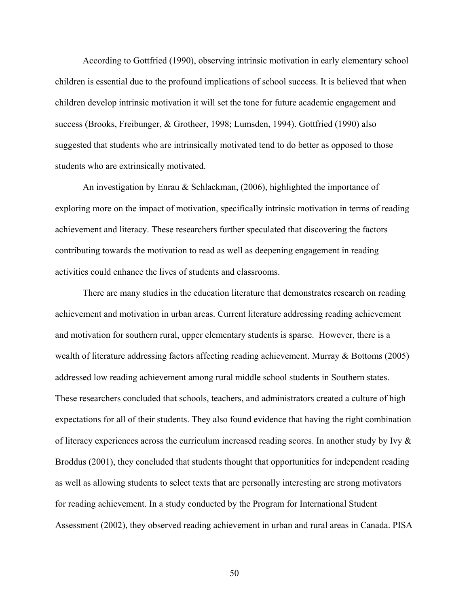According to Gottfried (1990), observing intrinsic motivation in early elementary school children is essential due to the profound implications of school success. It is believed that when children develop intrinsic motivation it will set the tone for future academic engagement and success (Brooks, Freibunger, & Grotheer, 1998; Lumsden, 1994). Gottfried (1990) also suggested that students who are intrinsically motivated tend to do better as opposed to those students who are extrinsically motivated.

An investigation by Enrau & Schlackman, (2006), highlighted the importance of exploring more on the impact of motivation, specifically intrinsic motivation in terms of reading achievement and literacy. These researchers further speculated that discovering the factors contributing towards the motivation to read as well as deepening engagement in reading activities could enhance the lives of students and classrooms.

There are many studies in the education literature that demonstrates research on reading achievement and motivation in urban areas. Current literature addressing reading achievement and motivation for southern rural, upper elementary students is sparse. However, there is a wealth of literature addressing factors affecting reading achievement. Murray & Bottoms (2005) addressed low reading achievement among rural middle school students in Southern states. These researchers concluded that schools, teachers, and administrators created a culture of high expectations for all of their students. They also found evidence that having the right combination of literacy experiences across the curriculum increased reading scores. In another study by Ivy  $\&$ Broddus (2001), they concluded that students thought that opportunities for independent reading as well as allowing students to select texts that are personally interesting are strong motivators for reading achievement. In a study conducted by the Program for International Student Assessment (2002), they observed reading achievement in urban and rural areas in Canada. PISA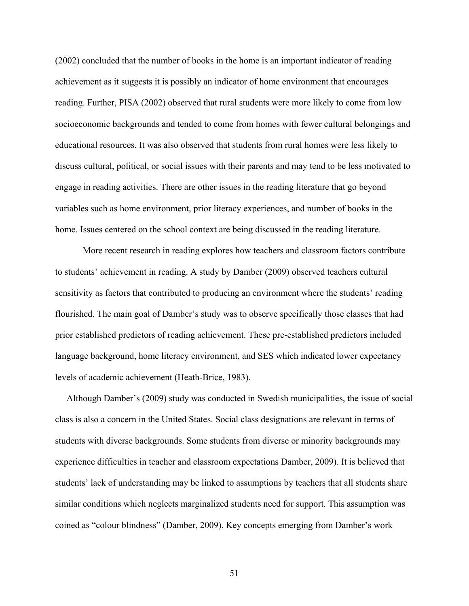(2002) concluded that the number of books in the home is an important indicator of reading achievement as it suggests it is possibly an indicator of home environment that encourages reading. Further, PISA (2002) observed that rural students were more likely to come from low socioeconomic backgrounds and tended to come from homes with fewer cultural belongings and educational resources. It was also observed that students from rural homes were less likely to discuss cultural, political, or social issues with their parents and may tend to be less motivated to engage in reading activities. There are other issues in the reading literature that go beyond variables such as home environment, prior literacy experiences, and number of books in the home. Issues centered on the school context are being discussed in the reading literature.

More recent research in reading explores how teachers and classroom factors contribute to students' achievement in reading. A study by Damber (2009) observed teachers cultural sensitivity as factors that contributed to producing an environment where the students' reading flourished. The main goal of Damber's study was to observe specifically those classes that had prior established predictors of reading achievement. These pre-established predictors included language background, home literacy environment, and SES which indicated lower expectancy levels of academic achievement (Heath-Brice, 1983).

 Although Damber's (2009) study was conducted in Swedish municipalities, the issue of social class is also a concern in the United States. Social class designations are relevant in terms of students with diverse backgrounds. Some students from diverse or minority backgrounds may experience difficulties in teacher and classroom expectations Damber, 2009). It is believed that students' lack of understanding may be linked to assumptions by teachers that all students share similar conditions which neglects marginalized students need for support. This assumption was coined as "colour blindness" (Damber, 2009). Key concepts emerging from Damber's work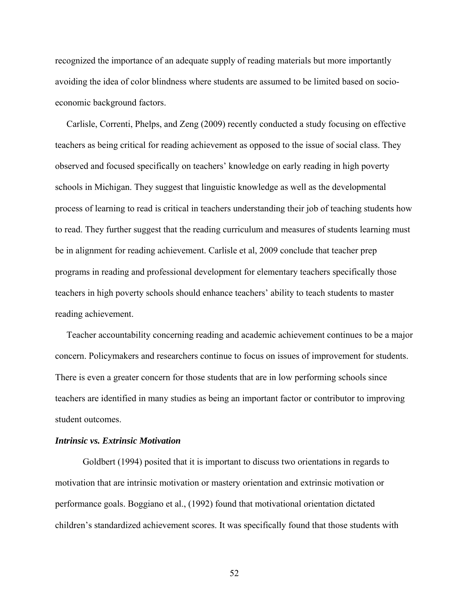recognized the importance of an adequate supply of reading materials but more importantly avoiding the idea of color blindness where students are assumed to be limited based on socioeconomic background factors.

 Carlisle, Correnti, Phelps, and Zeng (2009) recently conducted a study focusing on effective teachers as being critical for reading achievement as opposed to the issue of social class. They observed and focused specifically on teachers' knowledge on early reading in high poverty schools in Michigan. They suggest that linguistic knowledge as well as the developmental process of learning to read is critical in teachers understanding their job of teaching students how to read. They further suggest that the reading curriculum and measures of students learning must be in alignment for reading achievement. Carlisle et al, 2009 conclude that teacher prep programs in reading and professional development for elementary teachers specifically those teachers in high poverty schools should enhance teachers' ability to teach students to master reading achievement.

 Teacher accountability concerning reading and academic achievement continues to be a major concern. Policymakers and researchers continue to focus on issues of improvement for students. There is even a greater concern for those students that are in low performing schools since teachers are identified in many studies as being an important factor or contributor to improving student outcomes.

# *Intrinsic vs. Extrinsic Motivation*

Goldbert (1994) posited that it is important to discuss two orientations in regards to motivation that are intrinsic motivation or mastery orientation and extrinsic motivation or performance goals. Boggiano et al., (1992) found that motivational orientation dictated children's standardized achievement scores. It was specifically found that those students with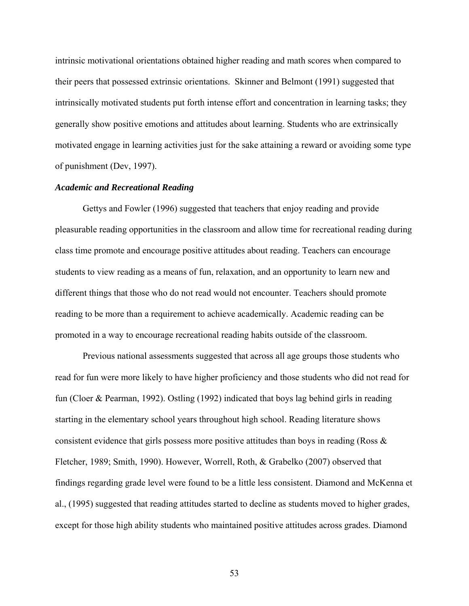intrinsic motivational orientations obtained higher reading and math scores when compared to their peers that possessed extrinsic orientations. Skinner and Belmont (1991) suggested that intrinsically motivated students put forth intense effort and concentration in learning tasks; they generally show positive emotions and attitudes about learning. Students who are extrinsically motivated engage in learning activities just for the sake attaining a reward or avoiding some type of punishment (Dev, 1997).

### *Academic and Recreational Reading*

Gettys and Fowler (1996) suggested that teachers that enjoy reading and provide pleasurable reading opportunities in the classroom and allow time for recreational reading during class time promote and encourage positive attitudes about reading. Teachers can encourage students to view reading as a means of fun, relaxation, and an opportunity to learn new and different things that those who do not read would not encounter. Teachers should promote reading to be more than a requirement to achieve academically. Academic reading can be promoted in a way to encourage recreational reading habits outside of the classroom.

Previous national assessments suggested that across all age groups those students who read for fun were more likely to have higher proficiency and those students who did not read for fun (Cloer & Pearman, 1992). Ostling (1992) indicated that boys lag behind girls in reading starting in the elementary school years throughout high school. Reading literature shows consistent evidence that girls possess more positive attitudes than boys in reading (Ross & Fletcher, 1989; Smith, 1990). However, Worrell, Roth, & Grabelko (2007) observed that findings regarding grade level were found to be a little less consistent. Diamond and McKenna et al., (1995) suggested that reading attitudes started to decline as students moved to higher grades, except for those high ability students who maintained positive attitudes across grades. Diamond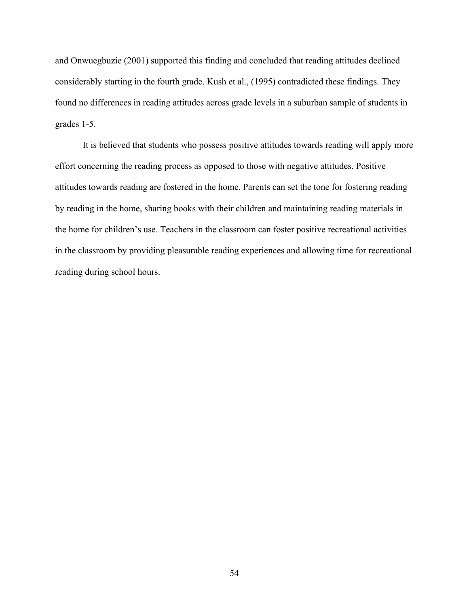and Onwuegbuzie (2001) supported this finding and concluded that reading attitudes declined considerably starting in the fourth grade. Kush et al., (1995) contradicted these findings. They found no differences in reading attitudes across grade levels in a suburban sample of students in grades 1-5.

It is believed that students who possess positive attitudes towards reading will apply more effort concerning the reading process as opposed to those with negative attitudes. Positive attitudes towards reading are fostered in the home. Parents can set the tone for fostering reading by reading in the home, sharing books with their children and maintaining reading materials in the home for children's use. Teachers in the classroom can foster positive recreational activities in the classroom by providing pleasurable reading experiences and allowing time for recreational reading during school hours.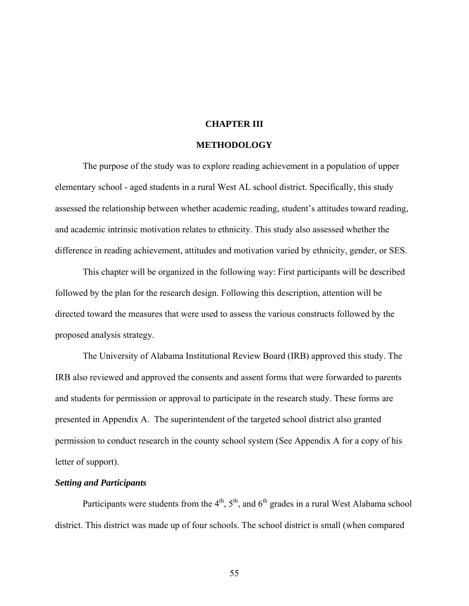## **CHAPTER III**

## **METHODOLOGY**

The purpose of the study was to explore reading achievement in a population of upper elementary school - aged students in a rural West AL school district. Specifically, this study assessed the relationship between whether academic reading, student's attitudes toward reading, and academic intrinsic motivation relates to ethnicity. This study also assessed whether the difference in reading achievement, attitudes and motivation varied by ethnicity, gender, or SES.

This chapter will be organized in the following way: First participants will be described followed by the plan for the research design. Following this description, attention will be directed toward the measures that were used to assess the various constructs followed by the proposed analysis strategy.

The University of Alabama Institutional Review Board (IRB) approved this study. The IRB also reviewed and approved the consents and assent forms that were forwarded to parents and students for permission or approval to participate in the research study. These forms are presented in Appendix A. The superintendent of the targeted school district also granted permission to conduct research in the county school system (See Appendix A for a copy of his letter of support).

## *Setting and Participants*

Participants were students from the  $4<sup>th</sup>$ ,  $5<sup>th</sup>$ , and  $6<sup>th</sup>$  grades in a rural West Alabama school district. This district was made up of four schools. The school district is small (when compared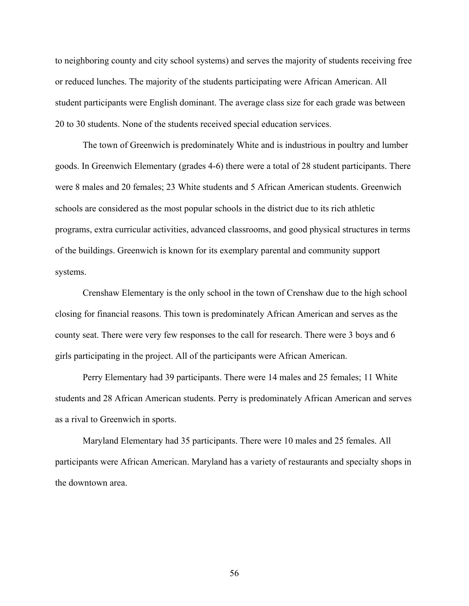to neighboring county and city school systems) and serves the majority of students receiving free or reduced lunches. The majority of the students participating were African American. All student participants were English dominant. The average class size for each grade was between 20 to 30 students. None of the students received special education services.

The town of Greenwich is predominately White and is industrious in poultry and lumber goods. In Greenwich Elementary (grades 4-6) there were a total of 28 student participants. There were 8 males and 20 females; 23 White students and 5 African American students. Greenwich schools are considered as the most popular schools in the district due to its rich athletic programs, extra curricular activities, advanced classrooms, and good physical structures in terms of the buildings. Greenwich is known for its exemplary parental and community support systems.

Crenshaw Elementary is the only school in the town of Crenshaw due to the high school closing for financial reasons. This town is predominately African American and serves as the county seat. There were very few responses to the call for research. There were 3 boys and 6 girls participating in the project. All of the participants were African American.

Perry Elementary had 39 participants. There were 14 males and 25 females; 11 White students and 28 African American students. Perry is predominately African American and serves as a rival to Greenwich in sports.

Maryland Elementary had 35 participants. There were 10 males and 25 females. All participants were African American. Maryland has a variety of restaurants and specialty shops in the downtown area.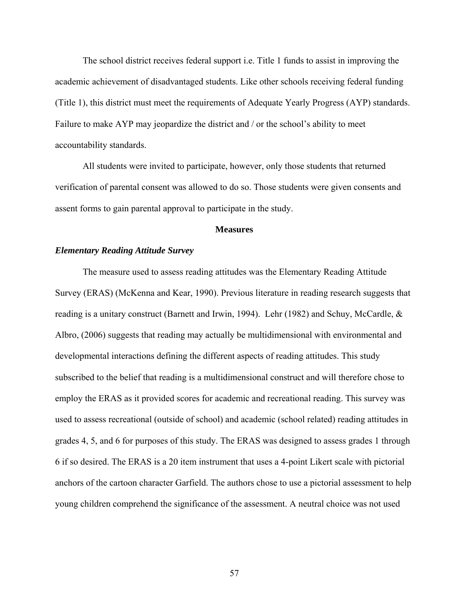The school district receives federal support i.e. Title 1 funds to assist in improving the academic achievement of disadvantaged students. Like other schools receiving federal funding (Title 1), this district must meet the requirements of Adequate Yearly Progress (AYP) standards. Failure to make AYP may jeopardize the district and / or the school's ability to meet accountability standards.

All students were invited to participate, however, only those students that returned verification of parental consent was allowed to do so. Those students were given consents and assent forms to gain parental approval to participate in the study.

#### **Measures**

### *Elementary Reading Attitude Survey*

The measure used to assess reading attitudes was the Elementary Reading Attitude Survey (ERAS) (McKenna and Kear, 1990). Previous literature in reading research suggests that reading is a unitary construct (Barnett and Irwin, 1994). Lehr (1982) and Schuy, McCardle, & Albro, (2006) suggests that reading may actually be multidimensional with environmental and developmental interactions defining the different aspects of reading attitudes. This study subscribed to the belief that reading is a multidimensional construct and will therefore chose to employ the ERAS as it provided scores for academic and recreational reading. This survey was used to assess recreational (outside of school) and academic (school related) reading attitudes in grades 4, 5, and 6 for purposes of this study. The ERAS was designed to assess grades 1 through 6 if so desired. The ERAS is a 20 item instrument that uses a 4-point Likert scale with pictorial anchors of the cartoon character Garfield. The authors chose to use a pictorial assessment to help young children comprehend the significance of the assessment. A neutral choice was not used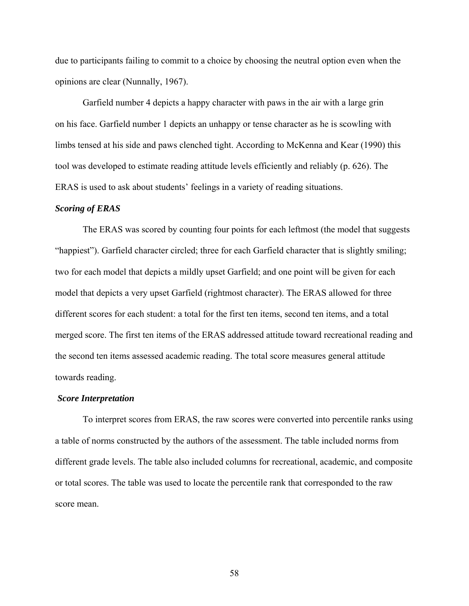due to participants failing to commit to a choice by choosing the neutral option even when the opinions are clear (Nunnally, 1967).

Garfield number 4 depicts a happy character with paws in the air with a large grin on his face. Garfield number 1 depicts an unhappy or tense character as he is scowling with limbs tensed at his side and paws clenched tight. According to McKenna and Kear (1990) this tool was developed to estimate reading attitude levels efficiently and reliably (p. 626). The ERAS is used to ask about students' feelings in a variety of reading situations.

#### *Scoring of ERAS*

The ERAS was scored by counting four points for each leftmost (the model that suggests "happiest"). Garfield character circled; three for each Garfield character that is slightly smiling; two for each model that depicts a mildly upset Garfield; and one point will be given for each model that depicts a very upset Garfield (rightmost character). The ERAS allowed for three different scores for each student: a total for the first ten items, second ten items, and a total merged score. The first ten items of the ERAS addressed attitude toward recreational reading and the second ten items assessed academic reading. The total score measures general attitude towards reading.

## *Score Interpretation*

To interpret scores from ERAS, the raw scores were converted into percentile ranks using a table of norms constructed by the authors of the assessment. The table included norms from different grade levels. The table also included columns for recreational, academic, and composite or total scores. The table was used to locate the percentile rank that corresponded to the raw score mean.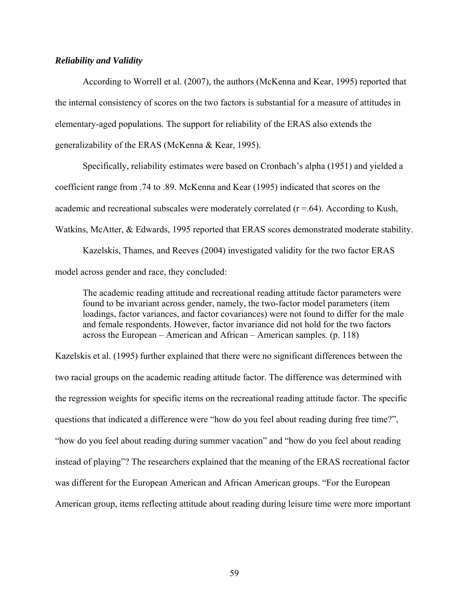## *Reliability and Validity*

According to Worrell et al. (2007), the authors (McKenna and Kear, 1995) reported that the internal consistency of scores on the two factors is substantial for a measure of attitudes in elementary-aged populations. The support for reliability of the ERAS also extends the generalizability of the ERAS (McKenna & Kear, 1995).

Specifically, reliability estimates were based on Cronbach's alpha (1951) and yielded a coefficient range from .74 to .89. McKenna and Kear (1995) indicated that scores on the academic and recreational subscales were moderately correlated  $(r = .64)$ . According to Kush, Watkins, McAtter, & Edwards, 1995 reported that ERAS scores demonstrated moderate stability.

Kazelskis, Thames, and Reeves (2004) investigated validity for the two factor ERAS model across gender and race, they concluded:

The academic reading attitude and recreational reading attitude factor parameters were found to be invariant across gender, namely, the two-factor model parameters (item loadings, factor variances, and factor covariances) were not found to differ for the male and female respondents. However, factor invariance did not hold for the two factors across the European – American and African – American samples. (p. 118)

Kazelskis et al. (1995) further explained that there were no significant differences between the two racial groups on the academic reading attitude factor. The difference was determined with the regression weights for specific items on the recreational reading attitude factor. The specific questions that indicated a difference were "how do you feel about reading during free time?", "how do you feel about reading during summer vacation" and "how do you feel about reading instead of playing"? The researchers explained that the meaning of the ERAS recreational factor was different for the European American and African American groups. "For the European American group, items reflecting attitude about reading during leisure time were more important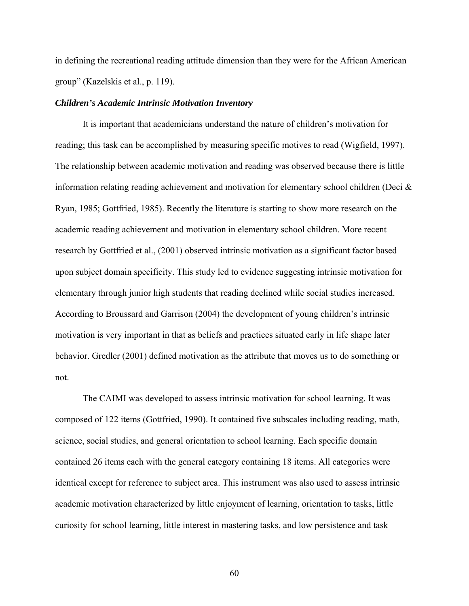in defining the recreational reading attitude dimension than they were for the African American group" (Kazelskis et al., p. 119).

#### *Children's Academic Intrinsic Motivation Inventory*

It is important that academicians understand the nature of children's motivation for reading; this task can be accomplished by measuring specific motives to read (Wigfield, 1997). The relationship between academic motivation and reading was observed because there is little information relating reading achievement and motivation for elementary school children (Deci  $\&$ Ryan, 1985; Gottfried, 1985). Recently the literature is starting to show more research on the academic reading achievement and motivation in elementary school children. More recent research by Gottfried et al., (2001) observed intrinsic motivation as a significant factor based upon subject domain specificity. This study led to evidence suggesting intrinsic motivation for elementary through junior high students that reading declined while social studies increased. According to Broussard and Garrison (2004) the development of young children's intrinsic motivation is very important in that as beliefs and practices situated early in life shape later behavior. Gredler (2001) defined motivation as the attribute that moves us to do something or not.

The CAIMI was developed to assess intrinsic motivation for school learning. It was composed of 122 items (Gottfried, 1990). It contained five subscales including reading, math, science, social studies, and general orientation to school learning. Each specific domain contained 26 items each with the general category containing 18 items. All categories were identical except for reference to subject area. This instrument was also used to assess intrinsic academic motivation characterized by little enjoyment of learning, orientation to tasks, little curiosity for school learning, little interest in mastering tasks, and low persistence and task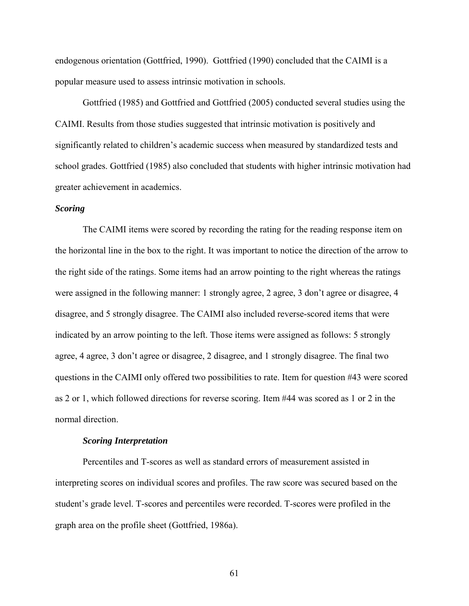endogenous orientation (Gottfried, 1990). Gottfried (1990) concluded that the CAIMI is a popular measure used to assess intrinsic motivation in schools.

Gottfried (1985) and Gottfried and Gottfried (2005) conducted several studies using the CAIMI. Results from those studies suggested that intrinsic motivation is positively and significantly related to children's academic success when measured by standardized tests and school grades. Gottfried (1985) also concluded that students with higher intrinsic motivation had greater achievement in academics.

## *Scoring*

The CAIMI items were scored by recording the rating for the reading response item on the horizontal line in the box to the right. It was important to notice the direction of the arrow to the right side of the ratings. Some items had an arrow pointing to the right whereas the ratings were assigned in the following manner: 1 strongly agree, 2 agree, 3 don't agree or disagree, 4 disagree, and 5 strongly disagree. The CAIMI also included reverse-scored items that were indicated by an arrow pointing to the left. Those items were assigned as follows: 5 strongly agree, 4 agree, 3 don't agree or disagree, 2 disagree, and 1 strongly disagree. The final two questions in the CAIMI only offered two possibilities to rate. Item for question #43 were scored as 2 or 1, which followed directions for reverse scoring. Item #44 was scored as 1 or 2 in the normal direction.

#### *Scoring Interpretation*

Percentiles and T-scores as well as standard errors of measurement assisted in interpreting scores on individual scores and profiles. The raw score was secured based on the student's grade level. T-scores and percentiles were recorded. T-scores were profiled in the graph area on the profile sheet (Gottfried, 1986a).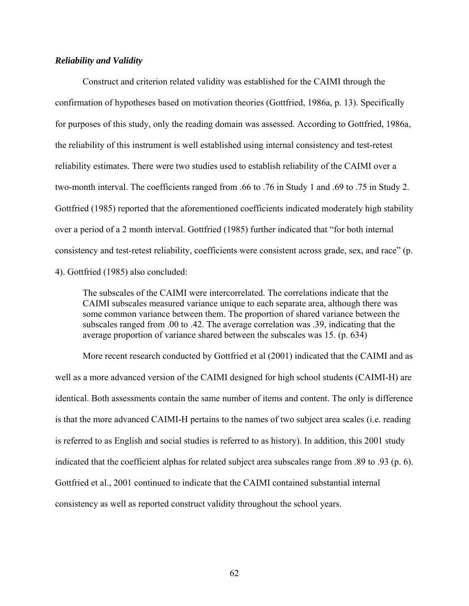## *Reliability and Validity*

Construct and criterion related validity was established for the CAIMI through the confirmation of hypotheses based on motivation theories (Gottfried, 1986a, p. 13). Specifically for purposes of this study, only the reading domain was assessed. According to Gottfried, 1986a, the reliability of this instrument is well established using internal consistency and test-retest reliability estimates. There were two studies used to establish reliability of the CAIMI over a two-month interval. The coefficients ranged from .66 to .76 in Study 1 and .69 to .75 in Study 2. Gottfried (1985) reported that the aforementioned coefficients indicated moderately high stability over a period of a 2 month interval. Gottfried (1985) further indicated that "for both internal consistency and test-retest reliability, coefficients were consistent across grade, sex, and race" (p. 4). Gottfried (1985) also concluded:

The subscales of the CAIMI were intercorrelated. The correlations indicate that the CAIMI subscales measured variance unique to each separate area, although there was some common variance between them. The proportion of shared variance between the subscales ranged from .00 to .42. The average correlation was .39, indicating that the average proportion of variance shared between the subscales was 15. (p. 634)

More recent research conducted by Gottfried et al (2001) indicated that the CAIMI and as well as a more advanced version of the CAIMI designed for high school students (CAIMI-H) are identical. Both assessments contain the same number of items and content. The only is difference is that the more advanced CAIMI-H pertains to the names of two subject area scales (i.e. reading is referred to as English and social studies is referred to as history). In addition, this 2001 study indicated that the coefficient alphas for related subject area subscales range from .89 to .93 (p. 6). Gottfried et al., 2001 continued to indicate that the CAIMI contained substantial internal consistency as well as reported construct validity throughout the school years.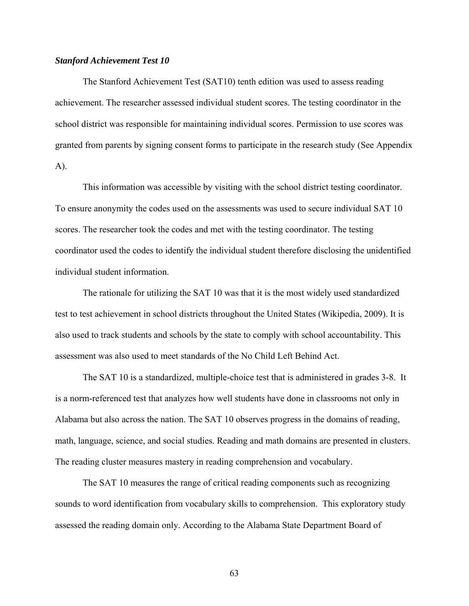### *Stanford Achievement Test 10*

The Stanford Achievement Test (SAT10) tenth edition was used to assess reading achievement. The researcher assessed individual student scores. The testing coordinator in the school district was responsible for maintaining individual scores. Permission to use scores was granted from parents by signing consent forms to participate in the research study (See Appendix A).

This information was accessible by visiting with the school district testing coordinator. To ensure anonymity the codes used on the assessments was used to secure individual SAT 10 scores. The researcher took the codes and met with the testing coordinator. The testing coordinator used the codes to identify the individual student therefore disclosing the unidentified individual student information.

The rationale for utilizing the SAT 10 was that it is the most widely used standardized test to test achievement in school districts throughout the United States (Wikipedia, 2009). It is also used to track students and schools by the state to comply with school accountability. This assessment was also used to meet standards of the No Child Left Behind Act.

The SAT 10 is a standardized, multiple-choice test that is administered in grades 3-8. It is a norm-referenced test that analyzes how well students have done in classrooms not only in Alabama but also across the nation. The SAT 10 observes progress in the domains of reading, math, language, science, and social studies. Reading and math domains are presented in clusters. The reading cluster measures mastery in reading comprehension and vocabulary.

The SAT 10 measures the range of critical reading components such as recognizing sounds to word identification from vocabulary skills to comprehension. This exploratory study assessed the reading domain only. According to the Alabama State Department Board of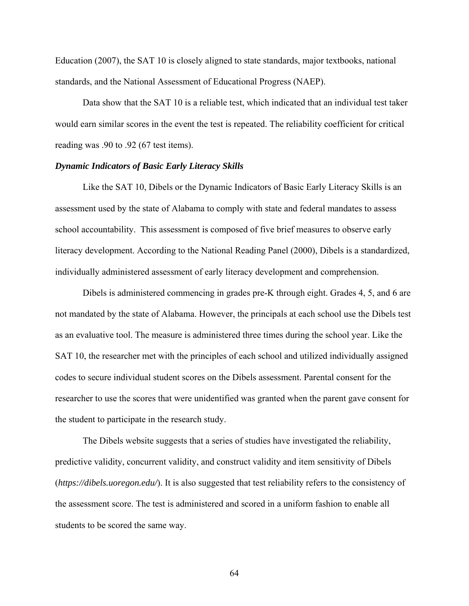Education (2007), the SAT 10 is closely aligned to state standards, major textbooks, national standards, and the National Assessment of Educational Progress (NAEP).

Data show that the SAT 10 is a reliable test, which indicated that an individual test taker would earn similar scores in the event the test is repeated. The reliability coefficient for critical reading was .90 to .92 (67 test items).

#### *Dynamic Indicators of Basic Early Literacy Skills*

Like the SAT 10, Dibels or the Dynamic Indicators of Basic Early Literacy Skills is an assessment used by the state of Alabama to comply with state and federal mandates to assess school accountability. This assessment is composed of five brief measures to observe early literacy development. According to the National Reading Panel (2000), Dibels is a standardized, individually administered assessment of early literacy development and comprehension.

Dibels is administered commencing in grades pre-K through eight. Grades 4, 5, and 6 are not mandated by the state of Alabama. However, the principals at each school use the Dibels test as an evaluative tool. The measure is administered three times during the school year. Like the SAT 10, the researcher met with the principles of each school and utilized individually assigned codes to secure individual student scores on the Dibels assessment. Parental consent for the researcher to use the scores that were unidentified was granted when the parent gave consent for the student to participate in the research study.

The Dibels website suggests that a series of studies have investigated the reliability, predictive validity, concurrent validity, and construct validity and item sensitivity of Dibels (*<https://dibels.uoregon.edu/>*). It is also suggested that test reliability refers to the consistency of the assessment score. The test is administered and scored in a uniform fashion to enable all students to be scored the same way.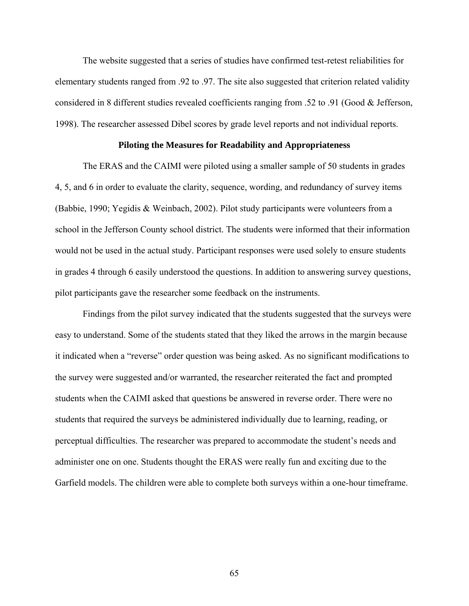The website suggested that a series of studies have confirmed test-retest reliabilities for elementary students ranged from .92 to .97. The site also suggested that criterion related validity considered in 8 different studies revealed coefficients ranging from .52 to .91 (Good & Jefferson, 1998). The researcher assessed Dibel scores by grade level reports and not individual reports.

## **Piloting the Measures for Readability and Appropriateness**

The ERAS and the CAIMI were piloted using a smaller sample of 50 students in grades 4, 5, and 6 in order to evaluate the clarity, sequence, wording, and redundancy of survey items (Babbie, 1990; Yegidis & Weinbach, 2002). Pilot study participants were volunteers from a school in the Jefferson County school district. The students were informed that their information would not be used in the actual study. Participant responses were used solely to ensure students in grades 4 through 6 easily understood the questions. In addition to answering survey questions, pilot participants gave the researcher some feedback on the instruments.

Findings from the pilot survey indicated that the students suggested that the surveys were easy to understand. Some of the students stated that they liked the arrows in the margin because it indicated when a "reverse" order question was being asked. As no significant modifications to the survey were suggested and/or warranted, the researcher reiterated the fact and prompted students when the CAIMI asked that questions be answered in reverse order. There were no students that required the surveys be administered individually due to learning, reading, or perceptual difficulties. The researcher was prepared to accommodate the student's needs and administer one on one. Students thought the ERAS were really fun and exciting due to the Garfield models. The children were able to complete both surveys within a one-hour timeframe.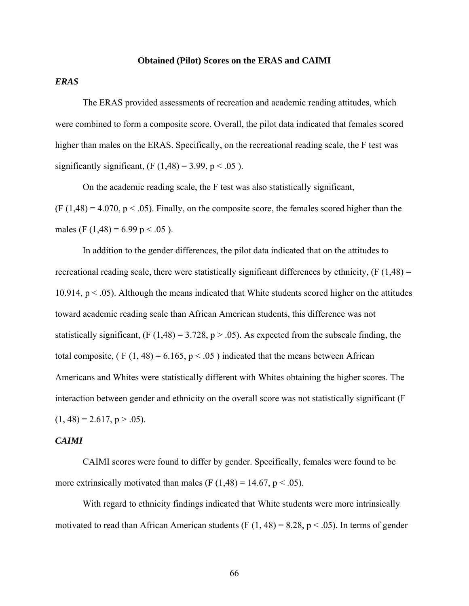#### **Obtained (Pilot) Scores on the ERAS and CAIMI**

## *ERAS*

The ERAS provided assessments of recreation and academic reading attitudes, which were combined to form a composite score. Overall, the pilot data indicated that females scored higher than males on the ERAS. Specifically, on the recreational reading scale, the F test was significantly significant,  $(F (1,48) = 3.99, p < .05)$ .

On the academic reading scale, the F test was also statistically significant,  $(F (1, 48) = 4.070, p < .05)$ . Finally, on the composite score, the females scored higher than the males (F  $(1,48) = 6.99$  p < .05 ).

In addition to the gender differences, the pilot data indicated that on the attitudes to recreational reading scale, there were statistically significant differences by ethnicity,  $(F(1,48) =$ 10.914,  $p < .05$ ). Although the means indicated that White students scored higher on the attitudes toward academic reading scale than African American students, this difference was not statistically significant,  $(F (1, 48) = 3.728, p > .05)$ . As expected from the subscale finding, the total composite,  $(F (1, 48) = 6.165, p < .05)$  indicated that the means between African Americans and Whites were statistically different with Whites obtaining the higher scores. The interaction between gender and ethnicity on the overall score was not statistically significant (F  $(1, 48) = 2.617$ , p > .05).

#### *CAIMI*

CAIMI scores were found to differ by gender. Specifically, females were found to be more extrinsically motivated than males (F  $(1,48) = 14.67$ , p < .05).

With regard to ethnicity findings indicated that White students were more intrinsically motivated to read than African American students (F  $(1, 48) = 8.28$ ,  $p < .05$ ). In terms of gender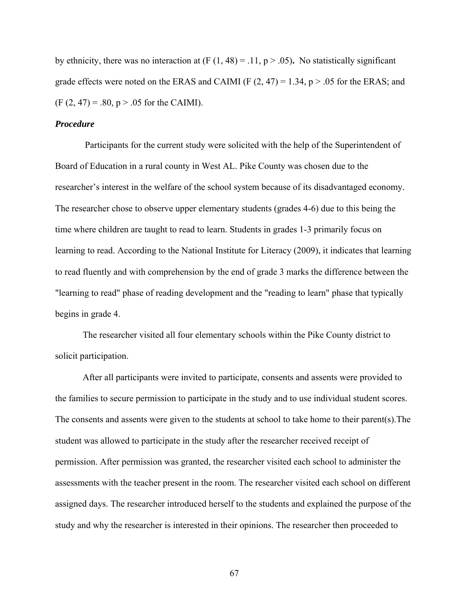by ethnicity, there was no interaction at  $(F (1, 48) = .11, p > .05)$ . No statistically significant grade effects were noted on the ERAS and CAIMI (F  $(2, 47) = 1.34$ ,  $p > .05$  for the ERAS; and  $(F (2, 47) = .80, p > .05$  for the CAIMI).

## *Procedure*

 Participants for the current study were solicited with the help of the Superintendent of Board of Education in a rural county in West AL. Pike County was chosen due to the researcher's interest in the welfare of the school system because of its disadvantaged economy. The researcher chose to observe upper elementary students (grades 4-6) due to this being the time where children are taught to read to learn. Students in grades 1-3 primarily focus on learning to read. According to the National Institute for Literacy (2009), it indicates that learning to read fluently and with comprehension by the end of grade 3 marks the difference between the "learning to read" phase of reading development and the "reading to learn" phase that typically begins in grade 4.

The researcher visited all four elementary schools within the Pike County district to solicit participation.

After all participants were invited to participate, consents and assents were provided to the families to secure permission to participate in the study and to use individual student scores. The consents and assents were given to the students at school to take home to their parent(s).The student was allowed to participate in the study after the researcher received receipt of permission. After permission was granted, the researcher visited each school to administer the assessments with the teacher present in the room. The researcher visited each school on different assigned days. The researcher introduced herself to the students and explained the purpose of the study and why the researcher is interested in their opinions. The researcher then proceeded to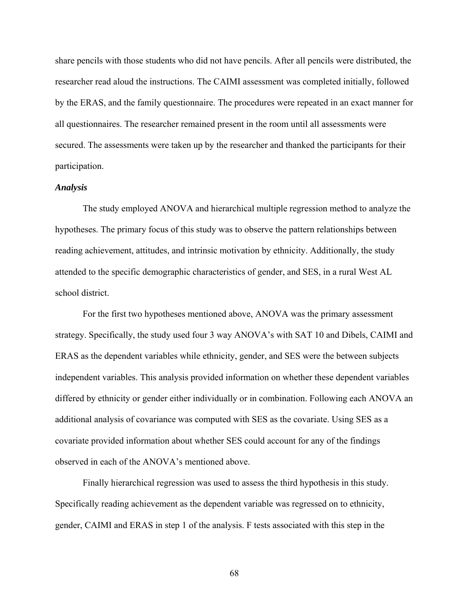share pencils with those students who did not have pencils. After all pencils were distributed, the researcher read aloud the instructions. The CAIMI assessment was completed initially, followed by the ERAS, and the family questionnaire. The procedures were repeated in an exact manner for all questionnaires. The researcher remained present in the room until all assessments were secured. The assessments were taken up by the researcher and thanked the participants for their participation.

#### *Analysis*

The study employed ANOVA and hierarchical multiple regression method to analyze the hypotheses. The primary focus of this study was to observe the pattern relationships between reading achievement, attitudes, and intrinsic motivation by ethnicity. Additionally, the study attended to the specific demographic characteristics of gender, and SES, in a rural West AL school district.

For the first two hypotheses mentioned above, ANOVA was the primary assessment strategy. Specifically, the study used four 3 way ANOVA's with SAT 10 and Dibels, CAIMI and ERAS as the dependent variables while ethnicity, gender, and SES were the between subjects independent variables. This analysis provided information on whether these dependent variables differed by ethnicity or gender either individually or in combination. Following each ANOVA an additional analysis of covariance was computed with SES as the covariate. Using SES as a covariate provided information about whether SES could account for any of the findings observed in each of the ANOVA's mentioned above.

Finally hierarchical regression was used to assess the third hypothesis in this study. Specifically reading achievement as the dependent variable was regressed on to ethnicity, gender, CAIMI and ERAS in step 1 of the analysis. F tests associated with this step in the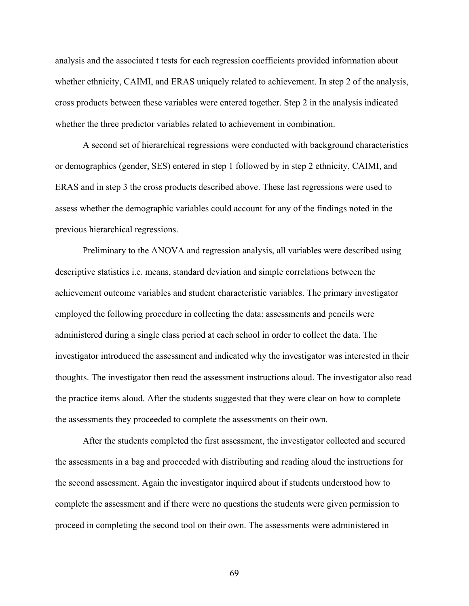analysis and the associated t tests for each regression coefficients provided information about whether ethnicity, CAIMI, and ERAS uniquely related to achievement. In step 2 of the analysis, cross products between these variables were entered together. Step 2 in the analysis indicated whether the three predictor variables related to achievement in combination.

A second set of hierarchical regressions were conducted with background characteristics or demographics (gender, SES) entered in step 1 followed by in step 2 ethnicity, CAIMI, and ERAS and in step 3 the cross products described above. These last regressions were used to assess whether the demographic variables could account for any of the findings noted in the previous hierarchical regressions.

Preliminary to the ANOVA and regression analysis, all variables were described using descriptive statistics i.e. means, standard deviation and simple correlations between the achievement outcome variables and student characteristic variables. The primary investigator employed the following procedure in collecting the data: assessments and pencils were administered during a single class period at each school in order to collect the data. The investigator introduced the assessment and indicated why the investigator was interested in their thoughts. The investigator then read the assessment instructions aloud. The investigator also read the practice items aloud. After the students suggested that they were clear on how to complete the assessments they proceeded to complete the assessments on their own.

After the students completed the first assessment, the investigator collected and secured the assessments in a bag and proceeded with distributing and reading aloud the instructions for the second assessment. Again the investigator inquired about if students understood how to complete the assessment and if there were no questions the students were given permission to proceed in completing the second tool on their own. The assessments were administered in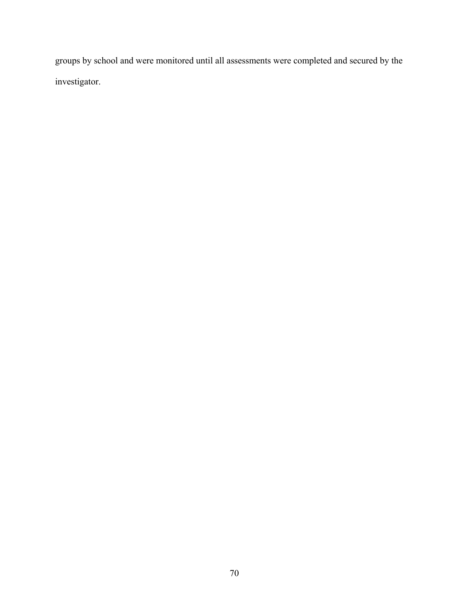groups by school and were monitored until all assessments were completed and secured by the investigator.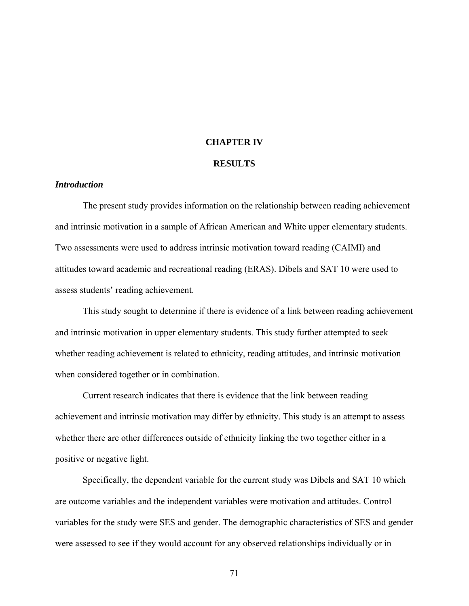## **CHAPTER IV**

#### **RESULTS**

## *Introduction*

The present study provides information on the relationship between reading achievement and intrinsic motivation in a sample of African American and White upper elementary students. Two assessments were used to address intrinsic motivation toward reading (CAIMI) and attitudes toward academic and recreational reading (ERAS). Dibels and SAT 10 were used to assess students' reading achievement.

This study sought to determine if there is evidence of a link between reading achievement and intrinsic motivation in upper elementary students. This study further attempted to seek whether reading achievement is related to ethnicity, reading attitudes, and intrinsic motivation when considered together or in combination.

Current research indicates that there is evidence that the link between reading achievement and intrinsic motivation may differ by ethnicity. This study is an attempt to assess whether there are other differences outside of ethnicity linking the two together either in a positive or negative light.

Specifically, the dependent variable for the current study was Dibels and SAT 10 which are outcome variables and the independent variables were motivation and attitudes. Control variables for the study were SES and gender. The demographic characteristics of SES and gender were assessed to see if they would account for any observed relationships individually or in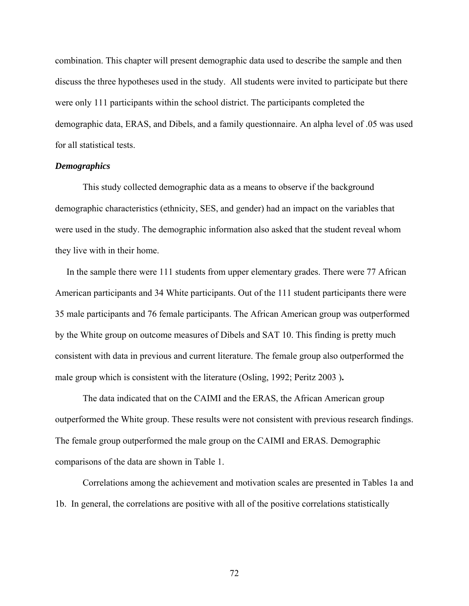combination. This chapter will present demographic data used to describe the sample and then discuss the three hypotheses used in the study. All students were invited to participate but there were only 111 participants within the school district. The participants completed the demographic data, ERAS, and Dibels, and a family questionnaire. An alpha level of .05 was used for all statistical tests.

## *Demographics*

This study collected demographic data as a means to observe if the background demographic characteristics (ethnicity, SES, and gender) had an impact on the variables that were used in the study. The demographic information also asked that the student reveal whom they live with in their home.

 In the sample there were 111 students from upper elementary grades. There were 77 African American participants and 34 White participants. Out of the 111 student participants there were 35 male participants and 76 female participants. The African American group was outperformed by the White group on outcome measures of Dibels and SAT 10. This finding is pretty much consistent with data in previous and current literature. The female group also outperformed the male group which is consistent with the literature (Osling, 1992; Peritz 2003 )**.** 

The data indicated that on the CAIMI and the ERAS, the African American group outperformed the White group. These results were not consistent with previous research findings. The female group outperformed the male group on the CAIMI and ERAS. Demographic comparisons of the data are shown in Table 1.

Correlations among the achievement and motivation scales are presented in Tables 1a and 1b. In general, the correlations are positive with all of the positive correlations statistically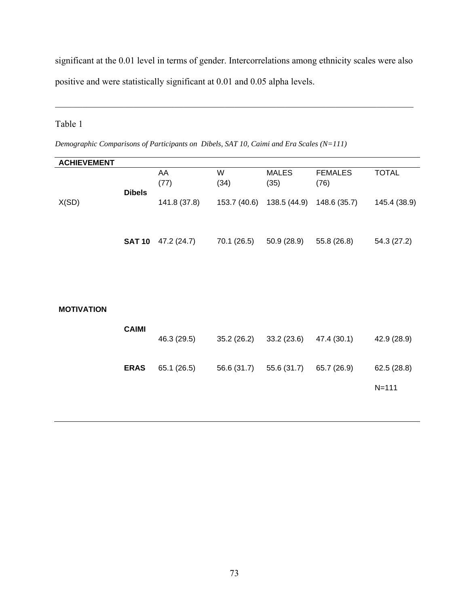significant at the 0.01 level in terms of gender. Intercorrelations among ethnicity scales were also positive and were statistically significant at 0.01 and 0.05 alpha levels.

 $\mathcal{L}_\mathcal{L} = \{ \mathcal{L}_\mathcal{L} = \{ \mathcal{L}_\mathcal{L} = \{ \mathcal{L}_\mathcal{L} = \{ \mathcal{L}_\mathcal{L} = \{ \mathcal{L}_\mathcal{L} = \{ \mathcal{L}_\mathcal{L} = \{ \mathcal{L}_\mathcal{L} = \{ \mathcal{L}_\mathcal{L} = \{ \mathcal{L}_\mathcal{L} = \{ \mathcal{L}_\mathcal{L} = \{ \mathcal{L}_\mathcal{L} = \{ \mathcal{L}_\mathcal{L} = \{ \mathcal{L}_\mathcal{L} = \{ \mathcal{L}_\mathcal{$ 

# Table 1

*Demographic Comparisons of Participants on Dibels, SAT 10, Caimi and Era Scales (N=111)* 

| <b>ACHIEVEMENT</b> |               |              |             |                           |                        |              |
|--------------------|---------------|--------------|-------------|---------------------------|------------------------|--------------|
|                    | <b>Dibels</b> | AA<br>(77)   | W<br>(34)   | <b>MALES</b><br>(35)      | <b>FEMALES</b><br>(76) | <b>TOTAL</b> |
| X(SD)              |               | 141.8 (37.8) |             | 153.7 (40.6) 138.5 (44.9) | 148.6 (35.7)           | 145.4 (38.9) |
|                    | <b>SAT 10</b> | 47.2 (24.7)  | 70.1 (26.5) | 50.9(28.9)                | 55.8 (26.8)            | 54.3 (27.2)  |
|                    |               |              |             |                           |                        |              |
| <b>MOTIVATION</b>  |               |              |             |                           |                        |              |
|                    | <b>CAIMI</b>  | 46.3 (29.5)  | 35.2(26.2)  | 33.2 (23.6)               | 47.4 (30.1)            | 42.9 (28.9)  |
|                    | <b>ERAS</b>   | 65.1 (26.5)  | 56.6 (31.7) | 55.6 (31.7)               | 65.7 (26.9)            | 62.5(28.8)   |
|                    |               |              |             |                           |                        | $N = 111$    |
|                    |               |              |             |                           |                        |              |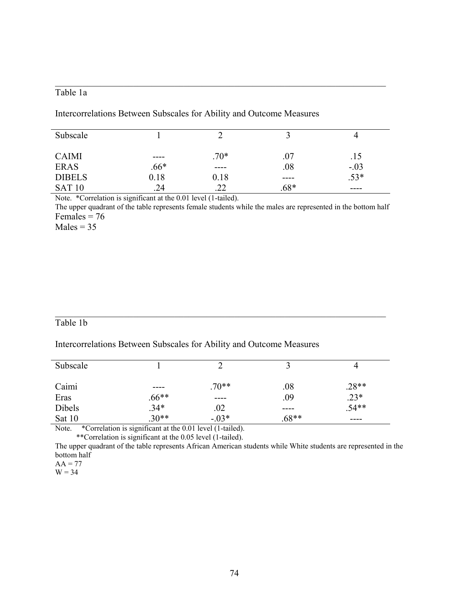## Table 1a

Intercorrelations Between Subscales for Ability and Outcome Measures

| Subscale      |        |        |        |        |
|---------------|--------|--------|--------|--------|
| <b>CAIMI</b>  | ----   | $.70*$ | .07    | .15    |
| <b>ERAS</b>   | $.66*$ | ----   | .08    | $-.03$ |
| <b>DIBELS</b> | 0.18   | 0.18   | ----   | $.53*$ |
| <b>SAT 10</b> | .24    | . 22   | $.68*$ | ----   |

 $\mathcal{L}_\text{max} = \mathcal{L}_\text{max} = \mathcal{L}_\text{max} = \mathcal{L}_\text{max} = \mathcal{L}_\text{max} = \mathcal{L}_\text{max} = \mathcal{L}_\text{max} = \mathcal{L}_\text{max} = \mathcal{L}_\text{max} = \mathcal{L}_\text{max} = \mathcal{L}_\text{max} = \mathcal{L}_\text{max} = \mathcal{L}_\text{max} = \mathcal{L}_\text{max} = \mathcal{L}_\text{max} = \mathcal{L}_\text{max} = \mathcal{L}_\text{max} = \mathcal{L}_\text{max} = \mathcal{$ 

Note. \*Correlation is significant at the 0.01 level (1-tailed).

The upper quadrant of the table represents female students while the males are represented in the bottom half Females  $= 76$ 

 $Males = 35$ 

## Table 1b

## Intercorrelations Between Subscales for Ability and Outcome Measures

| Subscale                                            |                 |         |         |         |  |
|-----------------------------------------------------|-----------------|---------|---------|---------|--|
|                                                     |                 |         |         |         |  |
| Caimi                                               | ----            | $.70**$ | .08     | $.28**$ |  |
| Eras                                                | $.66**$         | ----    | .09     | $.23*$  |  |
| Dibels                                              | $.34*$          | .02     | ----    | $.54**$ |  |
| Sat 10                                              | $.30**$         | $-.03*$ | $.68**$ | ----    |  |
| $\sim$<br>$\sim$ $\sim$ $\sim$ $\sim$ $\sim$ $\sim$ | $\cdot$ $\cdot$ |         |         |         |  |

 $\mathcal{L}_\text{max} = \mathcal{L}_\text{max} = \mathcal{L}_\text{max} = \mathcal{L}_\text{max} = \mathcal{L}_\text{max} = \mathcal{L}_\text{max} = \mathcal{L}_\text{max} = \mathcal{L}_\text{max} = \mathcal{L}_\text{max} = \mathcal{L}_\text{max} = \mathcal{L}_\text{max} = \mathcal{L}_\text{max} = \mathcal{L}_\text{max} = \mathcal{L}_\text{max} = \mathcal{L}_\text{max} = \mathcal{L}_\text{max} = \mathcal{L}_\text{max} = \mathcal{L}_\text{max} = \mathcal{$ 

Note. \*Correlation is significant at the 0.01 level (1-tailed). \*\*Correlation is significant at the 0.05 level (1-tailed).

The upper quadrant of the table represents African American students while White students are represented in the bottom half

 $W = 34$ 

 $AA = 77$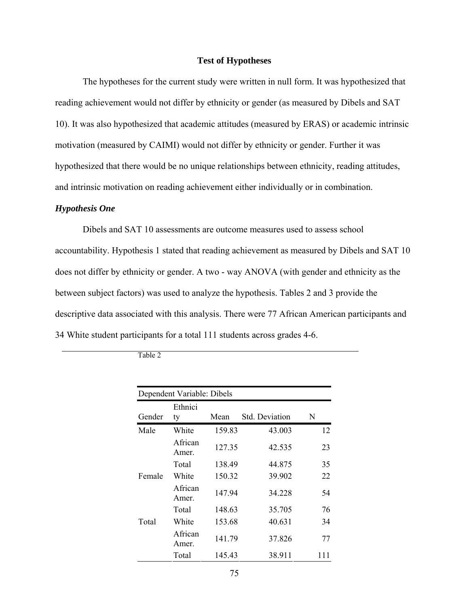## **Test of Hypotheses**

The hypotheses for the current study were written in null form. It was hypothesized that reading achievement would not differ by ethnicity or gender (as measured by Dibels and SAT 10). It was also hypothesized that academic attitudes (measured by ERAS) or academic intrinsic motivation (measured by CAIMI) would not differ by ethnicity or gender. Further it was hypothesized that there would be no unique relationships between ethnicity, reading attitudes, and intrinsic motivation on reading achievement either individually or in combination.

## *Hypothesis One*

Dibels and SAT 10 assessments are outcome measures used to assess school accountability. Hypothesis 1 stated that reading achievement as measured by Dibels and SAT 10 does not differ by ethnicity or gender. A two - way ANOVA (with gender and ethnicity as the between subject factors) was used to analyze the hypothesis. Tables 2 and 3 provide the descriptive data associated with this analysis. There were 77 African American participants and 34 White student participants for a total 111 students across grades 4-6.

|        | Dependent Variable: Dibels |        |                       |       |
|--------|----------------------------|--------|-----------------------|-------|
| Gender | Ethnici<br>ty              | Mean   | <b>Std. Deviation</b> | N     |
| Male   | White                      | 159.83 | 43.003                | 12    |
|        | African<br>Amer.           | 127.35 | 42.535                | 23    |
|        | Total                      | 138.49 | 44.875                | 35    |
| Female | White                      | 150.32 | 39.902                | 22    |
|        | African<br>Amer.           | 147.94 | 34.228                | 54    |
|        | Total                      | 148.63 | 35.705                | 76    |
| Total  | White                      | 153.68 | 40.631                | 34    |
|        | African<br>Amer.           | 141.79 | 37.826                | 77    |
|        | Total                      | 145.43 | 38.911                | 1 L L |

Table 2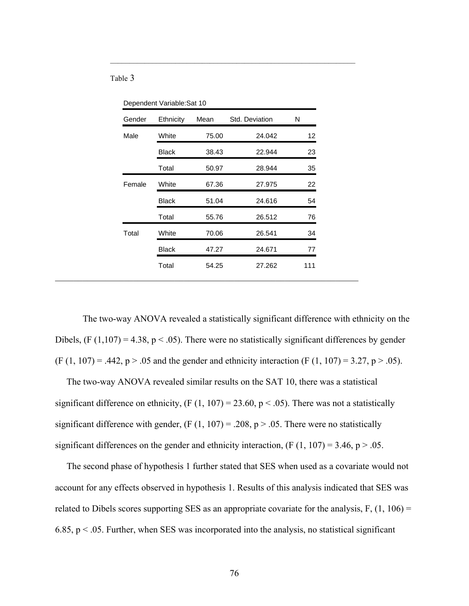#### Table 3

| Gender | Ethnicity    | Mean  | Std. Deviation | N   |
|--------|--------------|-------|----------------|-----|
| Male   | White        | 75.00 | 24.042         | 12  |
|        | Black        | 38.43 | 22.944         | 23  |
|        | Total        | 50.97 | 28.944         | 35  |
| Female | White        | 67.36 | 27.975         | 22  |
|        | <b>Black</b> | 51.04 | 24.616         | 54  |
|        | Total        | 55.76 | 26.512         | 76  |
| Total  | White        | 70.06 | 26.541         | 34  |
|        | Black        | 47.27 | 24.671         | 77  |
|        | Total        | 54.25 | 27.262         | 111 |

\_\_\_\_\_\_\_\_\_\_\_\_\_\_\_\_\_\_\_\_\_\_\_\_\_\_\_\_\_\_\_\_\_\_\_\_\_\_\_\_\_\_\_\_\_\_\_\_\_\_\_\_\_\_\_\_\_\_\_\_\_\_\_\_

Dependent Variable:Sat 10

The two-way ANOVA revealed a statistically significant difference with ethnicity on the Dibels,  $(F (1, 107) = 4.38, p < .05)$ . There were no statistically significant differences by gender  $(F (1, 107) = .442, p > .05$  and the gender and ethnicity interaction  $(F (1, 107) = 3.27, p > .05)$ .

 The two-way ANOVA revealed similar results on the SAT 10, there was a statistical significant difference on ethnicity,  $(F (1, 107) = 23.60, p < .05)$ . There was not a statistically significant difference with gender,  $(F (1, 107) = .208, p > .05$ . There were no statistically significant differences on the gender and ethnicity interaction,  $(F (1, 107) = 3.46, p > .05$ .

 The second phase of hypothesis 1 further stated that SES when used as a covariate would not account for any effects observed in hypothesis 1. Results of this analysis indicated that SES was related to Dibels scores supporting SES as an appropriate covariate for the analysis,  $F$ ,  $(1, 106) =$ 6.85,  $p < 0.05$ . Further, when SES was incorporated into the analysis, no statistical significant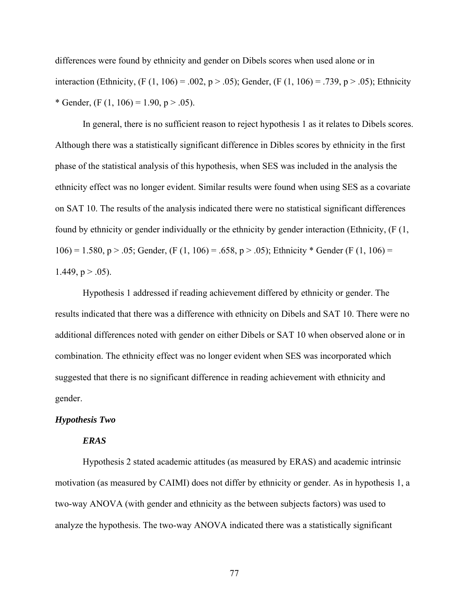differences were found by ethnicity and gender on Dibels scores when used alone or in interaction (Ethnicity,  $(F (1, 106) = .002, p > .05)$ ; Gender,  $(F (1, 106) = .739, p > .05)$ ; Ethnicity \* Gender,  $(F (1, 106) = 1.90, p > .05)$ .

In general, there is no sufficient reason to reject hypothesis 1 as it relates to Dibels scores. Although there was a statistically significant difference in Dibles scores by ethnicity in the first phase of the statistical analysis of this hypothesis, when SES was included in the analysis the ethnicity effect was no longer evident. Similar results were found when using SES as a covariate on SAT 10. The results of the analysis indicated there were no statistical significant differences found by ethnicity or gender individually or the ethnicity by gender interaction (Ethnicity, (F (1, 106) = 1.580, p > .05; Gender, (F (1, 106) = .658, p > .05); Ethnicity \* Gender (F (1, 106) = 1.449,  $p > .05$ ).

Hypothesis 1 addressed if reading achievement differed by ethnicity or gender. The results indicated that there was a difference with ethnicity on Dibels and SAT 10. There were no additional differences noted with gender on either Dibels or SAT 10 when observed alone or in combination. The ethnicity effect was no longer evident when SES was incorporated which suggested that there is no significant difference in reading achievement with ethnicity and gender.

#### *Hypothesis Two*

#### *ERAS*

Hypothesis 2 stated academic attitudes (as measured by ERAS) and academic intrinsic motivation (as measured by CAIMI) does not differ by ethnicity or gender. As in hypothesis 1, a two-way ANOVA (with gender and ethnicity as the between subjects factors) was used to analyze the hypothesis. The two-way ANOVA indicated there was a statistically significant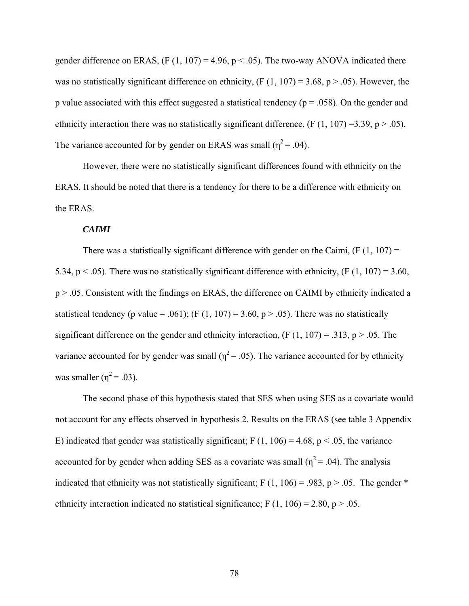gender difference on ERAS,  $(F (1, 107) = 4.96, p < .05)$ . The two-way ANOVA indicated there was no statistically significant difference on ethnicity,  $(F (1, 107) = 3.68, p > .05)$ . However, the p value associated with this effect suggested a statistical tendency ( $p = .058$ ). On the gender and ethnicity interaction there was no statistically significant difference,  $(F (1, 107) = 3.39, p > .05)$ . The variance accounted for by gender on ERAS was small  $(\eta^2 = .04)$ .

However, there were no statistically significant differences found with ethnicity on the ERAS. It should be noted that there is a tendency for there to be a difference with ethnicity on the ERAS.

#### *CAIMI*

There was a statistically significant difference with gender on the Caimi,  $(F(1, 107)) =$ 5.34,  $p < .05$ ). There was no statistically significant difference with ethnicity, (F (1, 107) = 3.60, p > .05. Consistent with the findings on ERAS, the difference on CAIMI by ethnicity indicated a statistical tendency (p value = .061); (F (1, 107) = 3.60, p > .05). There was no statistically significant difference on the gender and ethnicity interaction,  $(F (1, 107) = .313, p > .05$ . The variance accounted for by gender was small ( $\eta^2$  = .05). The variance accounted for by ethnicity was smaller  $(n^2 = .03)$ .

The second phase of this hypothesis stated that SES when using SES as a covariate would not account for any effects observed in hypothesis 2. Results on the ERAS (see table 3 Appendix E) indicated that gender was statistically significant; F  $(1, 106) = 4.68$ , p < .05, the variance accounted for by gender when adding SES as a covariate was small ( $\eta^2$  = .04). The analysis indicated that ethnicity was not statistically significant; F  $(1, 106) = .983$ , p > .05. The gender \* ethnicity interaction indicated no statistical significance; F  $(1, 106) = 2.80$ , p  $> .05$ .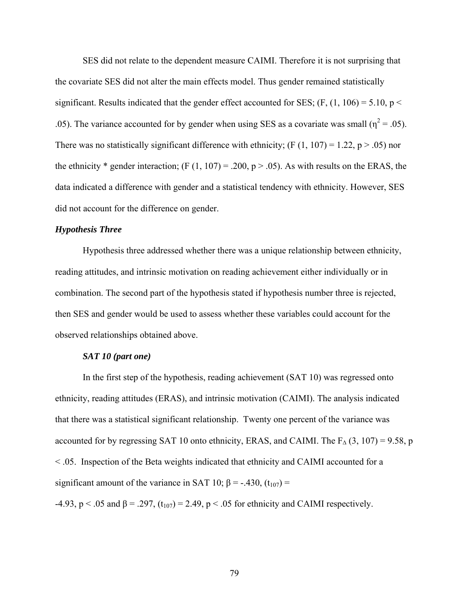SES did not relate to the dependent measure CAIMI. Therefore it is not surprising that the covariate SES did not alter the main effects model. Thus gender remained statistically significant. Results indicated that the gender effect accounted for SES; (F,  $(1, 106) = 5.10$ , p < .05). The variance accounted for by gender when using SES as a covariate was small ( $\eta^2$  = .05). There was no statistically significant difference with ethnicity; (F  $(1, 107) = 1.22$ , p  $> .05$ ) nor the ethnicity \* gender interaction; (F  $(1, 107) = .200$ , p > .05). As with results on the ERAS, the data indicated a difference with gender and a statistical tendency with ethnicity. However, SES did not account for the difference on gender.

## *Hypothesis Three*

Hypothesis three addressed whether there was a unique relationship between ethnicity, reading attitudes, and intrinsic motivation on reading achievement either individually or in combination. The second part of the hypothesis stated if hypothesis number three is rejected, then SES and gender would be used to assess whether these variables could account for the observed relationships obtained above.

## *SAT 10 (part one)*

In the first step of the hypothesis, reading achievement (SAT 10) was regressed onto ethnicity, reading attitudes (ERAS), and intrinsic motivation (CAIMI). The analysis indicated that there was a statistical significant relationship. Twenty one percent of the variance was accounted for by regressing SAT 10 onto ethnicity, ERAS, and CAIMI. The  $F_{\Delta}(3, 107) = 9.58$ , p < .05. Inspection of the Beta weights indicated that ethnicity and CAIMI accounted for a significant amount of the variance in SAT 10;  $\beta$  = -.430, (t<sub>107</sub>) =

-4.93, p < .05 and β = .297, (t<sub>107</sub>) = 2.49, p < .05 for ethnicity and CAIMI respectively.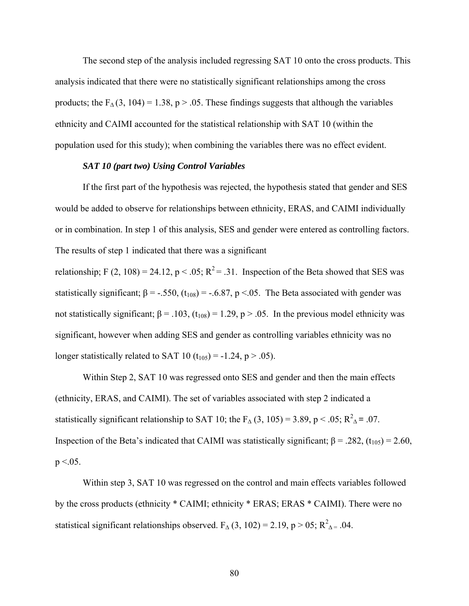The second step of the analysis included regressing SAT 10 onto the cross products. This analysis indicated that there were no statistically significant relationships among the cross products; the  $F_{\Lambda}(3, 104) = 1.38$ , p > .05. These findings suggests that although the variables ethnicity and CAIMI accounted for the statistical relationship with SAT 10 (within the population used for this study); when combining the variables there was no effect evident.

#### *SAT 10 (part two) Using Control Variables*

If the first part of the hypothesis was rejected, the hypothesis stated that gender and SES would be added to observe for relationships between ethnicity, ERAS, and CAIMI individually or in combination. In step 1 of this analysis, SES and gender were entered as controlling factors. The results of step 1 indicated that there was a significant

relationship; F (2, 108) = 24.12, p < .05;  $R^2$  = .31. Inspection of the Beta showed that SES was statistically significant;  $\beta = -.550$ ,  $(t_{108}) = -.6.87$ ,  $p < .05$ . The Beta associated with gender was not statistically significant; β = .103, (t<sub>108</sub>) = 1.29, p > .05. In the previous model ethnicity was significant, however when adding SES and gender as controlling variables ethnicity was no longer statistically related to SAT 10  $(t_{105}) = -1.24$ , p > .05).

Within Step 2, SAT 10 was regressed onto SES and gender and then the main effects (ethnicity, ERAS, and CAIMI). The set of variables associated with step 2 indicated a statistically significant relationship to SAT 10; the F<sub>∆</sub> (3, 105) = 3.89, p < .05; R<sup>2</sup><sub>∆</sub> = .07. Inspection of the Beta's indicated that CAIMI was statistically significant;  $β = .282$ ,  $(t<sub>105</sub>) = 2.60$ ,  $p < 0.05$ .

Within step 3, SAT 10 was regressed on the control and main effects variables followed by the cross products (ethnicity \* CAIMI; ethnicity \* ERAS; ERAS \* CAIMI). There were no statistical significant relationships observed.  $F_{\Delta}(3, 102) = 2.19$ , p > 05;  $R^2_{\Delta} = .04$ .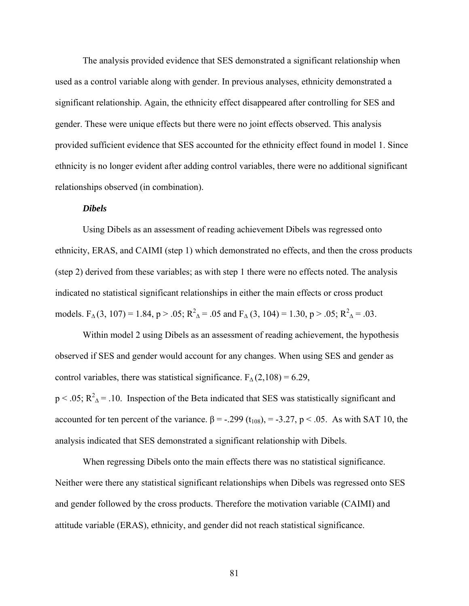The analysis provided evidence that SES demonstrated a significant relationship when used as a control variable along with gender. In previous analyses, ethnicity demonstrated a significant relationship. Again, the ethnicity effect disappeared after controlling for SES and gender. These were unique effects but there were no joint effects observed. This analysis provided sufficient evidence that SES accounted for the ethnicity effect found in model 1. Since ethnicity is no longer evident after adding control variables, there were no additional significant relationships observed (in combination).

## *Dibels*

Using Dibels as an assessment of reading achievement Dibels was regressed onto ethnicity, ERAS, and CAIMI (step 1) which demonstrated no effects, and then the cross products (step 2) derived from these variables; as with step 1 there were no effects noted. The analysis indicated no statistical significant relationships in either the main effects or cross product models.  $F_A(3, 107) = 1.84$ ,  $p > .05$ ;  $R_A^2 = .05$  and  $F_A(3, 104) = 1.30$ ,  $p > .05$ ;  $R_A^2 = .03$ .

Within model 2 using Dibels as an assessment of reading achievement, the hypothesis observed if SES and gender would account for any changes. When using SES and gender as control variables, there was statistical significance.  $F_{\Delta}(2,108) = 6.29$ ,  $p < .05$ ;  $R^2$ <sub>△</sub> = .10. Inspection of the Beta indicated that SES was statistically significant and accounted for ten percent of the variance.  $β = -.299(t_{108}) = -3.27, p < .05$ . As with SAT 10, the analysis indicated that SES demonstrated a significant relationship with Dibels.

When regressing Dibels onto the main effects there was no statistical significance. Neither were there any statistical significant relationships when Dibels was regressed onto SES and gender followed by the cross products. Therefore the motivation variable (CAIMI) and attitude variable (ERAS), ethnicity, and gender did not reach statistical significance.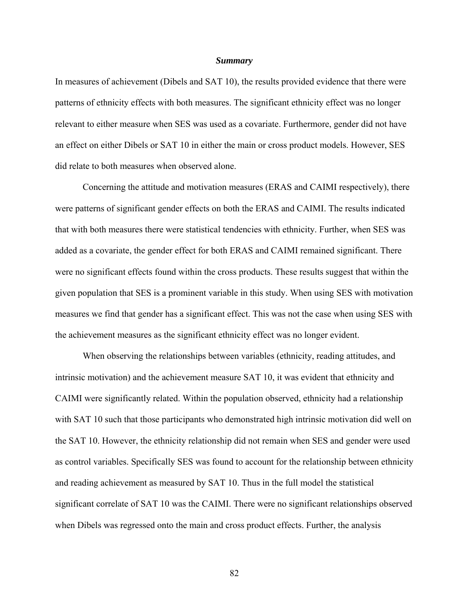#### *Summary*

In measures of achievement (Dibels and SAT 10), the results provided evidence that there were patterns of ethnicity effects with both measures. The significant ethnicity effect was no longer relevant to either measure when SES was used as a covariate. Furthermore, gender did not have an effect on either Dibels or SAT 10 in either the main or cross product models. However, SES did relate to both measures when observed alone.

Concerning the attitude and motivation measures (ERAS and CAIMI respectively), there were patterns of significant gender effects on both the ERAS and CAIMI. The results indicated that with both measures there were statistical tendencies with ethnicity. Further, when SES was added as a covariate, the gender effect for both ERAS and CAIMI remained significant. There were no significant effects found within the cross products. These results suggest that within the given population that SES is a prominent variable in this study. When using SES with motivation measures we find that gender has a significant effect. This was not the case when using SES with the achievement measures as the significant ethnicity effect was no longer evident.

When observing the relationships between variables (ethnicity, reading attitudes, and intrinsic motivation) and the achievement measure SAT 10, it was evident that ethnicity and CAIMI were significantly related. Within the population observed, ethnicity had a relationship with SAT 10 such that those participants who demonstrated high intrinsic motivation did well on the SAT 10. However, the ethnicity relationship did not remain when SES and gender were used as control variables. Specifically SES was found to account for the relationship between ethnicity and reading achievement as measured by SAT 10. Thus in the full model the statistical significant correlate of SAT 10 was the CAIMI. There were no significant relationships observed when Dibels was regressed onto the main and cross product effects. Further, the analysis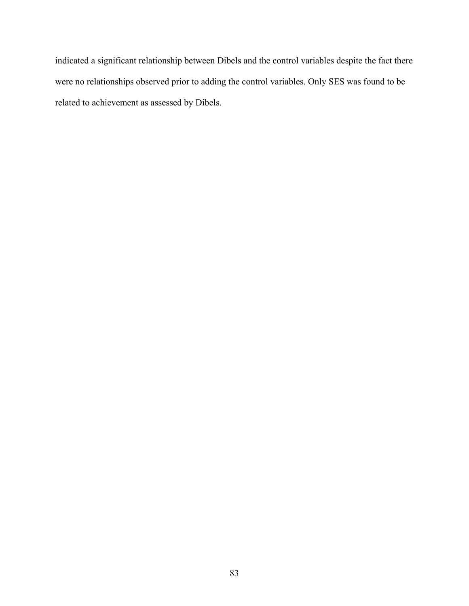indicated a significant relationship between Dibels and the control variables despite the fact there were no relationships observed prior to adding the control variables. Only SES was found to be related to achievement as assessed by Dibels.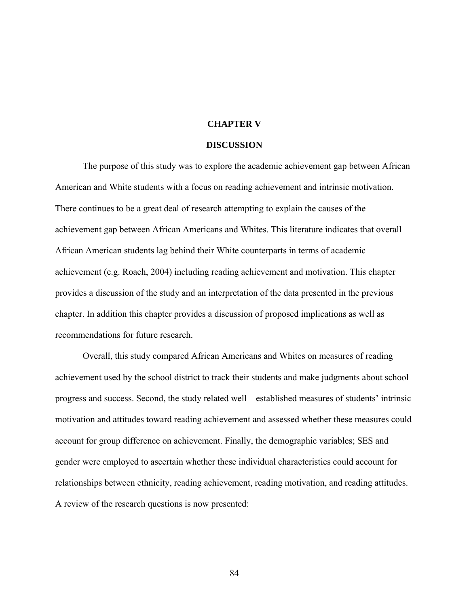### **CHAPTER V**

#### **DISCUSSION**

The purpose of this study was to explore the academic achievement gap between African American and White students with a focus on reading achievement and intrinsic motivation. There continues to be a great deal of research attempting to explain the causes of the achievement gap between African Americans and Whites. This literature indicates that overall African American students lag behind their White counterparts in terms of academic achievement (e.g. Roach, 2004) including reading achievement and motivation. This chapter provides a discussion of the study and an interpretation of the data presented in the previous chapter. In addition this chapter provides a discussion of proposed implications as well as recommendations for future research.

Overall, this study compared African Americans and Whites on measures of reading achievement used by the school district to track their students and make judgments about school progress and success. Second, the study related well – established measures of students' intrinsic motivation and attitudes toward reading achievement and assessed whether these measures could account for group difference on achievement. Finally, the demographic variables; SES and gender were employed to ascertain whether these individual characteristics could account for relationships between ethnicity, reading achievement, reading motivation, and reading attitudes. A review of the research questions is now presented: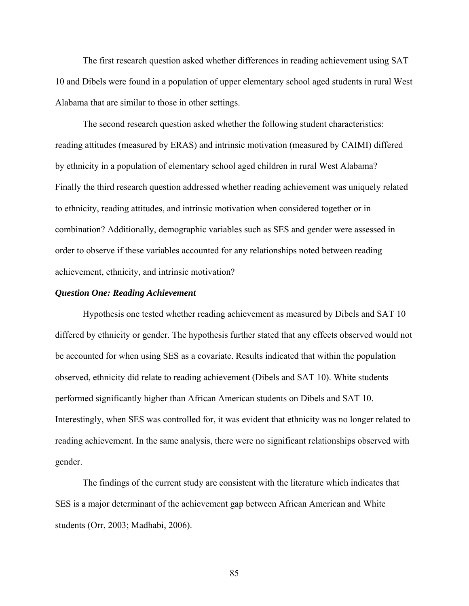The first research question asked whether differences in reading achievement using SAT 10 and Dibels were found in a population of upper elementary school aged students in rural West Alabama that are similar to those in other settings.

The second research question asked whether the following student characteristics: reading attitudes (measured by ERAS) and intrinsic motivation (measured by CAIMI) differed by ethnicity in a population of elementary school aged children in rural West Alabama? Finally the third research question addressed whether reading achievement was uniquely related to ethnicity, reading attitudes, and intrinsic motivation when considered together or in combination? Additionally, demographic variables such as SES and gender were assessed in order to observe if these variables accounted for any relationships noted between reading achievement, ethnicity, and intrinsic motivation?

### *Question One: Reading Achievement*

 Hypothesis one tested whether reading achievement as measured by Dibels and SAT 10 differed by ethnicity or gender. The hypothesis further stated that any effects observed would not be accounted for when using SES as a covariate. Results indicated that within the population observed, ethnicity did relate to reading achievement (Dibels and SAT 10). White students performed significantly higher than African American students on Dibels and SAT 10. Interestingly, when SES was controlled for, it was evident that ethnicity was no longer related to reading achievement. In the same analysis, there were no significant relationships observed with gender.

 The findings of the current study are consistent with the literature which indicates that SES is a major determinant of the achievement gap between African American and White students (Orr, 2003; Madhabi, 2006).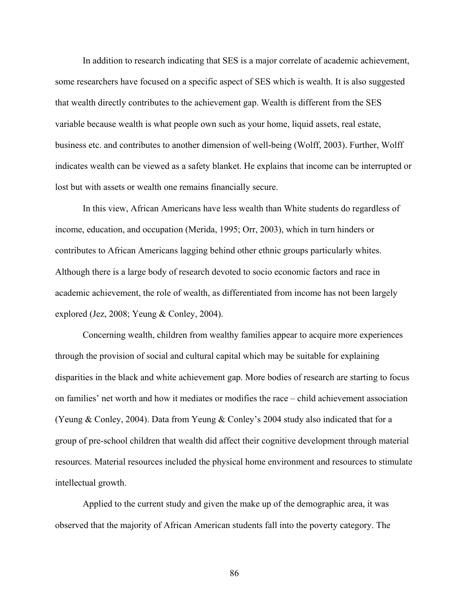In addition to research indicating that SES is a major correlate of academic achievement, some researchers have focused on a specific aspect of SES which is wealth. It is also suggested that wealth directly contributes to the achievement gap. Wealth is different from the SES variable because wealth is what people own such as your home, liquid assets, real estate, business etc. and contributes to another dimension of well-being (Wolff, 2003). Further, Wolff indicates wealth can be viewed as a safety blanket. He explains that income can be interrupted or lost but with assets or wealth one remains financially secure.

 In this view, African Americans have less wealth than White students do regardless of income, education, and occupation (Merida, 1995; Orr, 2003), which in turn hinders or contributes to African Americans lagging behind other ethnic groups particularly whites. Although there is a large body of research devoted to socio economic factors and race in academic achievement, the role of wealth, as differentiated from income has not been largely explored (Jez, 2008; Yeung & Conley, 2004).

Concerning wealth, children from wealthy families appear to acquire more experiences through the provision of social and cultural capital which may be suitable for explaining disparities in the black and white achievement gap. More bodies of research are starting to focus on families' net worth and how it mediates or modifies the race – child achievement association (Yeung & Conley, 2004). Data from Yeung & Conley's 2004 study also indicated that for a group of pre-school children that wealth did affect their cognitive development through material resources. Material resources included the physical home environment and resources to stimulate intellectual growth.

Applied to the current study and given the make up of the demographic area, it was observed that the majority of African American students fall into the poverty category. The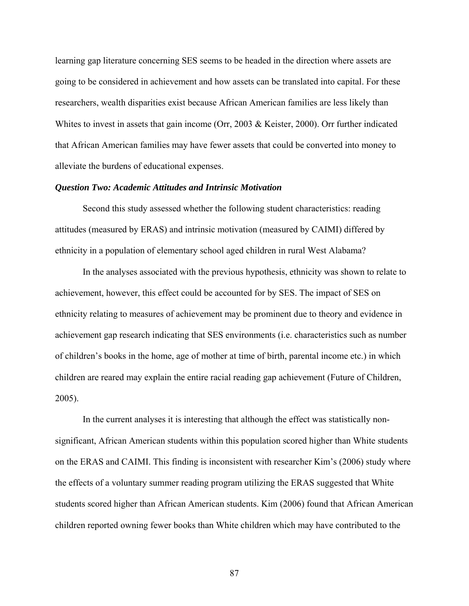learning gap literature concerning SES seems to be headed in the direction where assets are going to be considered in achievement and how assets can be translated into capital. For these researchers, wealth disparities exist because African American families are less likely than Whites to invest in assets that gain income (Orr, 2003 & Keister, 2000). Orr further indicated that African American families may have fewer assets that could be converted into money to alleviate the burdens of educational expenses.

### *Question Two: Academic Attitudes and Intrinsic Motivation*

Second this study assessed whether the following student characteristics: reading attitudes (measured by ERAS) and intrinsic motivation (measured by CAIMI) differed by ethnicity in a population of elementary school aged children in rural West Alabama?

In the analyses associated with the previous hypothesis, ethnicity was shown to relate to achievement, however, this effect could be accounted for by SES. The impact of SES on ethnicity relating to measures of achievement may be prominent due to theory and evidence in achievement gap research indicating that SES environments (i.e. characteristics such as number of children's books in the home, age of mother at time of birth, parental income etc.) in which children are reared may explain the entire racial reading gap achievement (Future of Children, 2005).

In the current analyses it is interesting that although the effect was statistically nonsignificant, African American students within this population scored higher than White students on the ERAS and CAIMI. This finding is inconsistent with researcher Kim's (2006) study where the effects of a voluntary summer reading program utilizing the ERAS suggested that White students scored higher than African American students. Kim (2006) found that African American children reported owning fewer books than White children which may have contributed to the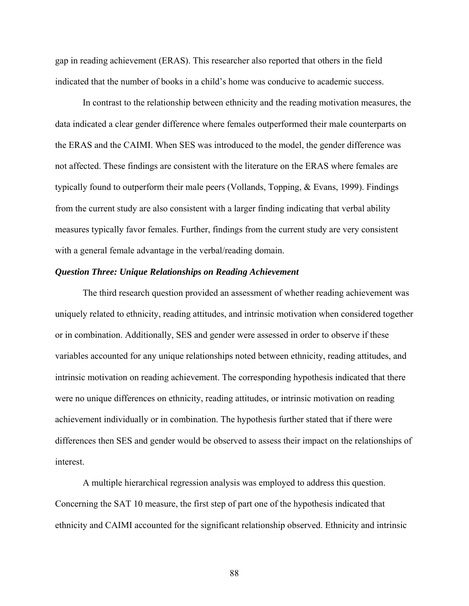gap in reading achievement (ERAS). This researcher also reported that others in the field indicated that the number of books in a child's home was conducive to academic success.

In contrast to the relationship between ethnicity and the reading motivation measures, the data indicated a clear gender difference where females outperformed their male counterparts on the ERAS and the CAIMI. When SES was introduced to the model, the gender difference was not affected. These findings are consistent with the literature on the ERAS where females are typically found to outperform their male peers (Vollands, Topping, & Evans, 1999). Findings from the current study are also consistent with a larger finding indicating that verbal ability measures typically favor females. Further, findings from the current study are very consistent with a general female advantage in the verbal/reading domain.

### *Question Three: Unique Relationships on Reading Achievement*

The third research question provided an assessment of whether reading achievement was uniquely related to ethnicity, reading attitudes, and intrinsic motivation when considered together or in combination. Additionally, SES and gender were assessed in order to observe if these variables accounted for any unique relationships noted between ethnicity, reading attitudes, and intrinsic motivation on reading achievement. The corresponding hypothesis indicated that there were no unique differences on ethnicity, reading attitudes, or intrinsic motivation on reading achievement individually or in combination. The hypothesis further stated that if there were differences then SES and gender would be observed to assess their impact on the relationships of interest.

A multiple hierarchical regression analysis was employed to address this question. Concerning the SAT 10 measure, the first step of part one of the hypothesis indicated that ethnicity and CAIMI accounted for the significant relationship observed. Ethnicity and intrinsic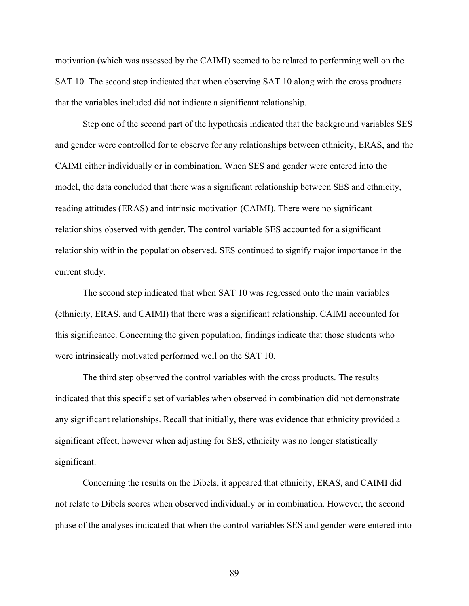motivation (which was assessed by the CAIMI) seemed to be related to performing well on the SAT 10. The second step indicated that when observing SAT 10 along with the cross products that the variables included did not indicate a significant relationship.

Step one of the second part of the hypothesis indicated that the background variables SES and gender were controlled for to observe for any relationships between ethnicity, ERAS, and the CAIMI either individually or in combination. When SES and gender were entered into the model, the data concluded that there was a significant relationship between SES and ethnicity, reading attitudes (ERAS) and intrinsic motivation (CAIMI). There were no significant relationships observed with gender. The control variable SES accounted for a significant relationship within the population observed. SES continued to signify major importance in the current study.

The second step indicated that when SAT 10 was regressed onto the main variables (ethnicity, ERAS, and CAIMI) that there was a significant relationship. CAIMI accounted for this significance. Concerning the given population, findings indicate that those students who were intrinsically motivated performed well on the SAT 10.

The third step observed the control variables with the cross products. The results indicated that this specific set of variables when observed in combination did not demonstrate any significant relationships. Recall that initially, there was evidence that ethnicity provided a significant effect, however when adjusting for SES, ethnicity was no longer statistically significant.

Concerning the results on the Dibels, it appeared that ethnicity, ERAS, and CAIMI did not relate to Dibels scores when observed individually or in combination. However, the second phase of the analyses indicated that when the control variables SES and gender were entered into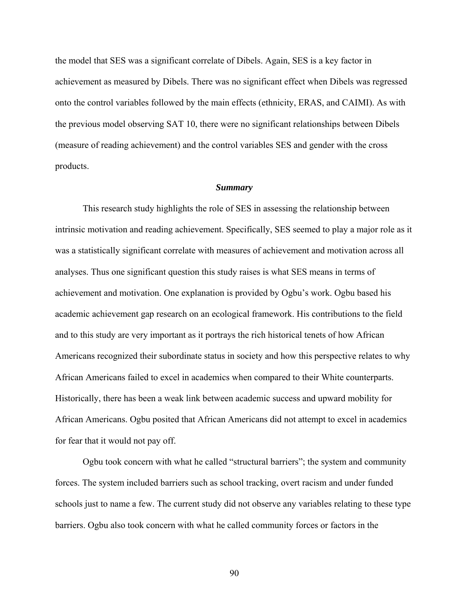the model that SES was a significant correlate of Dibels. Again, SES is a key factor in achievement as measured by Dibels. There was no significant effect when Dibels was regressed onto the control variables followed by the main effects (ethnicity, ERAS, and CAIMI). As with the previous model observing SAT 10, there were no significant relationships between Dibels (measure of reading achievement) and the control variables SES and gender with the cross products.

#### *Summary*

This research study highlights the role of SES in assessing the relationship between intrinsic motivation and reading achievement. Specifically, SES seemed to play a major role as it was a statistically significant correlate with measures of achievement and motivation across all analyses. Thus one significant question this study raises is what SES means in terms of achievement and motivation. One explanation is provided by Ogbu's work. Ogbu based his academic achievement gap research on an ecological framework. His contributions to the field and to this study are very important as it portrays the rich historical tenets of how African Americans recognized their subordinate status in society and how this perspective relates to why African Americans failed to excel in academics when compared to their White counterparts. Historically, there has been a weak link between academic success and upward mobility for African Americans. Ogbu posited that African Americans did not attempt to excel in academics for fear that it would not pay off.

Ogbu took concern with what he called "structural barriers"; the system and community forces. The system included barriers such as school tracking, overt racism and under funded schools just to name a few. The current study did not observe any variables relating to these type barriers. Ogbu also took concern with what he called community forces or factors in the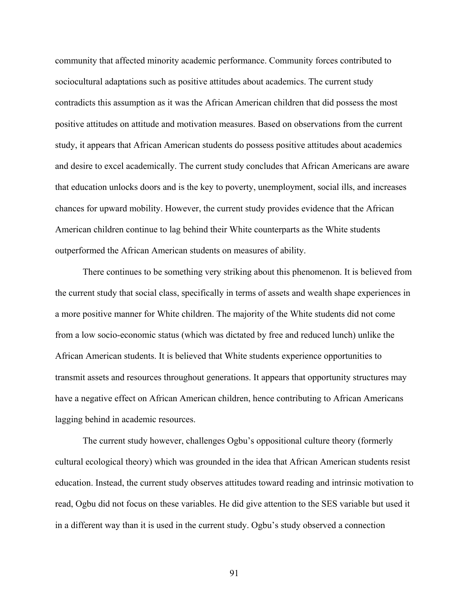community that affected minority academic performance. Community forces contributed to sociocultural adaptations such as positive attitudes about academics. The current study contradicts this assumption as it was the African American children that did possess the most positive attitudes on attitude and motivation measures. Based on observations from the current study, it appears that African American students do possess positive attitudes about academics and desire to excel academically. The current study concludes that African Americans are aware that education unlocks doors and is the key to poverty, unemployment, social ills, and increases chances for upward mobility. However, the current study provides evidence that the African American children continue to lag behind their White counterparts as the White students outperformed the African American students on measures of ability.

There continues to be something very striking about this phenomenon. It is believed from the current study that social class, specifically in terms of assets and wealth shape experiences in a more positive manner for White children. The majority of the White students did not come from a low socio-economic status (which was dictated by free and reduced lunch) unlike the African American students. It is believed that White students experience opportunities to transmit assets and resources throughout generations. It appears that opportunity structures may have a negative effect on African American children, hence contributing to African Americans lagging behind in academic resources.

The current study however, challenges Ogbu's oppositional culture theory (formerly cultural ecological theory) which was grounded in the idea that African American students resist education. Instead, the current study observes attitudes toward reading and intrinsic motivation to read, Ogbu did not focus on these variables. He did give attention to the SES variable but used it in a different way than it is used in the current study. Ogbu's study observed a connection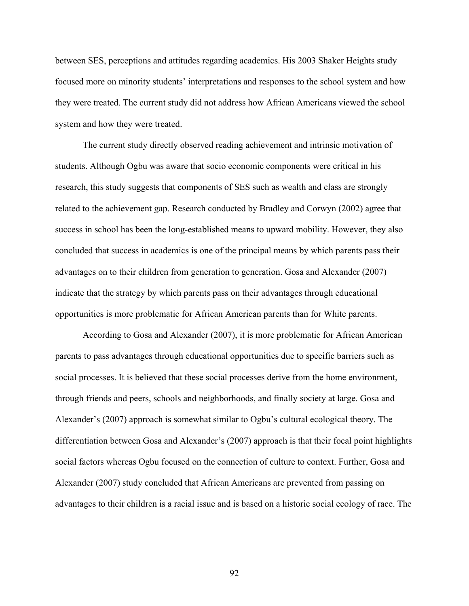between SES, perceptions and attitudes regarding academics. His 2003 Shaker Heights study focused more on minority students' interpretations and responses to the school system and how they were treated. The current study did not address how African Americans viewed the school system and how they were treated.

The current study directly observed reading achievement and intrinsic motivation of students. Although Ogbu was aware that socio economic components were critical in his research, this study suggests that components of SES such as wealth and class are strongly related to the achievement gap. Research conducted by Bradley and Corwyn (2002) agree that success in school has been the long-established means to upward mobility. However, they also concluded that success in academics is one of the principal means by which parents pass their advantages on to their children from generation to generation. Gosa and Alexander (2007) indicate that the strategy by which parents pass on their advantages through educational opportunities is more problematic for African American parents than for White parents.

According to Gosa and Alexander (2007), it is more problematic for African American parents to pass advantages through educational opportunities due to specific barriers such as social processes. It is believed that these social processes derive from the home environment, through friends and peers, schools and neighborhoods, and finally society at large. Gosa and Alexander's (2007) approach is somewhat similar to Ogbu's cultural ecological theory. The differentiation between Gosa and Alexander's (2007) approach is that their focal point highlights social factors whereas Ogbu focused on the connection of culture to context. Further, Gosa and Alexander (2007) study concluded that African Americans are prevented from passing on advantages to their children is a racial issue and is based on a historic social ecology of race. The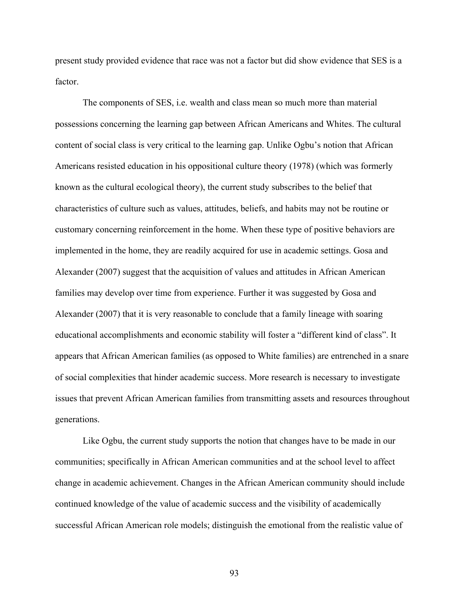present study provided evidence that race was not a factor but did show evidence that SES is a factor.

The components of SES, i.e. wealth and class mean so much more than material possessions concerning the learning gap between African Americans and Whites. The cultural content of social class is very critical to the learning gap. Unlike Ogbu's notion that African Americans resisted education in his oppositional culture theory (1978) (which was formerly known as the cultural ecological theory), the current study subscribes to the belief that characteristics of culture such as values, attitudes, beliefs, and habits may not be routine or customary concerning reinforcement in the home. When these type of positive behaviors are implemented in the home, they are readily acquired for use in academic settings. Gosa and Alexander (2007) suggest that the acquisition of values and attitudes in African American families may develop over time from experience. Further it was suggested by Gosa and Alexander (2007) that it is very reasonable to conclude that a family lineage with soaring educational accomplishments and economic stability will foster a "different kind of class". It appears that African American families (as opposed to White families) are entrenched in a snare of social complexities that hinder academic success. More research is necessary to investigate issues that prevent African American families from transmitting assets and resources throughout generations.

Like Ogbu, the current study supports the notion that changes have to be made in our communities; specifically in African American communities and at the school level to affect change in academic achievement. Changes in the African American community should include continued knowledge of the value of academic success and the visibility of academically successful African American role models; distinguish the emotional from the realistic value of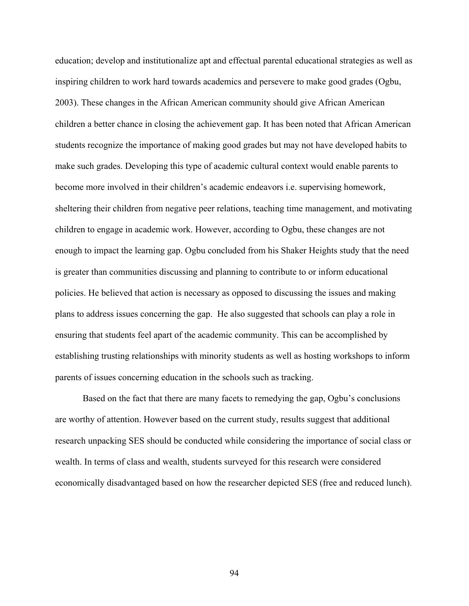education; develop and institutionalize apt and effectual parental educational strategies as well as inspiring children to work hard towards academics and persevere to make good grades (Ogbu, 2003). These changes in the African American community should give African American children a better chance in closing the achievement gap. It has been noted that African American students recognize the importance of making good grades but may not have developed habits to make such grades. Developing this type of academic cultural context would enable parents to become more involved in their children's academic endeavors i.e. supervising homework, sheltering their children from negative peer relations, teaching time management, and motivating children to engage in academic work. However, according to Ogbu, these changes are not enough to impact the learning gap. Ogbu concluded from his Shaker Heights study that the need is greater than communities discussing and planning to contribute to or inform educational policies. He believed that action is necessary as opposed to discussing the issues and making plans to address issues concerning the gap. He also suggested that schools can play a role in ensuring that students feel apart of the academic community. This can be accomplished by establishing trusting relationships with minority students as well as hosting workshops to inform parents of issues concerning education in the schools such as tracking.

Based on the fact that there are many facets to remedying the gap, Ogbu's conclusions are worthy of attention. However based on the current study, results suggest that additional research unpacking SES should be conducted while considering the importance of social class or wealth. In terms of class and wealth, students surveyed for this research were considered economically disadvantaged based on how the researcher depicted SES (free and reduced lunch).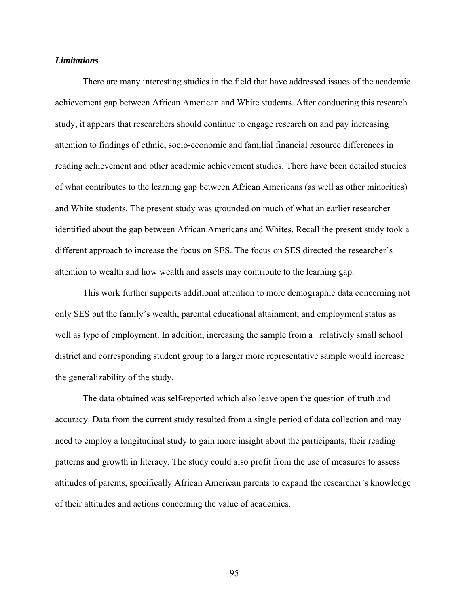## *Limitations*

There are many interesting studies in the field that have addressed issues of the academic achievement gap between African American and White students. After conducting this research study, it appears that researchers should continue to engage research on and pay increasing attention to findings of ethnic, socio-economic and familial financial resource differences in reading achievement and other academic achievement studies. There have been detailed studies of what contributes to the learning gap between African Americans (as well as other minorities) and White students. The present study was grounded on much of what an earlier researcher identified about the gap between African Americans and Whites. Recall the present study took a different approach to increase the focus on SES. The focus on SES directed the researcher's attention to wealth and how wealth and assets may contribute to the learning gap.

This work further supports additional attention to more demographic data concerning not only SES but the family's wealth, parental educational attainment, and employment status as well as type of employment. In addition, increasing the sample from a relatively small school district and corresponding student group to a larger more representative sample would increase the generalizability of the study.

The data obtained was self-reported which also leave open the question of truth and accuracy. Data from the current study resulted from a single period of data collection and may need to employ a longitudinal study to gain more insight about the participants, their reading patterns and growth in literacy. The study could also profit from the use of measures to assess attitudes of parents, specifically African American parents to expand the researcher's knowledge of their attitudes and actions concerning the value of academics.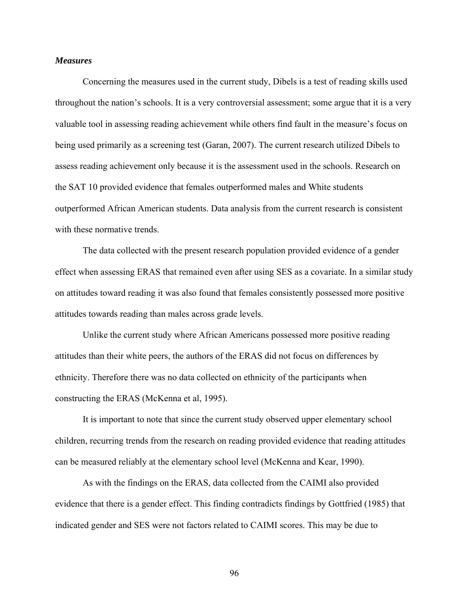## *Measures*

Concerning the measures used in the current study, Dibels is a test of reading skills used throughout the nation's schools. It is a very controversial assessment; some argue that it is a very valuable tool in assessing reading achievement while others find fault in the measure's focus on being used primarily as a screening test (Garan, 2007). The current research utilized Dibels to assess reading achievement only because it is the assessment used in the schools. Research on the SAT 10 provided evidence that females outperformed males and White students outperformed African American students. Data analysis from the current research is consistent with these normative trends.

The data collected with the present research population provided evidence of a gender effect when assessing ERAS that remained even after using SES as a covariate. In a similar study on attitudes toward reading it was also found that females consistently possessed more positive attitudes towards reading than males across grade levels.

Unlike the current study where African Americans possessed more positive reading attitudes than their white peers, the authors of the ERAS did not focus on differences by ethnicity. Therefore there was no data collected on ethnicity of the participants when constructing the ERAS (McKenna et al, 1995).

It is important to note that since the current study observed upper elementary school children, recurring trends from the research on reading provided evidence that reading attitudes can be measured reliably at the elementary school level (McKenna and Kear, 1990).

As with the findings on the ERAS, data collected from the CAIMI also provided evidence that there is a gender effect. This finding contradicts findings by Gottfried (1985) that indicated gender and SES were not factors related to CAIMI scores. This may be due to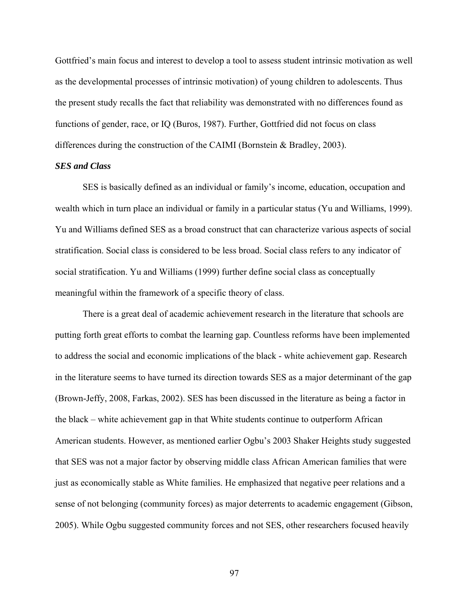Gottfried's main focus and interest to develop a tool to assess student intrinsic motivation as well as the developmental processes of intrinsic motivation) of young children to adolescents. Thus the present study recalls the fact that reliability was demonstrated with no differences found as functions of gender, race, or IQ (Buros, 1987). Further, Gottfried did not focus on class differences during the construction of the CAIMI (Bornstein & Bradley, 2003).

## *SES and Class*

SES is basically defined as an individual or family's income, education, occupation and wealth which in turn place an individual or family in a particular status (Yu and Williams, 1999). Yu and Williams defined SES as a broad construct that can characterize various aspects of social stratification. Social class is considered to be less broad. Social class refers to any indicator of social stratification. Yu and Williams (1999) further define social class as conceptually meaningful within the framework of a specific theory of class.

There is a great deal of academic achievement research in the literature that schools are putting forth great efforts to combat the learning gap. Countless reforms have been implemented to address the social and economic implications of the black - white achievement gap. Research in the literature seems to have turned its direction towards SES as a major determinant of the gap (Brown-Jeffy, 2008, Farkas, 2002). SES has been discussed in the literature as being a factor in the black – white achievement gap in that White students continue to outperform African American students. However, as mentioned earlier Ogbu's 2003 Shaker Heights study suggested that SES was not a major factor by observing middle class African American families that were just as economically stable as White families. He emphasized that negative peer relations and a sense of not belonging (community forces) as major deterrents to academic engagement (Gibson, 2005). While Ogbu suggested community forces and not SES, other researchers focused heavily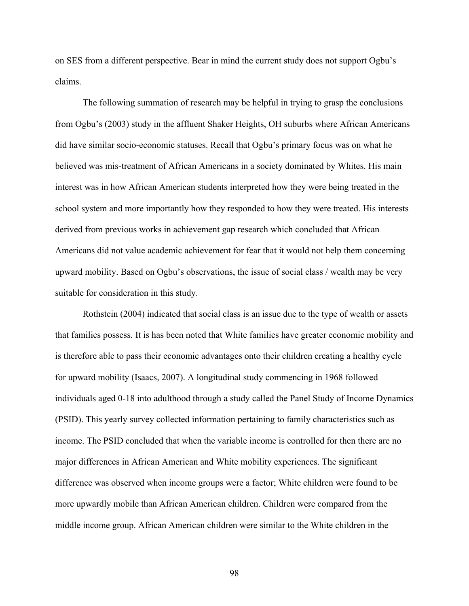on SES from a different perspective. Bear in mind the current study does not support Ogbu's claims.

The following summation of research may be helpful in trying to grasp the conclusions from Ogbu's (2003) study in the affluent Shaker Heights, OH suburbs where African Americans did have similar socio-economic statuses. Recall that Ogbu's primary focus was on what he believed was mis-treatment of African Americans in a society dominated by Whites. His main interest was in how African American students interpreted how they were being treated in the school system and more importantly how they responded to how they were treated. His interests derived from previous works in achievement gap research which concluded that African Americans did not value academic achievement for fear that it would not help them concerning upward mobility. Based on Ogbu's observations, the issue of social class / wealth may be very suitable for consideration in this study.

Rothstein (2004) indicated that social class is an issue due to the type of wealth or assets that families possess. It is has been noted that White families have greater economic mobility and is therefore able to pass their economic advantages onto their children creating a healthy cycle for upward mobility (Isaacs, 2007). A longitudinal study commencing in 1968 followed individuals aged 0-18 into adulthood through a study called the Panel Study of Income Dynamics (PSID). This yearly survey collected information pertaining to family characteristics such as income. The PSID concluded that when the variable income is controlled for then there are no major differences in African American and White mobility experiences. The significant difference was observed when income groups were a factor; White children were found to be more upwardly mobile than African American children. Children were compared from the middle income group. African American children were similar to the White children in the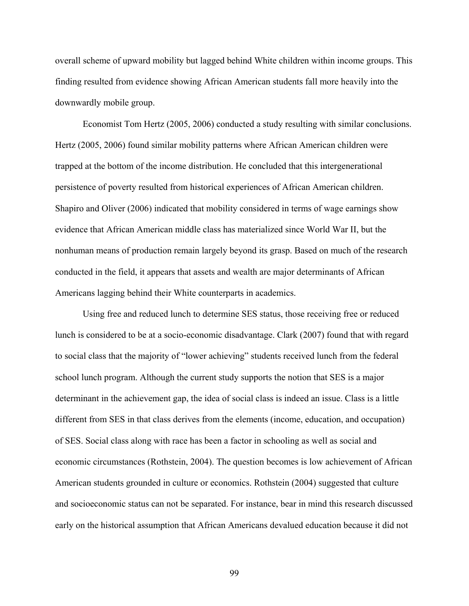overall scheme of upward mobility but lagged behind White children within income groups. This finding resulted from evidence showing African American students fall more heavily into the downwardly mobile group.

Economist Tom Hertz (2005, 2006) conducted a study resulting with similar conclusions. Hertz (2005, 2006) found similar mobility patterns where African American children were trapped at the bottom of the income distribution. He concluded that this intergenerational persistence of poverty resulted from historical experiences of African American children. Shapiro and Oliver (2006) indicated that mobility considered in terms of wage earnings show evidence that African American middle class has materialized since World War II, but the nonhuman means of production remain largely beyond its grasp. Based on much of the research conducted in the field, it appears that assets and wealth are major determinants of African Americans lagging behind their White counterparts in academics.

Using free and reduced lunch to determine SES status, those receiving free or reduced lunch is considered to be at a socio-economic disadvantage. Clark (2007) found that with regard to social class that the majority of "lower achieving" students received lunch from the federal school lunch program. Although the current study supports the notion that SES is a major determinant in the achievement gap, the idea of social class is indeed an issue. Class is a little different from SES in that class derives from the elements (income, education, and occupation) of SES. Social class along with race has been a factor in schooling as well as social and economic circumstances (Rothstein, 2004). The question becomes is low achievement of African American students grounded in culture or economics. Rothstein (2004) suggested that culture and socioeconomic status can not be separated. For instance, bear in mind this research discussed early on the historical assumption that African Americans devalued education because it did not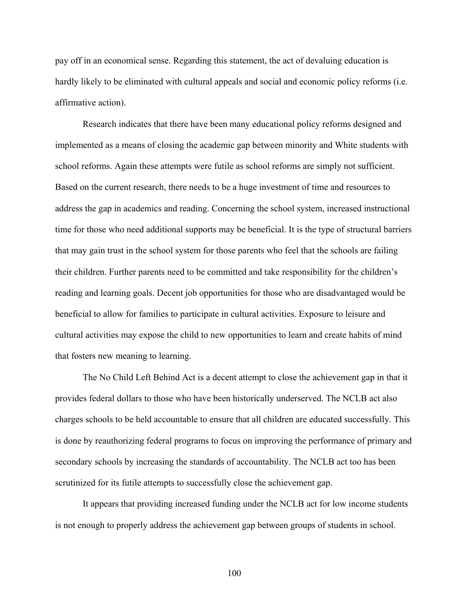pay off in an economical sense. Regarding this statement, the act of devaluing education is hardly likely to be eliminated with cultural appeals and social and economic policy reforms (i.e. affirmative action).

Research indicates that there have been many educational policy reforms designed and implemented as a means of closing the academic gap between minority and White students with school reforms. Again these attempts were futile as school reforms are simply not sufficient. Based on the current research, there needs to be a huge investment of time and resources to address the gap in academics and reading. Concerning the school system, increased instructional time for those who need additional supports may be beneficial. It is the type of structural barriers that may gain trust in the school system for those parents who feel that the schools are failing their children. Further parents need to be committed and take responsibility for the children's reading and learning goals. Decent job opportunities for those who are disadvantaged would be beneficial to allow for families to participate in cultural activities. Exposure to leisure and cultural activities may expose the child to new opportunities to learn and create habits of mind that fosters new meaning to learning.

The No Child Left Behind Act is a decent attempt to close the achievement gap in that it provides federal dollars to those who have been historically underserved. The NCLB act also charges schools to be held accountable to ensure that all children are educated successfully. This is done by reauthorizing federal programs to focus on improving the performance of primary and secondary schools by increasing the standards of accountability. The NCLB act too has been scrutinized for its futile attempts to successfully close the achievement gap.

It appears that providing increased funding under the NCLB act for low income students is not enough to properly address the achievement gap between groups of students in school.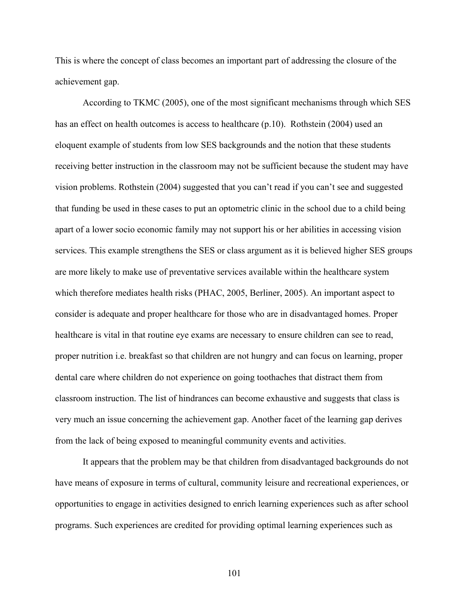This is where the concept of class becomes an important part of addressing the closure of the achievement gap.

According to TKMC (2005), one of the most significant mechanisms through which SES has an effect on health outcomes is access to healthcare (p.10). Rothstein (2004) used an eloquent example of students from low SES backgrounds and the notion that these students receiving better instruction in the classroom may not be sufficient because the student may have vision problems. Rothstein (2004) suggested that you can't read if you can't see and suggested that funding be used in these cases to put an optometric clinic in the school due to a child being apart of a lower socio economic family may not support his or her abilities in accessing vision services. This example strengthens the SES or class argument as it is believed higher SES groups are more likely to make use of preventative services available within the healthcare system which therefore mediates health risks (PHAC, 2005, Berliner, 2005). An important aspect to consider is adequate and proper healthcare for those who are in disadvantaged homes. Proper healthcare is vital in that routine eye exams are necessary to ensure children can see to read, proper nutrition i.e. breakfast so that children are not hungry and can focus on learning, proper dental care where children do not experience on going toothaches that distract them from classroom instruction. The list of hindrances can become exhaustive and suggests that class is very much an issue concerning the achievement gap. Another facet of the learning gap derives from the lack of being exposed to meaningful community events and activities.

It appears that the problem may be that children from disadvantaged backgrounds do not have means of exposure in terms of cultural, community leisure and recreational experiences, or opportunities to engage in activities designed to enrich learning experiences such as after school programs. Such experiences are credited for providing optimal learning experiences such as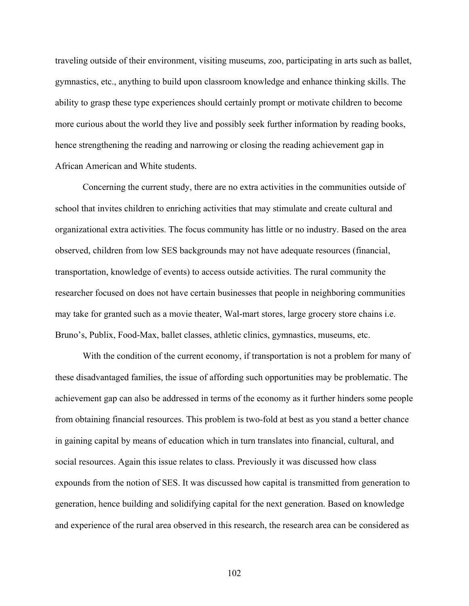traveling outside of their environment, visiting museums, zoo, participating in arts such as ballet, gymnastics, etc., anything to build upon classroom knowledge and enhance thinking skills. The ability to grasp these type experiences should certainly prompt or motivate children to become more curious about the world they live and possibly seek further information by reading books, hence strengthening the reading and narrowing or closing the reading achievement gap in African American and White students.

Concerning the current study, there are no extra activities in the communities outside of school that invites children to enriching activities that may stimulate and create cultural and organizational extra activities. The focus community has little or no industry. Based on the area observed, children from low SES backgrounds may not have adequate resources (financial, transportation, knowledge of events) to access outside activities. The rural community the researcher focused on does not have certain businesses that people in neighboring communities may take for granted such as a movie theater, Wal-mart stores, large grocery store chains i.e. Bruno's, Publix, Food-Max, ballet classes, athletic clinics, gymnastics, museums, etc.

With the condition of the current economy, if transportation is not a problem for many of these disadvantaged families, the issue of affording such opportunities may be problematic. The achievement gap can also be addressed in terms of the economy as it further hinders some people from obtaining financial resources. This problem is two-fold at best as you stand a better chance in gaining capital by means of education which in turn translates into financial, cultural, and social resources. Again this issue relates to class. Previously it was discussed how class expounds from the notion of SES. It was discussed how capital is transmitted from generation to generation, hence building and solidifying capital for the next generation. Based on knowledge and experience of the rural area observed in this research, the research area can be considered as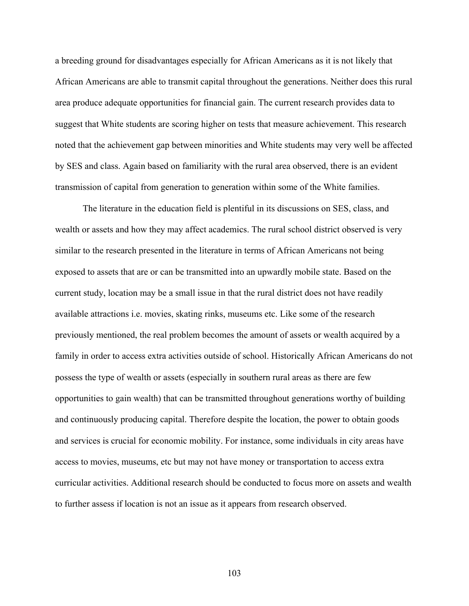a breeding ground for disadvantages especially for African Americans as it is not likely that African Americans are able to transmit capital throughout the generations. Neither does this rural area produce adequate opportunities for financial gain. The current research provides data to suggest that White students are scoring higher on tests that measure achievement. This research noted that the achievement gap between minorities and White students may very well be affected by SES and class. Again based on familiarity with the rural area observed, there is an evident transmission of capital from generation to generation within some of the White families.

The literature in the education field is plentiful in its discussions on SES, class, and wealth or assets and how they may affect academics. The rural school district observed is very similar to the research presented in the literature in terms of African Americans not being exposed to assets that are or can be transmitted into an upwardly mobile state. Based on the current study, location may be a small issue in that the rural district does not have readily available attractions i.e. movies, skating rinks, museums etc. Like some of the research previously mentioned, the real problem becomes the amount of assets or wealth acquired by a family in order to access extra activities outside of school. Historically African Americans do not possess the type of wealth or assets (especially in southern rural areas as there are few opportunities to gain wealth) that can be transmitted throughout generations worthy of building and continuously producing capital. Therefore despite the location, the power to obtain goods and services is crucial for economic mobility. For instance, some individuals in city areas have access to movies, museums, etc but may not have money or transportation to access extra curricular activities. Additional research should be conducted to focus more on assets and wealth to further assess if location is not an issue as it appears from research observed.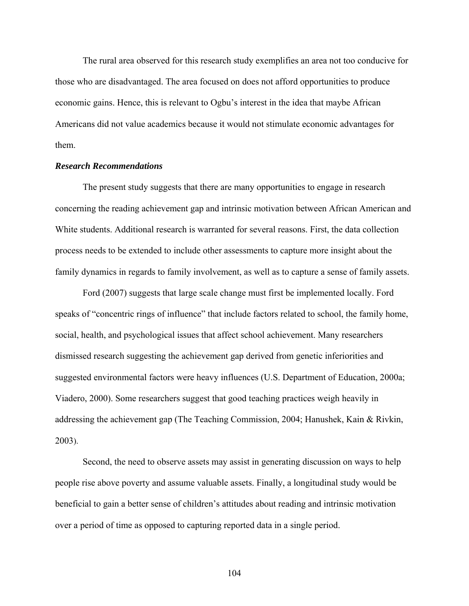The rural area observed for this research study exemplifies an area not too conducive for those who are disadvantaged. The area focused on does not afford opportunities to produce economic gains. Hence, this is relevant to Ogbu's interest in the idea that maybe African Americans did not value academics because it would not stimulate economic advantages for them.

#### *Research Recommendations*

The present study suggests that there are many opportunities to engage in research concerning the reading achievement gap and intrinsic motivation between African American and White students. Additional research is warranted for several reasons. First, the data collection process needs to be extended to include other assessments to capture more insight about the family dynamics in regards to family involvement, as well as to capture a sense of family assets.

Ford (2007) suggests that large scale change must first be implemented locally. Ford speaks of "concentric rings of influence" that include factors related to school, the family home, social, health, and psychological issues that affect school achievement. Many researchers dismissed research suggesting the achievement gap derived from genetic inferiorities and suggested environmental factors were heavy influences (U.S. Department of Education, 2000a; Viadero, 2000). Some researchers suggest that good teaching practices weigh heavily in addressing the achievement gap (The Teaching Commission, 2004; Hanushek, Kain & Rivkin, 2003).

Second, the need to observe assets may assist in generating discussion on ways to help people rise above poverty and assume valuable assets. Finally, a longitudinal study would be beneficial to gain a better sense of children's attitudes about reading and intrinsic motivation over a period of time as opposed to capturing reported data in a single period.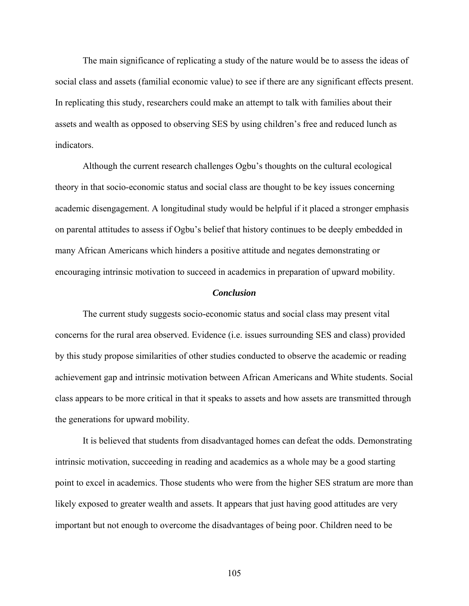The main significance of replicating a study of the nature would be to assess the ideas of social class and assets (familial economic value) to see if there are any significant effects present. In replicating this study, researchers could make an attempt to talk with families about their assets and wealth as opposed to observing SES by using children's free and reduced lunch as indicators.

Although the current research challenges Ogbu's thoughts on the cultural ecological theory in that socio-economic status and social class are thought to be key issues concerning academic disengagement. A longitudinal study would be helpful if it placed a stronger emphasis on parental attitudes to assess if Ogbu's belief that history continues to be deeply embedded in many African Americans which hinders a positive attitude and negates demonstrating or encouraging intrinsic motivation to succeed in academics in preparation of upward mobility.

#### *Conclusion*

The current study suggests socio-economic status and social class may present vital concerns for the rural area observed. Evidence (i.e. issues surrounding SES and class) provided by this study propose similarities of other studies conducted to observe the academic or reading achievement gap and intrinsic motivation between African Americans and White students. Social class appears to be more critical in that it speaks to assets and how assets are transmitted through the generations for upward mobility.

It is believed that students from disadvantaged homes can defeat the odds. Demonstrating intrinsic motivation, succeeding in reading and academics as a whole may be a good starting point to excel in academics. Those students who were from the higher SES stratum are more than likely exposed to greater wealth and assets. It appears that just having good attitudes are very important but not enough to overcome the disadvantages of being poor. Children need to be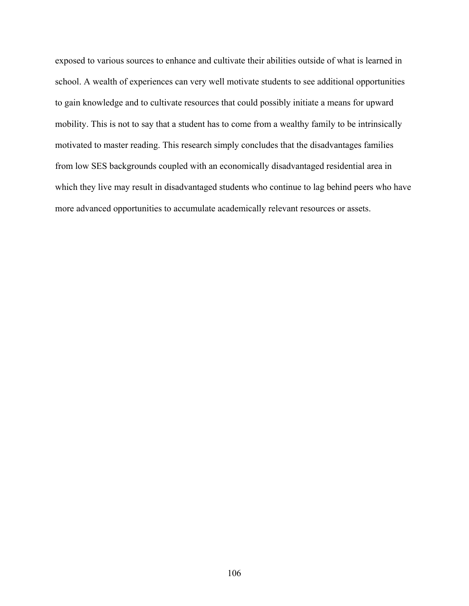exposed to various sources to enhance and cultivate their abilities outside of what is learned in school. A wealth of experiences can very well motivate students to see additional opportunities to gain knowledge and to cultivate resources that could possibly initiate a means for upward mobility. This is not to say that a student has to come from a wealthy family to be intrinsically motivated to master reading. This research simply concludes that the disadvantages families from low SES backgrounds coupled with an economically disadvantaged residential area in which they live may result in disadvantaged students who continue to lag behind peers who have more advanced opportunities to accumulate academically relevant resources or assets.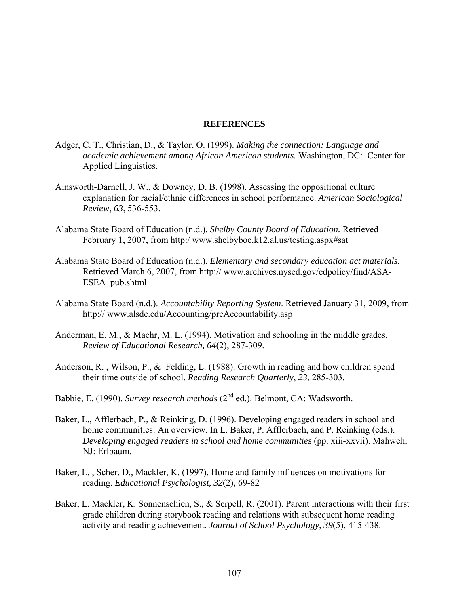#### **REFERENCES**

- Adger, C. T., Christian, D., & Taylor, O. (1999). *Making the connection: Language and academic achievement among African American students.* Washington, DC: Center for Applied Linguistics.
- Ainsworth-Darnell, J. W., & Downey, D. B. (1998). Assessing the oppositional culture explanation for racial/ethnic differences in school performance. *American Sociological Review*, *63*, 536-553.
- Alabama State Board of Education (n.d.). *Shelby County Board of Education.* Retrieved February 1, 2007, from http:/ [www.shelbyboe.k12.al.us/testing.aspx#sat](http://www.shelbyboe.k12.al.us/testing.aspx#sat)
- Alabama State Board of Education (n.d.). *Elementary and secondary education act materials.*  Retrieved March 6, 2007, from http:// [www.archives.nysed.gov/edpolicy/find/ASA-](http://www.archives.nysed.gov/edpolicy/find/ASA-ESEA_pub.shtml)[ESEA\\_pub.shtml](http://www.archives.nysed.gov/edpolicy/find/ASA-ESEA_pub.shtml)
- Alabama State Board (n.d.). *Accountability Reporting System*. Retrieved January 31, 2009, from http:// [www.alsde.edu/Accounting/preAccountability.asp](http://www.alsde.edu/Accounting/preAccountability.asp)
- Anderman, E. M., & Maehr, M. L. (1994). Motivation and schooling in the middle grades. *Review of Educational Research, 64*(2), 287-309.
- Anderson, R. , Wilson, P., & Felding, L. (1988). Growth in reading and how children spend their time outside of school. *Reading Research Quarterly*, *23*, 285-303.
- Babbie, E. (1990). *Survey research methods* (2<sup>nd</sup> ed.). Belmont, CA: Wadsworth.
- Baker, L., Afflerbach, P., & Reinking, D. (1996). Developing engaged readers in school and home communities: An overview. In L. Baker, P. Afflerbach, and P. Reinking (eds.). *Developing engaged readers in school and home communities* (pp. xiii-xxvii). Mahweh, NJ: Erlbaum.
- Baker, L. , Scher, D., Mackler, K. (1997). Home and family influences on motivations for reading. *Educational Psychologist, 32*(2), 69-82
- Baker, L. Mackler, K. Sonnenschien, S., & Serpell, R. (2001). Parent interactions with their first grade children during storybook reading and relations with subsequent home reading activity and reading achievement. *Journal of School Psychology, 39*(5), 415-438.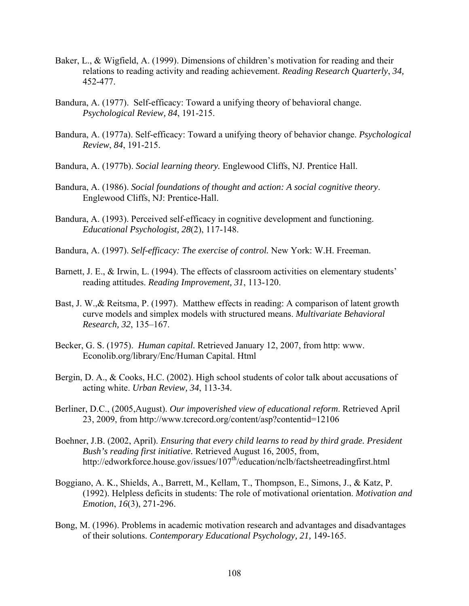- Baker, L., & Wigfield, A. (1999). Dimensions of children's motivation for reading and their relations to reading activity and reading achievement. *Reading Research Quarterly*, *34,* 452-477.
- Bandura, A. (1977). Self-efficacy: Toward a unifying theory of behavioral change. *Psychological Review, 84*, 191-215.
- Bandura, A. (1977a). Self-efficacy: Toward a unifying theory of behavior change. *Psychological Review*, *84*, 191-215.
- Bandura, A. (1977b). *Social learning theory.* Englewood Cliffs, NJ. Prentice Hall.
- Bandura, A. (1986). *Social foundations of thought and action: A social cognitive theory*. Englewood Cliffs, NJ: Prentice-Hall.
- Bandura, A. (1993). Perceived self-efficacy in cognitive development and functioning. *Educational Psychologist, 28*(2), 117-148.
- Bandura, A. (1997). *Self-efficacy: The exercise of control.* New York: W.H. Freeman.
- Barnett, J. E., & Irwin, L. (1994). The effects of classroom activities on elementary students' reading attitudes. *Reading Improvement, 31*, 113-120.
- Bast, J. W.,& Reitsma, P. (1997). Matthew effects in reading: A comparison of latent growth curve models and simplex models with structured means. *Multivariate Behavioral Research, 32*, 135–167.
- Becker, G. S. (1975). *Human capital.* Retrieved January 12, 2007, from http: www. Econolib.org/library/Enc/Human Capital. Html
- Bergin, D. A., & Cooks, H.C. (2002). High school students of color talk about accusations of acting white. *Urban Review, 34*, 113-34.
- Berliner, D.C., (2005,August). *Our impoverished view of educational reform*. Retrieved April 23, 2009, from<http://www.tcrecord.org/content/asp?contentid=12106>
- Boehner, J.B. (2002, April). *Ensuring that every child learns to read by third grade. President Bush's reading first initiative.* Retrieved August 16, 2005, from, http://edworkforce.house.gov/issues/107<sup>th</sup>/education/nclb/factsheetreadingfirst.html
- Boggiano, A. K., Shields, A., Barrett, M., Kellam, T., Thompson, E., Simons, J., & Katz, P. (1992). Helpless deficits in students: The role of motivational orientation. *Motivation and Emotion*, *16*(3), 271-296.
- Bong, M. (1996). Problems in academic motivation research and advantages and disadvantages of their solutions. *Contemporary Educational Psychology, 21,* 149-165.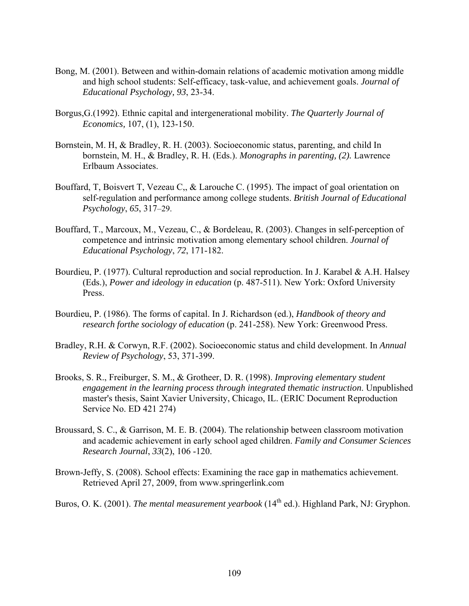- Bong, M. (2001). Between and within-domain relations of academic motivation among middle and high school students: Self-efficacy, task-value, and achievement goals. *Journal of Educational Psychology, 93*, 23-34.
- Borgus,G.(1992). Ethnic capital and intergenerational mobility. *The Quarterly Journal of Economics,* 107, (1), 123-150.
- Bornstein, M. H, & Bradley, R. H. (2003). Socioeconomic status, parenting, and child In bornstein, M. H., & Bradley, R. H. (Eds.). *Monographs in parenting, (2).* Lawrence Erlbaum Associates.
- Bouffard, T, Boisvert T, Vezeau C,, & Larouche C. (1995). The impact of goal orientation on self-regulation and performance among college students. *British Journal of Educational Psychology*, *65*, 317–29.
- Bouffard, T., Marcoux, M., Vezeau, C., & Bordeleau, R. (2003). Changes in self-perception of competence and intrinsic motivation among elementary school children. *Journal of Educational Psychology*, *72*, 171-182.
- Bourdieu, P. (1977). Cultural reproduction and social reproduction. In J. Karabel & A.H. Halsey (Eds.), *Power and ideology in education* (p. 487-511). New York: Oxford University Press.
- Bourdieu, P. (1986). The forms of capital. In J. Richardson (ed.), *Handbook of theory and research forthe sociology of education* (p. 241-258). New York: Greenwood Press.
- Bradley, R.H. & Corwyn, R.F. (2002). Socioeconomic status and child development. In *Annual Review of Psychology*, 53, 371-399.
- Brooks, S. R., Freiburger, S. M., & Grotheer, D. R. (1998). *Improving elementary student engagement in the learning process through integrated thematic instruction*. Unpublished master's thesis, Saint Xavier University, Chicago, IL. (ERIC Document Reproduction Service No. ED 421 274)
- Broussard, S. C., & Garrison, M. E. B. (2004). The relationship between classroom motivation and academic achievement in early school aged children. *Family and Consumer Sciences Research Journal*, *33*(2), 106 -120.
- Brown-Jeffy, S. (2008). School effects: Examining the race gap in mathematics achievement. Retrieved April 27, 2009, from [www.springerlink.com](http://www.springerlink.com/)
- Buros, O. K. (2001). *The mental measurement yearbook* (14<sup>th</sup> ed.). Highland Park, NJ: Gryphon.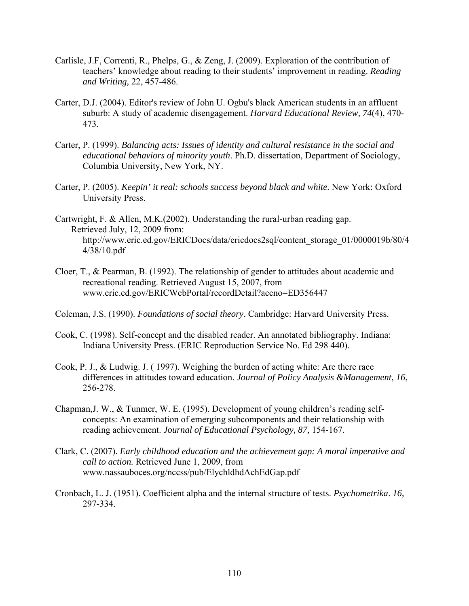- Carlisle, J.F, Correnti, R., Phelps, G., & Zeng, J. (2009). Exploration of the contribution of teachers' knowledge about reading to their students' improvement in reading. *Reading and Writing,* 22, 457-486.
- Carter, D.J. (2004). Editor's review of John U. Ogbu's black American students in an affluent suburb: A study of academic disengagement. *Harvard Educational Review, 74*(4), 470- 473.
- Carter, P. (1999). *Balancing acts: Issues of identity and cultural resistance in the social and educational behaviors of minority youth*. Ph.D. dissertation, Department of Sociology, Columbia University, New York, NY.
- Carter, P. (2005). *Keepin' it real: schools success beyond black and white*. New York: Oxford University Press.
- Cartwright, F. & Allen, M.K.(2002). Understanding the rural-urban reading gap. Retrieved July, 12, 2009 from: [http://www.eric.ed.gov/ERICDocs/data/ericdocs2sql/content\\_storage\\_01/0000019b/80/4](http://www.eric.ed.gov/ERICDocs/data/ericdocs2sql/content_storage_01/0000019b/80/44/38/10.pdf) [4/38/10.pdf](http://www.eric.ed.gov/ERICDocs/data/ericdocs2sql/content_storage_01/0000019b/80/44/38/10.pdf)
- Cloer, T., & Pearman, B. (1992). The relationship of gender to attitudes about academic and recreational reading. Retrieved August 15, 2007, from www.eric.ed.gov/ERICWebPortal/recordDetail?accno=ED356447
- Coleman, J.S. (1990). *Foundations of social theory*. Cambridge: Harvard University Press.
- Cook, C. (1998). Self-concept and the disabled reader. An annotated bibliography. Indiana: Indiana University Press. (ERIC Reproduction Service No. Ed 298 440).
- Cook, P. J., & Ludwig. J. ( 1997). Weighing the burden of acting white: Are there race differences in attitudes toward education. *Journal of Policy Analysis &Management*, *16*, 256-278.
- Chapman,J. W., & Tunmer, W. E. (1995). Development of young children's reading selfconcepts: An examination of emerging subcomponents and their relationship with reading achievement. *Journal of Educational Psychology, 87,* 154-167.
- Clark, C. (2007). *Early childhood education and the achievement gap: A moral imperative and call to action.* Retrieved June 1, 2009, from www.nassauboces.org/nccss/pub/ElychldhdAchEdGap.pdf
- Cronbach, L. J. (1951). Coefficient alpha and the internal structure of tests. *Psychometrika*. *16*, 297-334.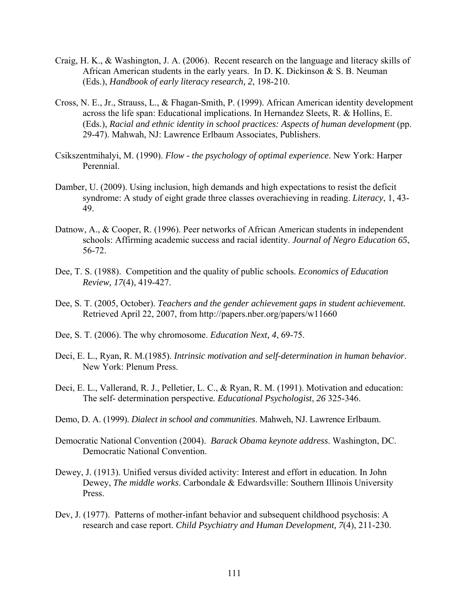- Craig, H. K., & Washington, J. A. (2006). Recent research on the language and literacy skills of African American students in the early years. In D. K. Dickinson & S. B. Neuman (Eds.), *Handbook of early literacy research, 2*, 198-210.
- Cross, N. E., Jr., Strauss, L., & Fhagan-Smith, P. (1999). African American identity development across the life span: Educational implications. In Hernandez Sleets, R. & Hollins, E. (Eds.), *Racial and ethnic identity in school practices: Aspects of human development* (pp. 29-47). Mahwah, NJ: Lawrence Erlbaum Associates, Publishers.
- Csikszentmihalyi, M. (1990). *Flow the psychology of optimal experience*. New York: Harper Perennial.
- Damber, U. (2009). Using inclusion, high demands and high expectations to resist the deficit syndrome: A study of eight grade three classes overachieving in reading. *Literacy*, 1, 43- 49.
- Datnow, A., & Cooper, R. (1996). Peer networks of African American students in independent schools: Affirming academic success and racial identity. *Journal of Negro Education 65*, 56-72.
- Dee, T. S. (1988). Competition and the quality of public schools. *Economics of Education Review, 17*(4), 419-427.
- Dee, S. T. (2005, October). *Teachers and the gender achievement gaps in student achievement.* Retrieved April 22, 2007, from<http://papers.nber.org/papers/w11660>
- Dee, S. T. (2006). The why chromosome. *Education Next, 4*, 69-75.
- Deci, E. L., Ryan, R. M.(1985). *Intrinsic motivation and self-determination in human behavior*. New York: Plenum Press.
- Deci, E. L., Vallerand, R. J., Pelletier, L. C., & Ryan, R. M. (1991). Motivation and education: The self- determination perspective*. Educational Psychologist*, *26* 325-346.
- Demo, D. A. (1999). *Dialect in school and communities*. Mahweh, NJ. Lawrence Erlbaum.
- Democratic National Convention (2004). *Barack Obama keynote address*. Washington, DC. Democratic National Convention.
- Dewey, J. (1913). Unified versus divided activity: Interest and effort in education. In John Dewey, *The middle works*. Carbondale & Edwardsville: Southern Illinois University Press.
- Dev, J. (1977). Patterns of mother-infant behavior and subsequent childhood psychosis: A research and case report. *Child Psychiatry and Human Development, 7*(4), 211-230.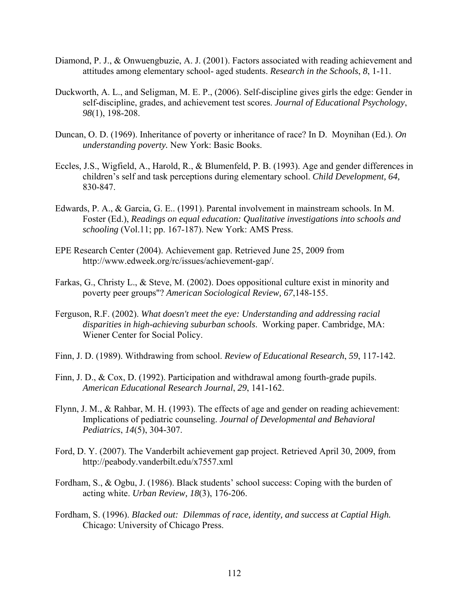- Diamond, P. J., & Onwuengbuzie, A. J. (2001). Factors associated with reading achievement and attitudes among elementary school- aged students. *Research in the Schools*, *8*, 1-11.
- Duckworth, A. L., and Seligman, M. E. P., (2006). Self-discipline gives girls the edge: Gender in self-discipline, grades, and achievement test scores. *Journal of Educational Psychology*, *98*(1), 198-208.
- Duncan, O. D. (1969). Inheritance of poverty or inheritance of race? In D. Moynihan (Ed.). *On understanding poverty.* New York: Basic Books.
- Eccles, J.S., Wigfield, A., Harold, R., & Blumenfeld, P. B. (1993). Age and gender differences in children's self and task perceptions during elementary school. *Child Development, 64,* 830-847.
- Edwards, P. A., & Garcia, G. E.. (1991). Parental involvement in mainstream schools. In M. Foster (Ed.), *Readings on equal education: Qualitative investigations into schools and schooling* (Vol.11; pp. 167-187). New York: AMS Press.
- EPE Research Center (2004). Achievement gap. Retrieved June 25, 2009 from http://www.edweek.org/rc/issues/achievement-gap/.
- Farkas, G., Christy L., & Steve, M. (2002). Does oppositional culture exist in minority and poverty peer groups"? *American Sociological Review, 67*,148-155.
- Ferguson, R.F. (2002). *What doesn't meet the eye: Understanding and addressing racial disparities in high-achieving suburban schools*. Working paper. Cambridge, MA: Wiener Center for Social Policy.
- Finn, J. D. (1989). Withdrawing from school. *Review of Educational Research*, *59*, 117-142.
- Finn, J. D., & Cox, D. (1992). Participation and withdrawal among fourth-grade pupils. *American Educational Research Journal*, *29*, 141-162.
- Flynn, J. M., & Rahbar, M. H. (1993). The effects of age and gender on reading achievement: Implications of pediatric counseling. *Journal of Developmental and Behavioral Pediatrics*, *14*(5), 304-307.
- Ford, D. Y. (2007). The Vanderbilt achievement gap project. Retrieved April 30, 2009, from http://peabody.vanderbilt.edu/x7557.xml
- Fordham, S., & Ogbu, J. (1986). Black students' school success: Coping with the burden of acting white. *Urban Review, 18*(3), 176-206.
- Fordham, S. (1996). *Blacked out: Dilemmas of race, identity, and success at Captial High.*  Chicago: University of Chicago Press.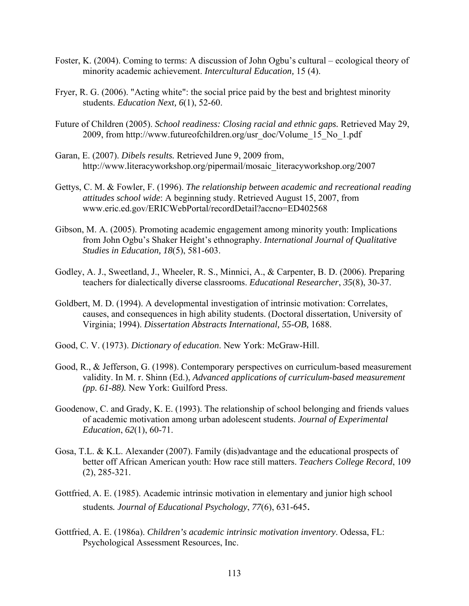- Foster, K. (2004). Coming to terms: A discussion of John Ogbu's cultural ecological theory of minority academic achievement. *Intercultural Education,* 15 (4).
- Fryer, R. G. (2006). "Acting white": the social price paid by the best and brightest minority students. *Education Next, 6*(1), 52-60.
- Future of Children (2005). *School readiness: Closing racial and ethnic gaps.* Retrieved May 29, 2009, from [http://www.futureofchildren.org/usr\\_doc/Volume\\_15\\_No\\_1.pdf](http://www.futureofchildren.org/usr_doc/Volume_15_No_1.pdf)
- Garan, E. (2007). *Dibels results.* Retrieved June 9, 2009 from, [http://www.literacyworkshop.org/pipermail/mosaic\\_literacyworkshop.org/2007](http://www.literacyworkshop.org/pipermail/mosaic_literacyworkshop.org/2007)
- Gettys, C. M. & Fowler, F. (1996). *The relationship between academic and recreational reading attitudes school wide*: A beginning study. Retrieved August 15, 2007, from [www.eric.ed.gov/ERICWebPortal/recordDetail?accno=ED402568](http://www.eric.ed.gov/ERICWebPortal/recordDetail?accno=ED402568)
- Gibson, M. A. (2005). Promoting academic engagement among minority youth: Implications from John Ogbu's Shaker Height's ethnography. *International Journal of Qualitative Studies in Education, 18*(5), 581-603.
- Godley, A. J., Sweetland, J., Wheeler, R. S., Minnici, A., & Carpenter, B. D. (2006). Preparing teachers for dialectically diverse classrooms. *Educational Researcher*, *35*(8), 30-37.
- Goldbert, M. D. (1994). A developmental investigation of intrinsic motivation: Correlates, causes, and consequences in high ability students. (Doctoral dissertation, University of Virginia; 1994). *Dissertation Abstracts International, 55-OB,* 1688.
- Good, C. V. (1973). *Dictionary of education*. New York: McGraw-Hill.
- Good, R., & Jefferson, G. (1998). Contemporary perspectives on curriculum-based measurement validity. In M. r. Shinn (Ed.), *Advanced applications of curriculum-based measurement (pp. 61-88).* New York: Guilford Press.
- Goodenow, C. and Grady, K. E. (1993). The relationship of school belonging and friends values of academic motivation among urban adolescent students. *Journal of Experimental Education*, *62*(1), 60-71.
- Gosa, T.L. & K.L. Alexander (2007). Family (dis)advantage and the educational prospects of better off African American youth: How race still matters. *Teachers College Record*, 109 (2), 285-321.
- Gottfried, A. E. (1985). Academic intrinsic motivation in elementary and junior high school students*. Journal of Educational Psychology*, *77*(6), 631-645.
- Gottfried, A. E. (1986a). *Children's academic intrinsic motivation inventory*. Odessa, FL: Psychological Assessment Resources, Inc.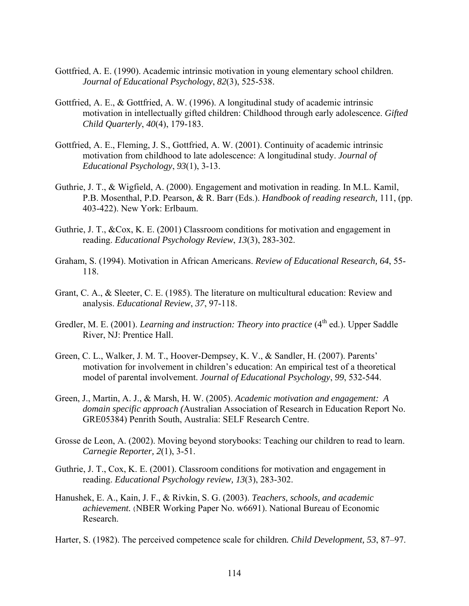- Gottfried, A. E. (1990). Academic intrinsic motivation in young elementary school children. *Journal of Educational Psychology*, *82*(3), 525-538.
- Gottfried, A. E., & Gottfried, A. W. (1996). A longitudinal study of academic intrinsic motivation in intellectually gifted children: Childhood through early adolescence. *Gifted Child Quarterly*, *40*(4), 179-183.
- Gottfried, A. E., Fleming, J. S., Gottfried, A. W. (2001). Continuity of academic intrinsic motivation from childhood to late adolescence: A longitudinal study. *Journal of Educational Psychology*, *93*(1), 3-13.
- Guthrie, J. T., & Wigfield, A. (2000). Engagement and motivation in reading. In M.L. Kamil, P.B. Mosenthal, P.D. Pearson, & R. Barr (Eds.). *Handbook of reading research,* 111, (pp. 403-422). New York: Erlbaum.
- Guthrie, J. T., &Cox, K. E. (2001) Classroom conditions for motivation and engagement in reading. *Educational Psychology Review*, *13*(3), 283-302.
- Graham, S. (1994). Motivation in African Americans. *Review of Educational Research, 64*, 55- 118.
- Grant, C. A., & Sleeter, C. E. (1985). The literature on multicultural education: Review and analysis. *Educational Review*, *37*, 97-118.
- Gredler, M. E. (2001). *Learning and instruction: Theory into practice* (4<sup>th</sup> ed.). Upper Saddle River, NJ: Prentice Hall.
- Green, C. L., Walker, J. M. T., Hoover-Dempsey, K. V., & Sandler, H. (2007). Parents' motivation for involvement in children's education: An empirical test of a theoretical model of parental involvement. *Journal of Educational Psychology*, *99*, 532-544.
- Green, J., Martin, A. J., & Marsh, H. W. (2005). *Academic motivation and engagement: A domain specific approach (*Australian Association of Research in Education Report No. GRE05384) Penrith South, Australia: SELF Research Centre.
- Grosse de Leon, A. (2002). Moving beyond storybooks: Teaching our children to read to learn. *Carnegie Reporter, 2*(1), 3-51.
- Guthrie, J. T., Cox, K. E. (2001). Classroom conditions for motivation and engagement in reading. *Educational Psychology review, 13*(3), 283-302.
- Hanushek, E. A., Kain, J. F., & Rivkin, S. G. (2003). *Teachers, schools, and academic achievement.* (NBER Working Paper No. w6691). National Bureau of Economic Research.

Harter, S. (1982). The perceived competence scale for children*. Child Development, 53*, 87–97.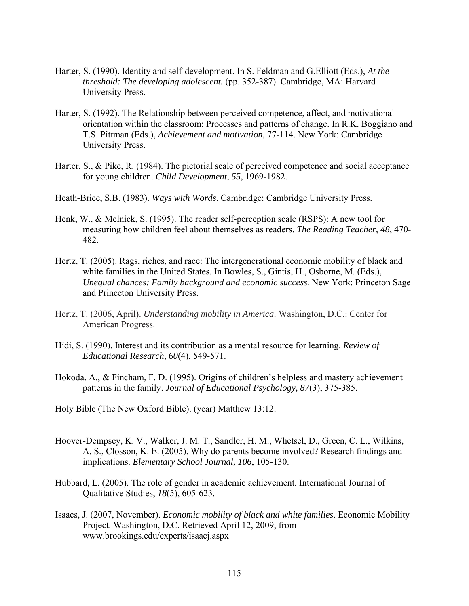- Harter, S. (1990). Identity and self-development. In S. Feldman and G.Elliott (Eds.), *At the threshold: The developing adolescent.* (pp. 352-387). Cambridge, MA: Harvard University Press.
- Harter, S. (1992). The Relationship between perceived competence, affect, and motivational orientation within the classroom: Processes and patterns of change. In R.K. Boggiano and T.S. Pittman (Eds.), *Achievement and motivation*, 77-114. New York: Cambridge University Press.
- Harter, S., & Pike, R. (1984). The pictorial scale of perceived competence and social acceptance for young children. *Child Development*, *55*, 1969-1982.

Heath-Brice, S.B. (1983). *Ways with Words*. Cambridge: Cambridge University Press.

- Henk, W., & Melnick, S. (1995). The reader self-perception scale (RSPS): A new tool for measuring how children feel about themselves as readers. *The Reading Teacher*, *48*, 470- 482.
- Hertz, T. (2005). Rags, riches, and race: The intergenerational economic mobility of black and white families in the United States. In Bowles, S., Gintis, H., Osborne, M. (Eds.), *Unequal chances: Family background and economic success.* New York: Princeton Sage and Princeton University Press.
- Hertz, T. (2006, April). *Understanding mobility in America*. Washington, D.C.: Center for American Progress.
- Hidi, S. (1990). Interest and its contribution as a mental resource for learning. *Review of Educational Research, 60*(4), 549-571.
- Hokoda, A., & Fincham, F. D. (1995). Origins of children's helpless and mastery achievement patterns in the family. *Journal of Educational Psychology, 87*(3), 375-385.
- Holy Bible (The New Oxford Bible). (year) Matthew 13:12.
- Hoover-Dempsey, K. V., Walker, J. M. T., Sandler, H. M., Whetsel, D., Green, C. L., Wilkins, A. S., Closson, K. E. (2005). Why do parents become involved? Research findings and implications. *Elementary School Journal, 106*, 105-130.
- Hubbard, L. (2005). The role of gender in academic achievement. International Journal of Qualitative Studies, *18*(5), 605-623.
- Isaacs, J. (2007, November). *Economic mobility of black and white families*. Economic Mobility Project. Washington, D.C. Retrieved April 12, 2009, from [www.brookings.edu/experts/isaacj.aspx](http://www.brookings.edu/experts/isaacj.aspx)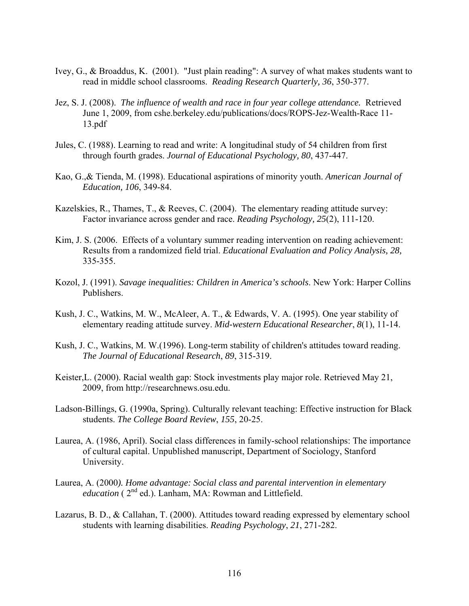- Ivey, G., & Broaddus, K. (2001). "Just plain reading": A survey of what makes students want to read in middle school classrooms. *Reading Research Quarterly, 36*, 350-377.
- Jez, S. J. (2008). *The influence of wealth and race in four year college attendance.* Retrieved June 1, 2009, from cshe.berkeley.edu/publications/docs/ROPS-Jez-Wealth-Race 11- 13.pdf
- Jules, C. (1988). Learning to read and write: A longitudinal study of 54 children from first through fourth grades. *Journal of Educational Psychology, 80*, 437-447.
- Kao, G.,& Tienda, M. (1998). Educational aspirations of minority youth. *American Journal of Education, 106*, 349-84.
- Kazelskies, R., Thames, T., & Reeves, C. (2004). The elementary reading attitude survey: Factor invariance across gender and race. *Reading Psychology, 25*(2), 111-120.
- Kim, J. S. (2006. Effects of a voluntary summer reading intervention on reading achievement: Results from a randomized field trial. *Educational Evaluation and Policy Analysis, 28,* 335-355.
- Kozol, J. (1991). *Savage inequalities: Children in America's schools*. New York: Harper Collins Publishers.
- Kush, J. C., Watkins, M. W., McAleer, A. T., & Edwards, V. A. (1995). One year stability of elementary reading attitude survey. *Mid-western Educational Researcher*, *8*(1), 11-14.
- Kush, J. C., Watkins, M. W.(1996). Long-term stability of children's attitudes toward reading. *The Journal of Educational Research*, *89*, 315-319.
- Keister,L. (2000). Racial wealth gap: Stock investments play major role. Retrieved May 21, 2009, from http://researchnews.osu.edu.
- Ladson-Billings, G. (1990a, Spring). Culturally relevant teaching: Effective instruction for Black students. *The College Board Review*, *155*, 20-25.
- Laurea, A. (1986, April). Social class differences in family-school relationships: The importance of cultural capital. Unpublished manuscript, Department of Sociology, Stanford University.
- Laurea, A. (2000*). Home advantage: Social class and parental intervention in elementary education* ( $2^{nd}$  ed.). Lanham, MA: Rowman and Littlefield.
- Lazarus, B. D., & Callahan, T. (2000). Attitudes toward reading expressed by elementary school students with learning disabilities. *Reading Psychology*, *21*, 271-282.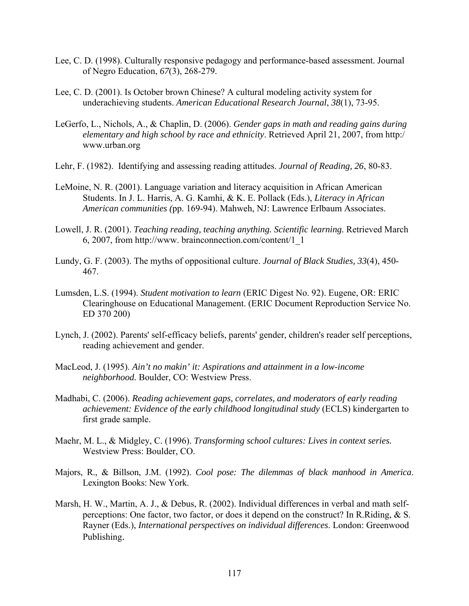- Lee, C. D. (1998). Culturally responsive pedagogy and performance-based assessment. Journal of Negro Education, *67*(3), 268-279.
- Lee, C. D. (2001). Is October brown Chinese? A cultural modeling activity system for underachieving students. *American Educational Research Journal*, *38*(1), 73-95.
- LeGerfo, L., Nichols, A., & Chaplin, D. (2006). *Gender gaps in math and reading gains during elementary and high school by race and ethnicity*. Retrieved April 21, 2007, from http:/ www.urban.org
- Lehr, F. (1982). Identifying and assessing reading attitudes. *Journal of Reading, 26*, 80-83.
- LeMoine, N. R. (2001). Language variation and literacy acquisition in African American Students. In J. L. Harris, A. G. Kamhi, & K. E. Pollack (Eds.), *Literacy in African American communities (*pp. 169-94). Mahweh, NJ: Lawrence Erlbaum Associates.
- Lowell, J. R. (2001). *Teaching reading, teaching anything. Scientific learning.* Retrieved March 6, 2007, from http://www. brainconnection.com/content/1\_1
- Lundy, G. F. (2003). The myths of oppositional culture. *Journal of Black Studies, 33*(4), 450- 467.
- Lumsden, L.S. (1994). *Student motivation to learn* (ERIC Digest No. 92). Eugene, OR: ERIC Clearinghouse on Educational Management. (ERIC Document Reproduction Service No. ED 370 200)
- Lynch, J. (2002). Parents' self-efficacy beliefs, parents' gender, children's reader self perceptions, reading achievement and gender.
- MacLeod, J. (1995). *Ain't no makin' it: Aspirations and attainment in a low-income neighborhood.* Boulder, CO: Westview Press.
- Madhabi, C. (2006). *Reading achievement gaps, correlates, and moderators of early reading achievement: Evidence of the early childhood longitudinal study* (ECLS) kindergarten to first grade sample.
- Maehr, M. L., & Midgley, C. (1996). *Transforming school cultures: Lives in context series.*  Westview Press: Boulder, CO.
- Majors, R., & Billson, J.M. (1992). *Cool pose: The dilemmas of black manhood in America*. Lexington Books: New York.
- Marsh, H. W., Martin, A. J., & Debus, R. (2002). Individual differences in verbal and math selfperceptions: One factor, two factor, or does it depend on the construct? In R.Riding,  $\&$  S. Rayner (Eds.), *International perspectives on individual differences*. London: Greenwood Publishing.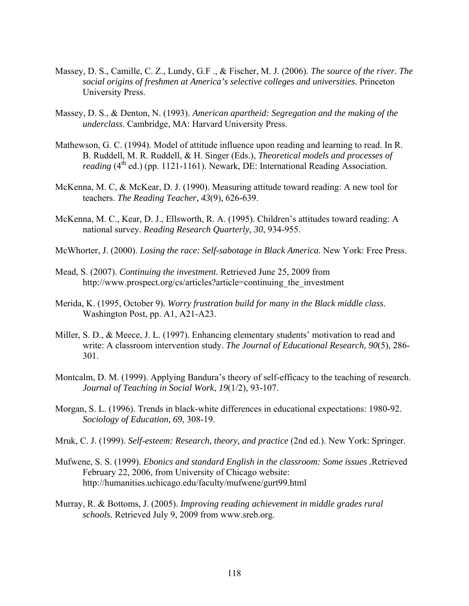- Massey, D. S., Camille, C. Z., Lundy, G.F ., & Fischer, M. J. (2006). *The source of the river. The social origins of freshmen at America's selective colleges and universities.* Princeton University Press.
- Massey, D. S., & Denton, N. (1993). *American apartheid: Segregation and the making of the underclass*. Cambridge, MA: Harvard University Press.
- Mathewson, G. C. (1994). Model of attitude influence upon reading and learning to read. In R. B. Ruddell, M. R. Ruddell, & H. Singer (Eds.), *Theoretical models and processes of reading* (4<sup>th</sup> ed.) (pp. 1121-1161). Newark, DE: International Reading Association.
- McKenna, M. C, & McKear, D. J. (1990). Measuring attitude toward reading: A new tool for teachers. *The Reading Teacher, 43*(9), 626-639.
- McKenna, M. C., Kear, D. J., Ellsworth, R. A. (1995). Children's attitudes toward reading: A national survey. *Reading Research Quarterly, 30*, 934-955.

McWhorter, J. (2000). *Losing the race: Self-sabotage in Black America.* New York: Free Press.

- Mead, S. (2007). *Continuing the investment.* Retrieved June 25, 2009 from http://www.prospect.org/cs/articles?article=continuing the investment
- Merida, K. (1995, October 9)*. Worry frustration build for many in the Black middle class.*  Washington Post, pp. A1, A21-A23.
- Miller, S. D., & Meece, J. L. (1997). Enhancing elementary students' motivation to read and write: A classroom intervention study. *The Journal of Educational Research, 90*(5), 286- 301.
- Montcalm, D. M. (1999). Applying Bandura's theory of self-efficacy to the teaching of research. *Journal of Teaching in Social Work*, *19*(1/2), 93-107.
- Morgan, S. L. (1996). Trends in black-white differences in educational expectations: 1980-92. *Sociology of Education, 69*, 308-19.
- Mruk, C. J. (1999). *Self-esteem: Research, theory, and practice* (2nd ed.). New York: Springer.
- Mufwene, S. S. (1999). *Ebonics and standard English in the classroom: Some issues .*Retrieved February 22, 2006, from University of Chicago website: <http://humanities.uchicago.edu/faculty/mufwene/gurt99.html>
- Murray, R. & Bottoms, J. (2005). *Improving reading achievement in middle grades rural schools.* Retrieved July 9, 2009 from [www.sreb.org.](http://www.sreb.org/)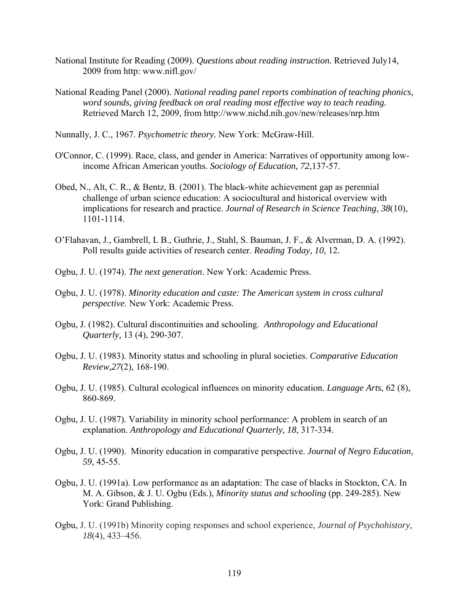- National Institute for Reading (2009). *Questions about reading instruction.* Retrieved July14, 2009 from http: [www.nifl.gov/](http://www.nifl.gov/)
- National Reading Panel (2000). *National reading panel reports combination of teaching phonics, word sounds, giving feedback on oral reading most effective way to teach reading.* Retrieved March 12, 2009, from<http://www.nichd.nih.gov/new/releases/nrp.htm>
- Nunnally, J. C., 1967. *Psychometric theory.* New York: McGraw-Hill.
- O'Connor, C. (1999). Race, class, and gender in America: Narratives of opportunity among lowincome African American youths. *Sociology of Education, 72*,137-57.
- Obed, N., Alt, C. R., & Bentz, B. (2001). The black-white achievement gap as perennial challenge of urban science education: A sociocultural and historical overview with implications for research and practice. *Journal of Research in Science Teaching*, *38*(10), 1101-1114.
- O'Flahavan, J., Gambrell, L B., Guthrie, J., Stahl, S. Bauman, J. F., & Alverman, D. A. (1992). Poll results guide activities of research center. *Reading Today, 10*, 12.
- Ogbu, J. U. (1974). *The next generation*. New York: Academic Press.
- Ogbu, J. U. (1978). *Minority education and caste: The American system in cross cultural perspective*. New York: Academic Press.
- Ogbu, J. (1982). Cultural discontinuities and schooling. *Anthropology and Educational Quarterly,* 13 (4), 290-307.
- Ogbu, J. U. (1983). Minority status and schooling in plural societies. *Comparative Education Review,27*(2), 168-190.
- Ogbu, J. U. (1985). Cultural ecological influences on minority education. *Language Arts*, 62 (8), 860-869.
- Ogbu, J. U. (1987). Variability in minority school performance: A problem in search of an explanation. *Anthropology and Educational Quarterly, 18*, 317-334.
- Ogbu, J. U. (1990). Minority education in comparative perspective. *Journal of Negro Education, 59*, 45-55.
- Ogbu, J. U. (1991a). Low performance as an adaptation: The case of blacks in Stockton, CA. In M. A. Gibson, & J. U. Ogbu (Eds.), *Minority status and schooling* (pp. 249-285). New York: Grand Publishing.
- Ogbu, J. U. (1991b) Minority coping responses and school experience, *Journal of Psychohistory, 18*(4), 433–456.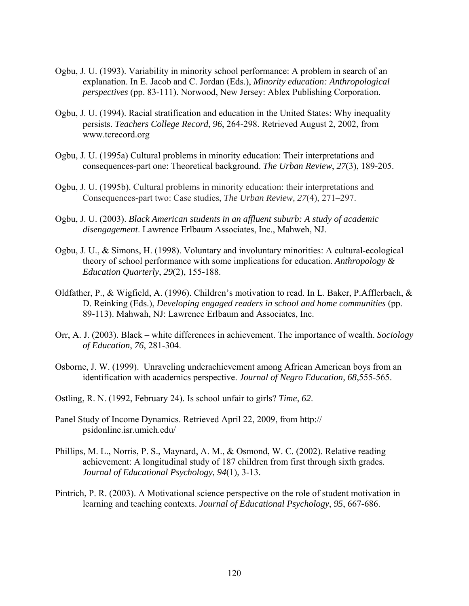- Ogbu, J. U. (1993). Variability in minority school performance: A problem in search of an explanation. In E. Jacob and C. Jordan (Eds.), *Minority education: Anthropological perspectives* (pp. 83-111). Norwood, New Jersey: Ablex Publishing Corporation.
- Ogbu, J. U. (1994). Racial stratification and education in the United States: Why inequality persists. *Teachers College Record*, *96*, 264-298. Retrieved August 2, 2002, from [www.tcrecord.org](http://www.tcrecord.org/)
- Ogbu, J. U. (1995a) Cultural problems in minority education: Their interpretations and consequences-part one: Theoretical background. *The Urban Review*, *27*(3), 189-205.
- Ogbu, J. U. (1995b). Cultural problems in minority education: their interpretations and Consequences-part two: Case studies, *The Urban Review, 27*(4), 271–297.
- Ogbu, J. U. (2003). *Black American students in an affluent suburb: A study of academic disengagement*. Lawrence Erlbaum Associates, Inc., Mahweh, NJ.
- Ogbu, J. U., & Simons, H. (1998). Voluntary and involuntary minorities: A cultural-ecological theory of school performance with some implications for education. *Anthropology & Education Quarterly*, *29*(2), 155-188.
- Oldfather, P., & Wigfield, A. (1996). Children's motivation to read. In L. Baker, P.Afflerbach, & D. Reinking (Eds.), *Developing engaged readers in school and home communities* (pp. 89-113). Mahwah, NJ: Lawrence Erlbaum and Associates, Inc.
- Orr, A. J. (2003). Black white differences in achievement. The importance of wealth. *Sociology of Education*, *76*, 281-304.
- Osborne, J. W. (1999). Unraveling underachievement among African American boys from an identification with academics perspective. *Journal of Negro Education, 68*,555-565.
- Ostling, R. N. (1992, February 24). Is school unfair to girls? *Time*, *62*.
- Panel Study of Income Dynamics. Retrieved April 22, 2009, from http:// psidonline.isr.umich.edu/
- Phillips, M. L., Norris, P. S., Maynard, A. M., & Osmond, W. C. (2002). Relative reading achievement: A longitudinal study of 187 children from first through sixth grades. *Journal of Educational Psychology, 94*(1), 3-13.
- Pintrich, P. R. (2003). A Motivational science perspective on the role of student motivation in learning and teaching contexts. *Journal of Educational Psychology*, *95*, 667-686.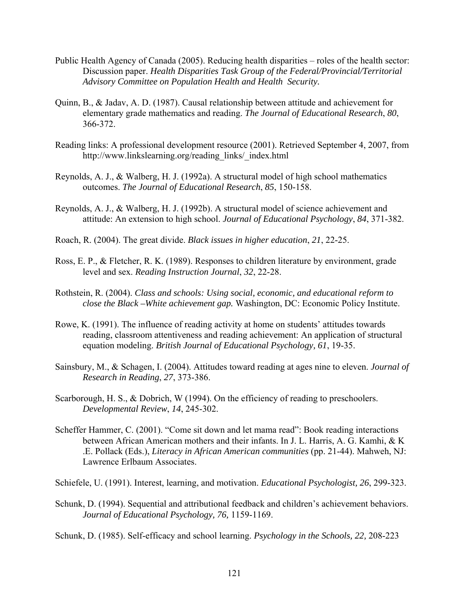- Public Health Agency of Canada (2005). Reducing health disparities roles of the health sector: Discussion paper. *Health Disparities Task Group of the Federal/Provincial/Territorial Advisory Committee on Population Health and Health Security.*
- Quinn, B., & Jadav, A. D. (1987). Causal relationship between attitude and achievement for elementary grade mathematics and reading. *The Journal of Educational Research*, *80*, 366-372.
- Reading links: A professional development resource (2001). Retrieved September 4, 2007, from [http://www.linkslearning.org/reading\\_links/\\_index.html](http://www.linkslearning.org/reading_links/_index.html)
- Reynolds, A. J., & Walberg, H. J. (1992a). A structural model of high school mathematics outcomes. *The Journal of Educational Research*, *85*, 150-158.
- Reynolds, A. J., & Walberg, H. J. (1992b). A structural model of science achievement and attitude: An extension to high school. *Journal of Educational Psychology*, *84*, 371-382.
- Roach, R. (2004). The great divide. *Black issues in higher education*, *21*, 22-25.
- Ross, E. P., & Fletcher, R. K. (1989). Responses to children literature by environment, grade level and sex. *Reading Instruction Journal*, *32*, 22-28.
- Rothstein, R. (2004). *Class and schools: Using social, economic, and educational reform to close the Black –White achievement gap.* Washington, DC: Economic Policy Institute.
- Rowe, K. (1991). The influence of reading activity at home on students' attitudes towards reading, classroom attentiveness and reading achievement: An application of structural equation modeling. *British Journal of Educational Psychology, 61*, 19-35.
- Sainsbury, M., & Schagen, I. (2004). Attitudes toward reading at ages nine to eleven. *Journal of Research in Reading*, *27*, 373-386.
- Scarborough, H. S., & Dobrich, W (1994). On the efficiency of reading to preschoolers. *Developmental Review*, *14*, 245-302.
- Scheffer Hammer, C. (2001). "Come sit down and let mama read": Book reading interactions between African American mothers and their infants. In J. L. Harris, A. G. Kamhi, & K .E. Pollack (Eds.), *Literacy in African American communities* (pp. 21-44). Mahweh, NJ: Lawrence Erlbaum Associates.
- Schiefele, U. (1991). Interest, learning, and motivation. *Educational Psychologist, 26*, 299-323.
- Schunk, D. (1994). Sequential and attributional feedback and children's achievement behaviors. *Journal of Educational Psychology, 76,* 1159-1169.

Schunk, D. (1985). Self-efficacy and school learning. *Psychology in the Schools, 22,* 208-223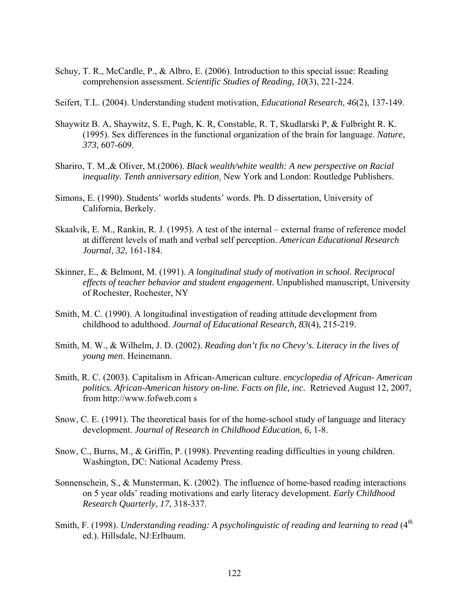- Schuy, T. R., McCardle, P., & Albro, E. (2006). Introduction to this special issue: Reading comprehension assessment. *Scientific Studies of Reading, 10*(3), 221-224.
- Seifert, T.L. (2004). Understanding student motivation, *Educational Research*, *46*(2), 137-149.
- Shaywitz B. A, Shaywitz, S. E, Pugh, K. R, Constable, R. T, Skudlarski P, & Fulbright R. K. (1995). Sex differences in the functional organization of the brain for language. *Nature*, *373*, 607-609.
- Shariro, T. M.,& Oliver, M.(2006). *Black wealth/white wealth: A new perspective on Racial inequality. Tenth anniversary edition*. New York and London: Routledge Publishers.
- Simons, E. (1990). Students' worlds students' words. Ph. D dissertation, University of California, Berkely.
- Skaalvik, E. M., Rankin, R. J. (1995). A test of the internal external frame of reference model at different levels of math and verbal self perception. *American Educational Research Journal*, *32*, 161-184.
- Skinner, E., & Belmont, M. (1991). *A longitudinal study of motivation in school. Reciprocal effects of teacher behavior and student engagement.* Unpublished manuscript, University of Rochester, Rochester, NY
- Smith, M. C. (1990). A longitudinal investigation of reading attitude development from childhood to adulthood. *Journal of Educational Research, 83*(4), 215-219.
- Smith, M. W., & Wilhelm, J. D. (2002). *Reading don't fix no Chevy's. Literacy in the lives of young men*. Heinemann.
- Smith, R. C. (2003). Capitalism in African-American culture. *encyclopedia of African- American politics. African-American history on-line. Facts on file, inc.* Retrieved August 12, 2007, from [http://www.fofweb.com](http://www.fofweb.com/) s
- Snow, C. E. (1991). The theoretical basis for of the home-school study of language and literacy development. *Journal of Research in Childhood Education, 6*, 1-8.
- Snow, C., Burns, M., & Griffin, P. (1998). Preventing reading difficulties in young children. Washington, DC: National Academy Press.
- Sonnenschein, S., & Munsterman, K. (2002). The influence of home-based reading interactions on 5 year olds' reading motivations and early literacy development. *Early Childhood Research Quarterly*, *17*, 318-337.
- Smith, F. (1998). *Understanding reading: A psycholinguistic of reading and learning to read* (4<sup>th</sup>) ed.). Hillsdale, NJ:Erlbaum.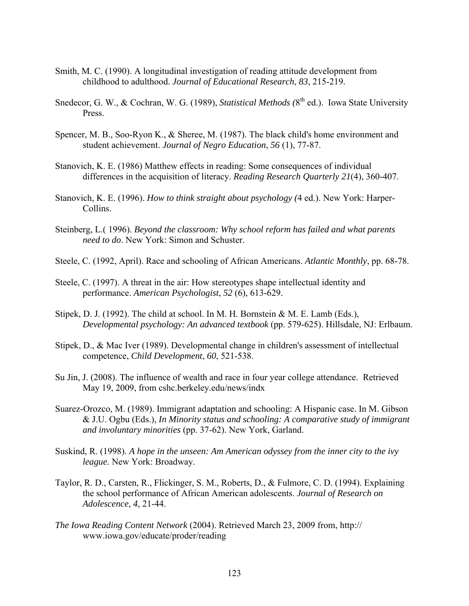- Smith, M. C. (1990). A longitudinal investigation of reading attitude development from childhood to adulthood. *Journal of Educational Research*, *83*, 215-219.
- Snedecor, G. W., & Cochran, W. G. (1989), *Statistical Methods* (8<sup>th</sup> ed.). Iowa State University Press.
- Spencer, M. B., Soo-Ryon K., & Sheree, M. (1987). The black child's home environment and student achievement. *Journal of Negro Education*, *56* (1), 77-87.
- Stanovich, K. E. (1986) Matthew effects in reading: Some consequences of individual differences in the acquisition of literacy. *Reading Research Quarterly 21*(4), 360-407.
- Stanovich, K. E. (1996). *How to think straight about psychology (*4 ed.). New York: Harper-Collins.
- Steinberg, L.( 1996). *Beyond the classroom: Why school reform has failed and what parents need to do*. New York: Simon and Schuster.
- Steele, C. (1992, April). Race and schooling of African Americans. *Atlantic Monthly*, pp. 68-78.
- Steele, C. (1997). A threat in the air: How stereotypes shape intellectual identity and performance. *American Psychologist*, *52* (6), 613-629.
- Stipek, D. J. (1992). The child at school. In M. H. Bornstein  $\&$  M. E. Lamb (Eds.), *Developmental psychology: An advanced textbook* (pp. 579-625). Hillsdale, NJ: Erlbaum.
- Stipek, D., & Mac Iver (1989). Developmental change in children's assessment of intellectual competence, *Child Development*, *60*, 521-538.
- Su Jin, J. (2008). The influence of wealth and race in four year college attendance. Retrieved May 19, 2009, from cshc.berkeley.edu/news/indx
- Suarez-Orozco, M. (1989). Immigrant adaptation and schooling: A Hispanic case. In M. Gibson & J.U. Ogbu (Eds.), *In Minority status and schooling: A comparative study of immigrant and involuntary minorities* (pp. 37-62). New York, Garland.
- Suskind, R. (1998). *A hope in the unseen: Am American odyssey from the inner city to the ivy league.* New York: Broadway.
- Taylor, R. D., Carsten, R., Flickinger, S. M., Roberts, D., & Fulmore, C. D. (1994). Explaining the school performance of African American adolescents. *Journal of Research on Adolescence*, *4*, 21-44.
- *The Iowa Reading Content Network* (2004). Retrieved March 23, 2009 from, http:// [www.iowa.gov/educate/proder/reading](http://www.iowa.gov/educate/proder/reading)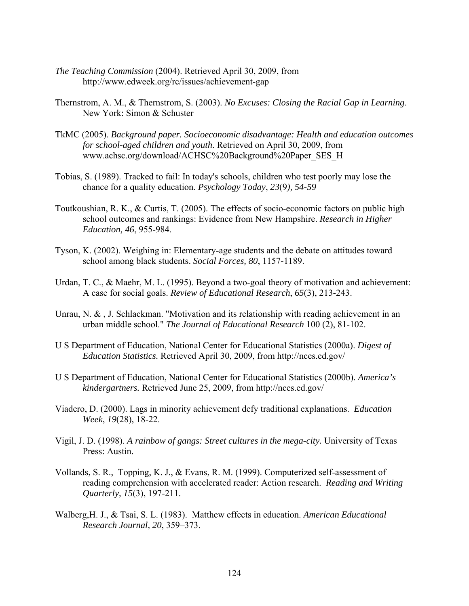- *The Teaching Commission* (2004). Retrieved April 30, 2009, from http://www.edweek.org/rc/issues/achievement-gap
- Thernstrom, A. M., & Thernstrom, S. (2003). *No Excuses: Closing the Racial Gap in Learning*. New York: Simon & Schuster
- TkMC (2005). *Background paper. Socioeconomic disadvantage: Health and education outcomes for school-aged children and youth*. Retrieved on April 30, 2009, from [www.achsc.org/download/ACHSC%20Background%20Paper\\_SES\\_H](http://www.achsc.org/download/ACHSC Background Paper_SES_H)
- Tobias, S. (1989). Tracked to fail: In today's schools, children who test poorly may lose the chance for a quality education. *Psychology Today*, *23*(9*), 54-59*
- Toutkoushian, R. K., & Curtis, T. (2005). The effects of socio-economic factors on public high school outcomes and rankings: Evidence from New Hampshire. *Research in Higher Education, 46*, 955-984.
- Tyson, K. (2002). Weighing in: Elementary-age students and the debate on attitudes toward school among black students. *Social Forces, 80*, 1157-1189.
- Urdan, T. C., & Maehr, M. L. (1995). Beyond a two-goal theory of motivation and achievement: A case for social goals. *Review of Educational Research*, *65*(3), 213-243.
- Unrau, N. & , J. Schlackman. "Motivation and its relationship with reading achievement in an urban middle school." *The Journal of Educational Research* 100 (2), 81-102.
- U S Department of Education, National Center for Educational Statistics (2000a). *Digest of Education Statistics.* Retrieved April 30, 2009, from <http://nces.ed.gov/>
- U S Department of Education, National Center for Educational Statistics (2000b). *America's kindergartners.* Retrieved June 25, 2009, from<http://nces.ed.gov/>
- Viadero, D. (2000). Lags in minority achievement defy traditional explanations. *Education Week*, *19*(28), 18-22.
- Vigil, J. D. (1998). *A rainbow of gangs: Street cultures in the mega-city.* University of Texas Press: Austin.
- Vollands, S. R., Topping, K. J., & Evans, R. M. (1999). Computerized self-assessment of reading comprehension with accelerated reader: Action research. *Reading and Writing Quarterly, 15*(3), 197-211.
- Walberg,H. J., & Tsai, S. L. (1983). Matthew effects in education. *American Educational Research Journal, 20*, 359–373.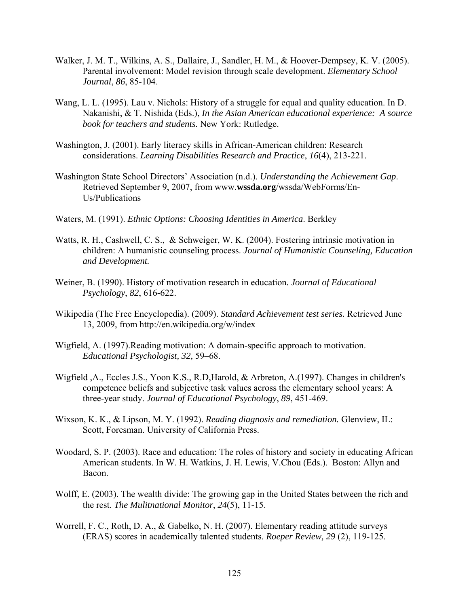- Walker, J. M. T., Wilkins, A. S., Dallaire, J., Sandler, H. M., & Hoover-Dempsey, K. V. (2005). Parental involvement: Model revision through scale development. *Elementary School Journal*, *86*, 85-104.
- Wang, L. L. (1995). Lau v. Nichols: History of a struggle for equal and quality education. In D. Nakanishi, & T. Nishida (Eds.), *In the Asian American educational experience: A source book for teachers and students.* New York: Rutledge.
- Washington, J. (2001). Early literacy skills in African-American children: Research considerations. *Learning Disabilities Research and Practice*, *16*(4), 213-221.
- Washington State School Directors' Association (n.d.). *Understanding the Achievement Gap*. Retrieved September 9, 2007, from www.**wssda.org**[/wssda/WebForms/En-](http://www.wssda.org/wssda/WebForms/En-)Us/Publications
- Waters, M. (1991). *Ethnic Options: Choosing Identities in America*. Berkley
- Watts, R. H., Cashwell, C. S., & Schweiger, W. K. (2004). Fostering intrinsic motivation in children: A humanistic counseling process. *Journal of Humanistic Counseling, Education and Development.*
- Weiner, B. (1990). History of motivation research in education*. Journal of Educational Psychology*, *82*, 616-622.
- Wikipedia (The Free Encyclopedia). (2009). *Standard Achievement test series.* Retrieved June 13, 2009, from http://en.wikipedia.org/w/index
- Wigfield, A. (1997).Reading motivation: A domain-specific approach to motivation. *Educational Psychologist, 32,* 59–68.
- Wigfield ,A., Eccles J.S., Yoon K.S., R.D,Harold, & Arbreton, A.(1997). Changes in children's competence beliefs and subjective task values across the elementary school years: A three-year study. *Journal of Educational Psychology*, *89*, 451-469.
- Wixson, K. K., & Lipson, M. Y. (1992). *Reading diagnosis and remediation.* Glenview, IL: Scott, Foresman. University of California Press.
- Woodard, S. P. (2003). Race and education: The roles of history and society in educating African American students. In W. H. Watkins, J. H. Lewis, V.Chou (Eds.). Boston: Allyn and Bacon.
- Wolff, E. (2003). The wealth divide: The growing gap in the United States between the rich and the rest. *The Mulitnational Monitor*, *24*(5), 11-15.
- Worrell, F. C., Roth, D. A., & Gabelko, N. H. (2007). Elementary reading attitude surveys (ERAS) scores in academically talented students. *Roeper Review, 29* (2), 119-125.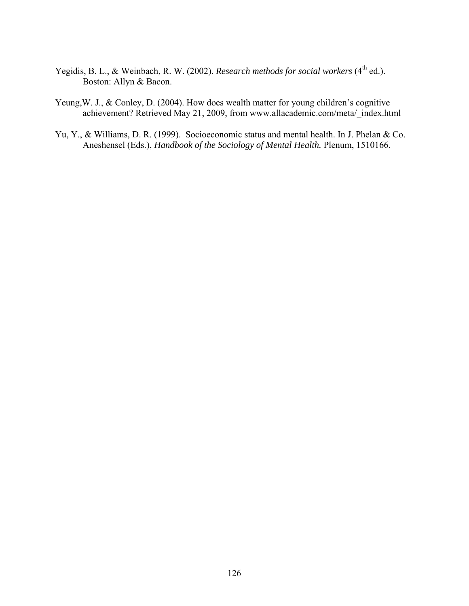- Yegidis, B. L., & Weinbach, R. W. (2002). *Research methods for social workers* (4<sup>th</sup> ed.). Boston: Allyn & Bacon.
- Yeung, W. J., & Conley, D. (2004). How does wealth matter for young children's cognitive achievement? Retrieved May 21, 2009, from www.allacademic.com/meta/\_index.html
- Yu, Y., & Williams, D. R. (1999). Socioeconomic status and mental health. In J. Phelan & Co. Aneshensel (Eds.), *Handbook of the Sociology of Mental Health.* Plenum, 1510166.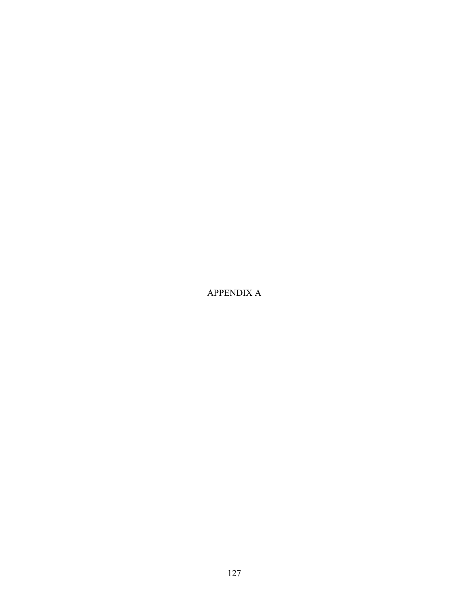APPENDIX A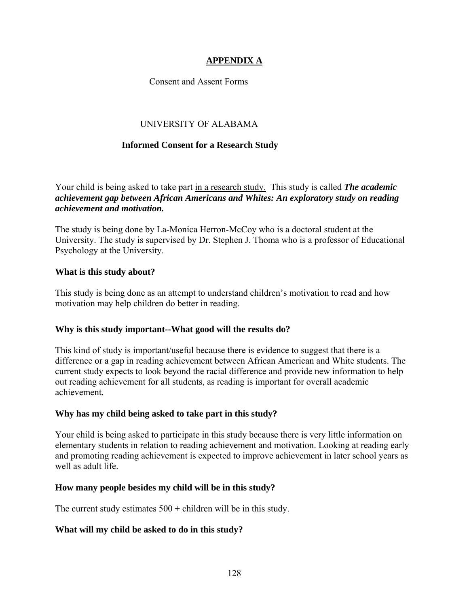# **APPENDIX A**

# Consent and Assent Forms

# UNIVERSITY OF ALABAMA

#### **Informed Consent for a Research Study**

Your child is being asked to take part in a research study. This study is called *The academic achievement gap between African Americans and Whites: An exploratory study on reading achievement and motivation.*

The study is being done by La-Monica Herron-McCoy who is a doctoral student at the University. The study is supervised by Dr. Stephen J. Thoma who is a professor of Educational Psychology at the University.

#### **What is this study about?**

This study is being done as an attempt to understand children's motivation to read and how motivation may help children do better in reading.

#### **Why is this study important--What good will the results do?**

This kind of study is important/useful because there is evidence to suggest that there is a difference or a gap in reading achievement between African American and White students. The current study expects to look beyond the racial difference and provide new information to help out reading achievement for all students, as reading is important for overall academic achievement.

#### **Why has my child being asked to take part in this study?**

Your child is being asked to participate in this study because there is very little information on elementary students in relation to reading achievement and motivation. Looking at reading early and promoting reading achievement is expected to improve achievement in later school years as well as adult life.

#### **How many people besides my child will be in this study?**

The current study estimates  $500 +$  children will be in this study.

#### **What will my child be asked to do in this study?**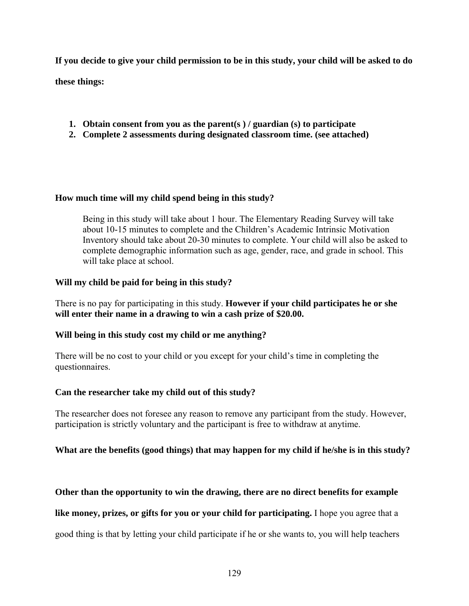**If you decide to give your child permission to be in this study, your child will be asked to do** 

**these things:** 

- **1. Obtain consent from you as the parent(s ) / guardian (s) to participate**
- **2. Complete 2 assessments during designated classroom time. (see attached)**

#### **How much time will my child spend being in this study?**

Being in this study will take about 1 hour. The Elementary Reading Survey will take about 10-15 minutes to complete and the Children's Academic Intrinsic Motivation Inventory should take about 20-30 minutes to complete. Your child will also be asked to complete demographic information such as age, gender, race, and grade in school. This will take place at school.

#### **Will my child be paid for being in this study?**

There is no pay for participating in this study. **However if your child participates he or she will enter their name in a drawing to win a cash prize of \$20.00.** 

# **Will being in this study cost my child or me anything?**

There will be no cost to your child or you except for your child's time in completing the questionnaires.

# **Can the researcher take my child out of this study?**

The researcher does not foresee any reason to remove any participant from the study. However, participation is strictly voluntary and the participant is free to withdraw at anytime.

# **What are the benefits (good things) that may happen for my child if he/she is in this study?**

# **Other than the opportunity to win the drawing, there are no direct benefits for example**

**like money, prizes, or gifts for you or your child for participating.** I hope you agree that a

good thing is that by letting your child participate if he or she wants to, you will help teachers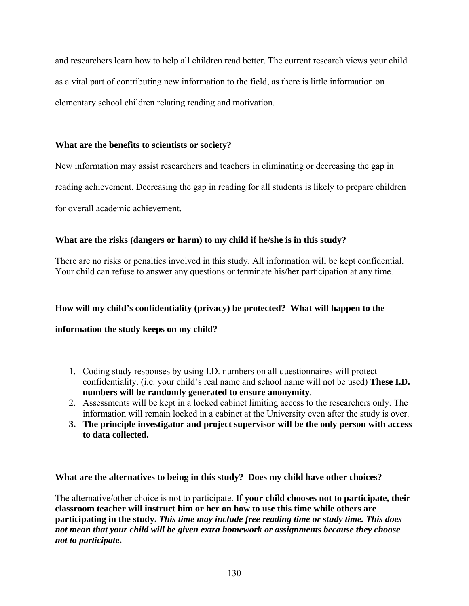and researchers learn how to help all children read better. The current research views your child as a vital part of contributing new information to the field, as there is little information on elementary school children relating reading and motivation.

#### **What are the benefits to scientists or society?**

New information may assist researchers and teachers in eliminating or decreasing the gap in

reading achievement. Decreasing the gap in reading for all students is likely to prepare children

for overall academic achievement.

# **What are the risks (dangers or harm) to my child if he/she is in this study?**

There are no risks or penalties involved in this study. All information will be kept confidential. Your child can refuse to answer any questions or terminate his/her participation at any time.

# **How will my child's confidentiality (privacy) be protected? What will happen to the**

#### **information the study keeps on my child?**

- 1. Coding study responses by using I.D. numbers on all questionnaires will protect confidentiality. (i.e. your child's real name and school name will not be used) **These I.D. numbers will be randomly generated to ensure anonymity**.
- 2. Assessments will be kept in a locked cabinet limiting access to the researchers only. The information will remain locked in a cabinet at the University even after the study is over.
- **3. The principle investigator and project supervisor will be the only person with access to data collected.**

**What are the alternatives to being in this study? Does my child have other choices?** 

The alternative/other choice is not to participate. **If your child chooses not to participate, their classroom teacher will instruct him or her on how to use this time while others are participating in the study.** *This time may include free reading time or study time. This does not mean that your child will be given extra homework or assignments because they choose not to participate***.**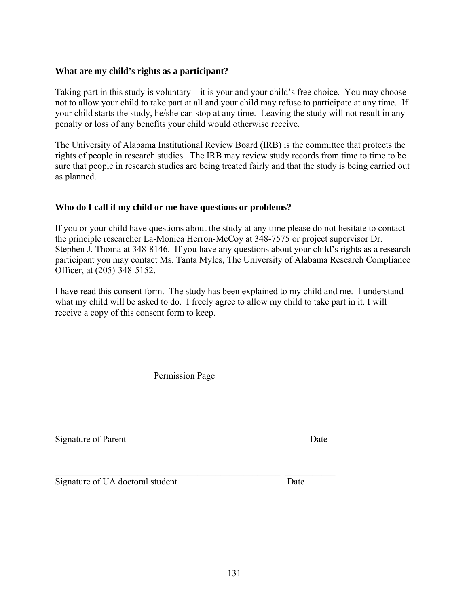131

# **What are my child's rights as a participant?**

Taking part in this study is voluntary—it is your and your child's free choice. You may choose not to allow your child to take part at all and your child may refuse to participate at any time. If your child starts the study, he/she can stop at any time. Leaving the study will not result in any penalty or loss of any benefits your child would otherwise receive.

The University of Alabama Institutional Review Board (IRB) is the committee that protects the rights of people in research studies. The IRB may review study records from time to time to be sure that people in research studies are being treated fairly and that the study is being carried out as planned.

# **Who do I call if my child or me have questions or problems?**

If you or your child have questions about the study at any time please do not hesitate to contact the principle researcher La-Monica Herron-McCoy at 348-7575 or project supervisor Dr. Stephen J. Thoma at 348-8146. If you have any questions about your child's rights as a research participant you may contact Ms. Tanta Myles, The University of Alabama Research Compliance Officer, at (205)-348-5152.

I have read this consent form. The study has been explained to my child and me. I understand what my child will be asked to do. I freely agree to allow my child to take part in it. I will receive a copy of this consent form to keep.

Permission Page

 $\_$  , and the set of the set of the set of the set of the set of the set of the set of the set of the set of the set of the set of the set of the set of the set of the set of the set of the set of the set of the set of th Signature of Parent Date

 $\mathcal{L}_\text{max}$  and the contract of the contract of the contract of the contract of the contract of the contract of Signature of UA doctoral student Date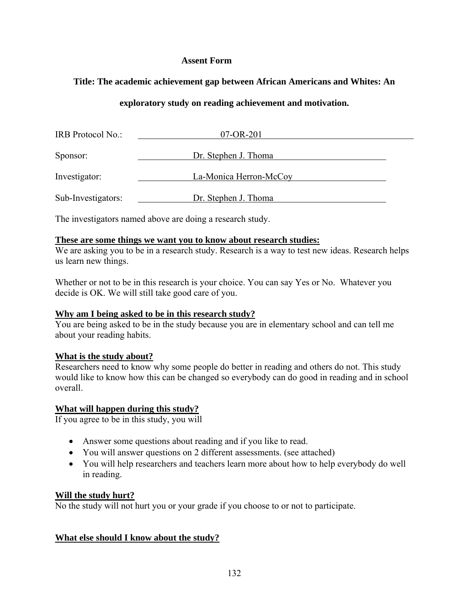#### **Assent Form**

# **Title: The academic achievement gap between African Americans and Whites: An**

# **exploratory study on reading achievement and motivation.**

| IRB Protocol No.:  | 07-OR-201              |  |
|--------------------|------------------------|--|
| Sponsor:           | Dr. Stephen J. Thoma   |  |
| Investigator:      | La-Monica Herron-McCoy |  |
| Sub-Investigators: | Dr. Stephen J. Thoma   |  |

The investigators named above are doing a research study.

#### **These are some things we want you to know about research studies:**

We are asking you to be in a research study. Research is a way to test new ideas. Research helps us learn new things.

Whether or not to be in this research is your choice. You can say Yes or No. Whatever you decide is OK. We will still take good care of you.

# **Why am I being asked to be in this research study?**

You are being asked to be in the study because you are in elementary school and can tell me about your reading habits.

# **What is the study about?**

Researchers need to know why some people do better in reading and others do not. This study would like to know how this can be changed so everybody can do good in reading and in school overall.

#### **What will happen during this study?**

If you agree to be in this study, you will

- Answer some questions about reading and if you like to read.
- You will answer questions on 2 different assessments. (see attached)
- You will help researchers and teachers learn more about how to help everybody do well in reading.

#### **Will the study hurt?**

No the study will not hurt you or your grade if you choose to or not to participate.

# **What else should I know about the study?**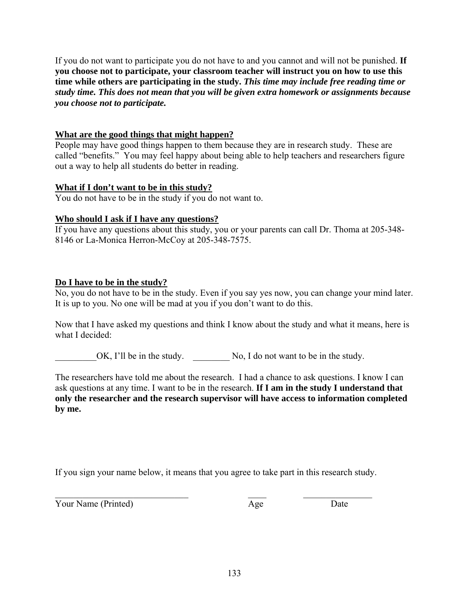If you do not want to participate you do not have to and you cannot and will not be punished. **If you choose not to participate, your classroom teacher will instruct you on how to use this time while others are participating in the study.** *This time may include free reading time or study time. This does not mean that you will be given extra homework or assignments because you choose not to participate.*

#### **What are the good things that might happen?**

People may have good things happen to them because they are in research study. These are called "benefits." You may feel happy about being able to help teachers and researchers figure out a way to help all students do better in reading.

#### **What if I don't want to be in this study?**

You do not have to be in the study if you do not want to.

#### **Who should I ask if I have any questions?**

If you have any questions about this study, you or your parents can call Dr. Thoma at 205-348- 8146 or La-Monica Herron-McCoy at 205-348-7575.

#### **Do I have to be in the study?**

No, you do not have to be in the study. Even if you say yes now, you can change your mind later. It is up to you. No one will be mad at you if you don't want to do this.

Now that I have asked my questions and think I know about the study and what it means, here is what I decided:

OK, I'll be in the study. No, I do not want to be in the study.

The researchers have told me about the research. I had a chance to ask questions. I know I can ask questions at any time. I want to be in the research. **If I am in the study I understand that only the researcher and the research supervisor will have access to information completed by me.** 

If you sign your name below, it means that you agree to take part in this research study.

Your Name (Printed) Age Date

 $\mathcal{L}_\text{max}$  , and the contract of the contract of  $\mathcal{L}_\text{max}$  , and  $\mathcal{L}_\text{max}$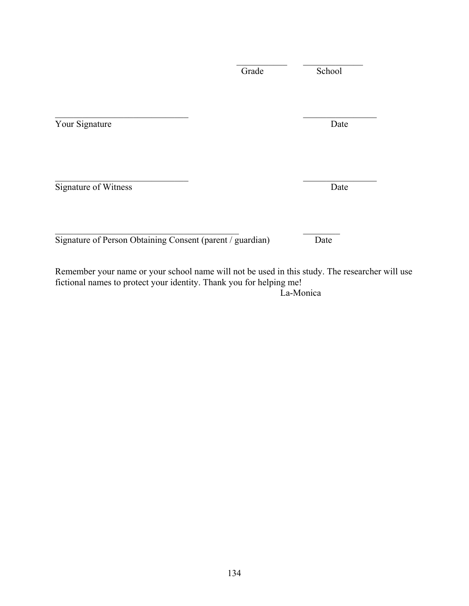| Your Signature       | Date |
|----------------------|------|
| Signature of Witness | Date |
|                      |      |

 $\mathcal{L}_\text{max} = \mathcal{L}_\text{max} = \mathcal{L}_\text{max} = \mathcal{L}_\text{max} = \mathcal{L}_\text{max} = \mathcal{L}_\text{max} = \mathcal{L}_\text{max} = \mathcal{L}_\text{max} = \mathcal{L}_\text{max} = \mathcal{L}_\text{max} = \mathcal{L}_\text{max} = \mathcal{L}_\text{max} = \mathcal{L}_\text{max} = \mathcal{L}_\text{max} = \mathcal{L}_\text{max} = \mathcal{L}_\text{max} = \mathcal{L}_\text{max} = \mathcal{L}_\text{max} = \mathcal{$ 

Remember your name or your school name will not be used in this study. The researcher will use fictional names to protect your identity. Thank you for helping me!

La-Monica

Grade School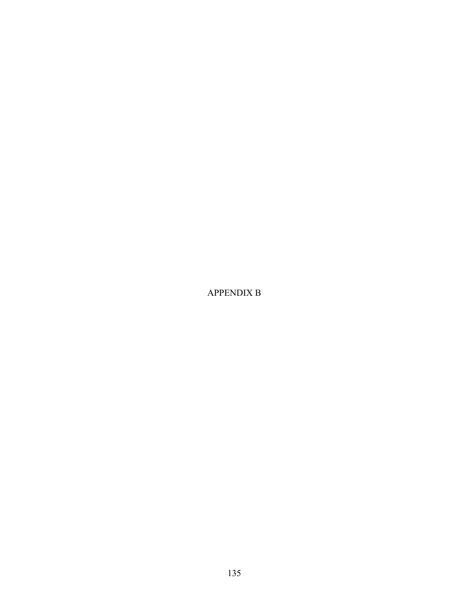APPENDIX B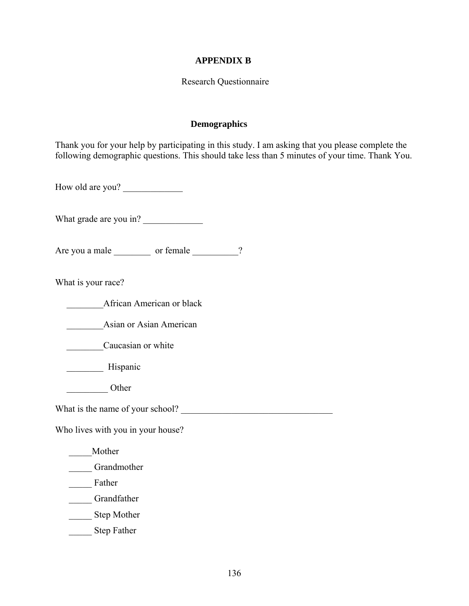#### **APPENDIX B**

#### Research Questionnaire

#### **Demographics**

Thank you for your help by participating in this study. I am asking that you please complete the following demographic questions. This should take less than 5 minutes of your time. Thank You.

How old are you?

What grade are you in?

Are you a male or female 2

What is your race?

\_\_\_\_\_\_\_\_African American or black

Asian or Asian American

Caucasian or white

\_\_\_\_\_\_\_\_ Hispanic

\_\_\_\_\_\_\_\_\_ Other

What is the name of your school?

Who lives with you in your house?

\_\_\_\_\_Mother

Grandmother

Father

\_\_\_\_\_ Grandfather

\_\_\_\_\_ Step Mother

Step Father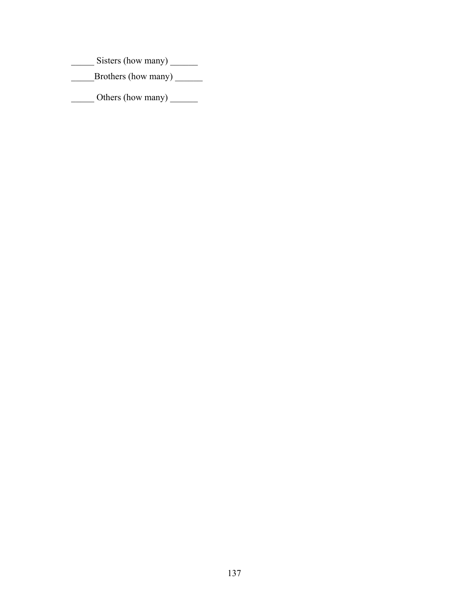\_\_\_\_\_\_\_\_ Sisters (how many) \_\_\_\_\_\_\_

\_\_\_\_\_Brothers (how many) \_\_\_\_\_\_

\_\_\_\_\_\_\_ Others (how many) \_\_\_\_\_\_\_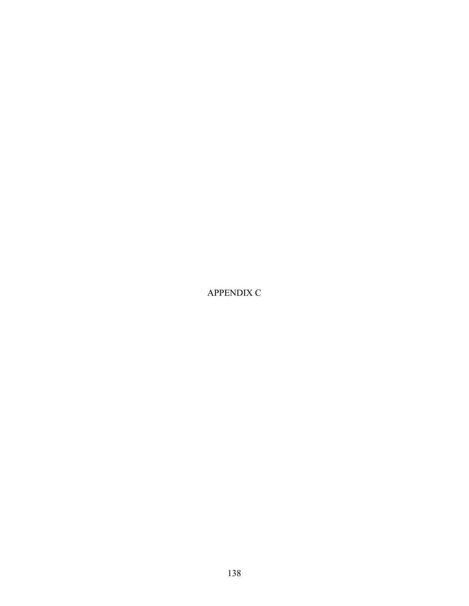APPENDIX C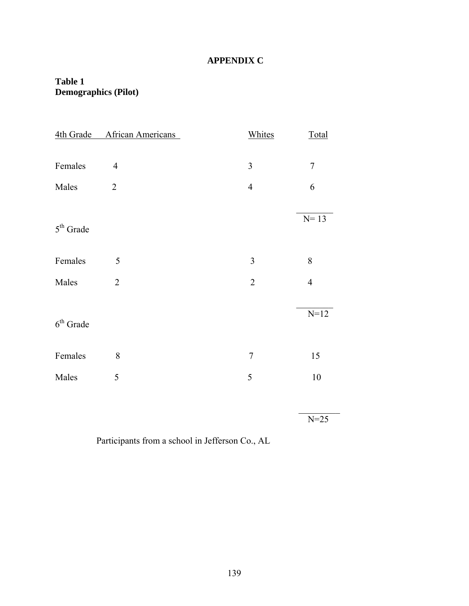## **APPENDIX C**

## **Table 1 Demographics (Pilot)**

| 4th Grade      | African Americans | Whites         | Total            |
|----------------|-------------------|----------------|------------------|
|                |                   |                |                  |
| Females        | $\overline{4}$    | 3              | $\overline{7}$   |
| Males          | $\sqrt{2}$        | $\overline{4}$ | $\boldsymbol{6}$ |
|                |                   |                |                  |
| $5th$ Grade    |                   |                | $N=13$           |
|                |                   |                |                  |
| Females        | 5                 | 3              | 8                |
| Males          | $\sqrt{2}$        | $\sqrt{2}$     | $\overline{4}$   |
|                |                   |                |                  |
| $6^{th}$ Grade |                   |                | $N=12$           |
|                |                   |                |                  |
| Females        | 8                 | $\overline{7}$ | 15               |
| Males          | 5                 | 5              | $10\,$           |
|                |                   |                |                  |
|                |                   |                | $N=25$           |

Participants from a school in Jefferson Co., AL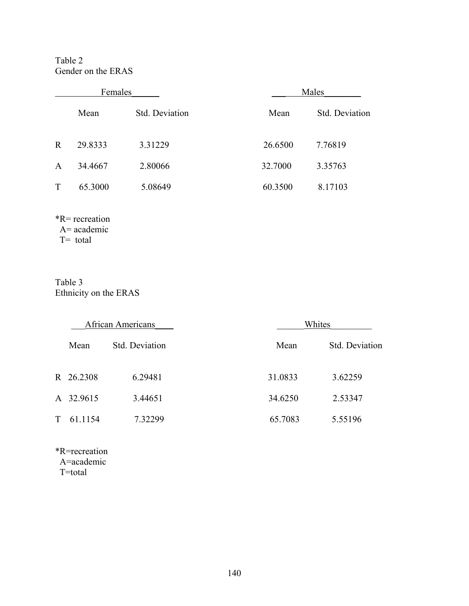Table 2 Gender on the ERAS

| Females      |         |                | Males   |                |  |
|--------------|---------|----------------|---------|----------------|--|
|              | Mean    | Std. Deviation | Mean    | Std. Deviation |  |
| $\mathbf R$  | 29.8333 | 3.31229        | 26.6500 | 7.76819        |  |
| $\mathbf{A}$ | 34.4667 | 2.80066        | 32.7000 | 3.35763        |  |
| T            | 65.3000 | 5.08649        | 60.3500 | 8.17103        |  |

\*R= recreation A= academic T= total

Table 3 Ethnicity on the ERAS

| <b>African Americans</b> |           |                | Whites  |                |  |  |
|--------------------------|-----------|----------------|---------|----------------|--|--|
|                          | Mean      | Std. Deviation | Mean    | Std. Deviation |  |  |
|                          | R 26.2308 | 6.29481        | 31.0833 | 3.62259        |  |  |
|                          | A 32.9615 | 3.44651        | 34.6250 | 2.53347        |  |  |
| T –                      | 61.1154   | 7.32299        | 65.7083 | 5.55196        |  |  |

\*R=recreation A=academic T=total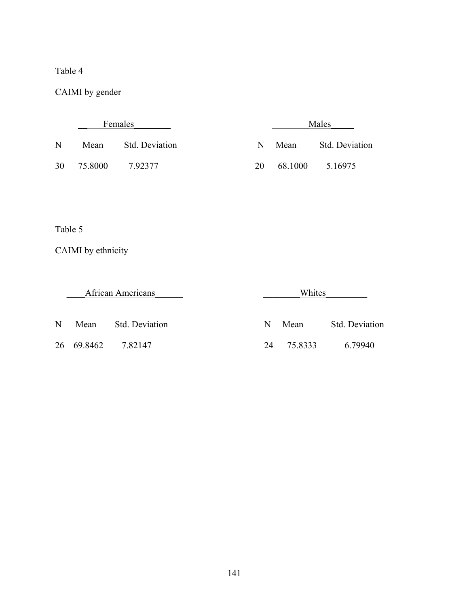## Table 4

CAIMI by gender

|    | Females |                       |    | Males   |                       |  |
|----|---------|-----------------------|----|---------|-----------------------|--|
| N  | Mean    | <b>Std. Deviation</b> | N. | Mean    | <b>Std. Deviation</b> |  |
| 30 | 75.8000 | 7 92377               | 20 | 68.1000 | 5.16975               |  |

Table 5

CAIMI by ethnicity

\_\_\_\_African Americans\_\_\_\_\_\_ \_\_\_\_\_\_\_\_Whites\_\_\_\_\_\_\_\_\_

N Mean Std. Deviation

26 69.8462 7.82147

| N  | Mean    | Std. Deviation |
|----|---------|----------------|
| 24 | 75.8333 | 6.79940        |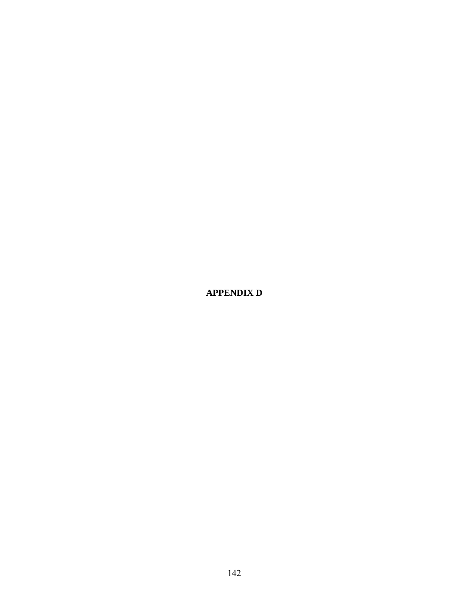**APPENDIX D**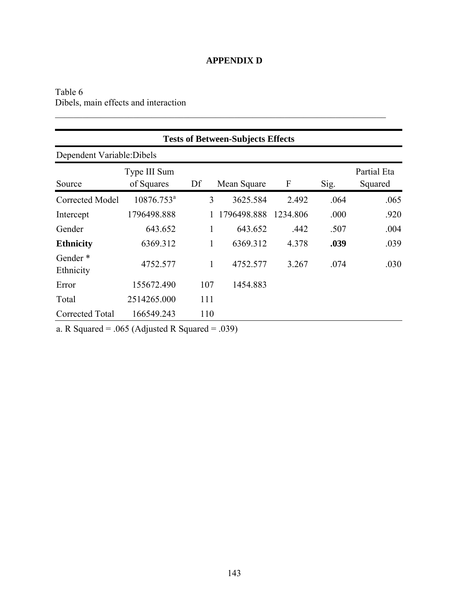## **APPENDIX D**

 $\mathcal{L}_\text{max}$  , and the contribution of the contribution of the contribution of the contribution of the contribution of the contribution of the contribution of the contribution of the contribution of the contribution of t

## Table 6 Dibels, main effects and interaction

| <b>Tests of Between-Subjects Effects</b> |                            |     |             |          |      |                        |  |  |
|------------------------------------------|----------------------------|-----|-------------|----------|------|------------------------|--|--|
| Dependent Variable: Dibels               |                            |     |             |          |      |                        |  |  |
| Source                                   | Type III Sum<br>of Squares | Df  | Mean Square | F        | Sig. | Partial Eta<br>Squared |  |  |
| <b>Corrected Model</b>                   | $10876.753^a$              | 3   | 3625.584    | 2.492    | .064 | .065                   |  |  |
| Intercept                                | 1796498.888                |     | 1796498.888 | 1234.806 | .000 | .920                   |  |  |
| Gender                                   | 643.652                    | 1   | 643.652     | .442     | .507 | .004                   |  |  |
| <b>Ethnicity</b>                         | 6369.312                   | 1   | 6369.312    | 4.378    | .039 | .039                   |  |  |
| Gender*<br>Ethnicity                     | 4752.577                   | 1   | 4752.577    | 3.267    | .074 | .030                   |  |  |
| Error                                    | 155672.490                 | 107 | 1454.883    |          |      |                        |  |  |
| Total                                    | 2514265.000                | 111 |             |          |      |                        |  |  |
| Corrected Total                          | 166549.243                 | 110 |             |          |      |                        |  |  |

a. R Squared = .065 (Adjusted R Squared = .039)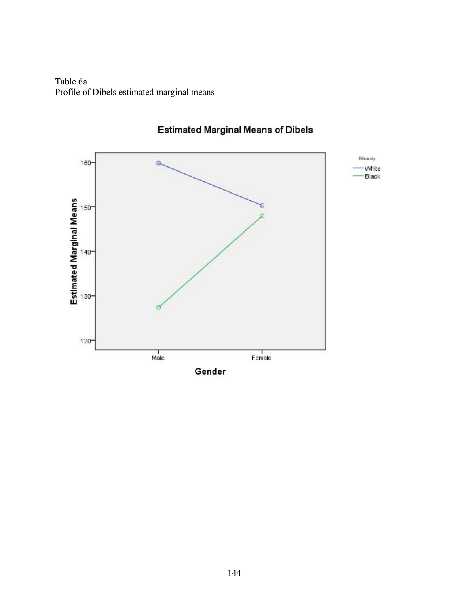Table 6a Profile of Dibels estimated marginal means



# **Estimated Marginal Means of Dibels**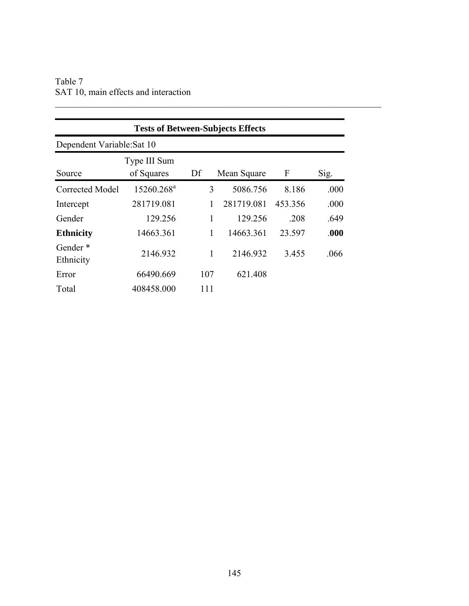| Table 7 |  |                                      |  |  |
|---------|--|--------------------------------------|--|--|
|         |  | SAT 10, main effects and interaction |  |  |

| <b>Tests of Between-Subjects Effects</b> |                            |     |             |         |      |  |  |  |  |
|------------------------------------------|----------------------------|-----|-------------|---------|------|--|--|--|--|
| Dependent Variable: Sat 10               |                            |     |             |         |      |  |  |  |  |
| Source                                   | Type III Sum<br>of Squares | Df  | Mean Square | F       | Sig. |  |  |  |  |
| Corrected Model                          | 15260.268 <sup>a</sup>     | 3   | 5086.756    | 8.186   | .000 |  |  |  |  |
| Intercept                                | 281719.081                 |     | 281719.081  | 453.356 | .000 |  |  |  |  |
| Gender                                   | 129.256                    | 1   | 129.256     | .208    | .649 |  |  |  |  |
| <b>Ethnicity</b>                         | 14663.361                  | 1   | 14663.361   | 23.597  | .000 |  |  |  |  |
| Gender*<br>Ethnicity                     | 2146.932                   | 1   | 2146.932    | 3.455   | .066 |  |  |  |  |
| Error                                    | 66490.669                  | 107 | 621.408     |         |      |  |  |  |  |
| Total                                    | 408458.000                 | 111 |             |         |      |  |  |  |  |

 $\mathcal{L}_\text{max} = \mathcal{L}_\text{max} = \mathcal{L}_\text{max} = \mathcal{L}_\text{max} = \mathcal{L}_\text{max} = \mathcal{L}_\text{max} = \mathcal{L}_\text{max} = \mathcal{L}_\text{max} = \mathcal{L}_\text{max} = \mathcal{L}_\text{max} = \mathcal{L}_\text{max} = \mathcal{L}_\text{max} = \mathcal{L}_\text{max} = \mathcal{L}_\text{max} = \mathcal{L}_\text{max} = \mathcal{L}_\text{max} = \mathcal{L}_\text{max} = \mathcal{L}_\text{max} = \mathcal{$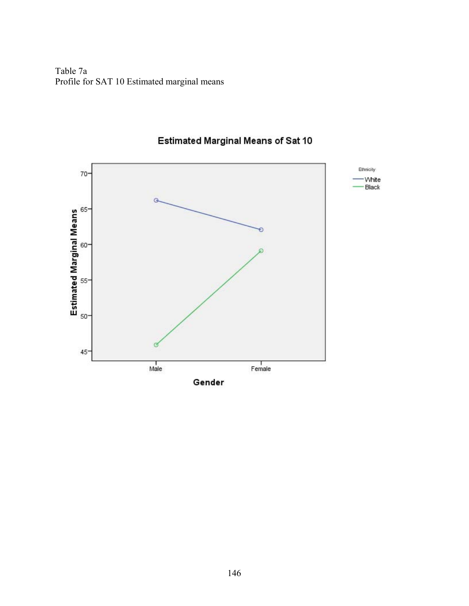Table 7a Profile for SAT 10 Estimated marginal means



# **Estimated Marginal Means of Sat 10**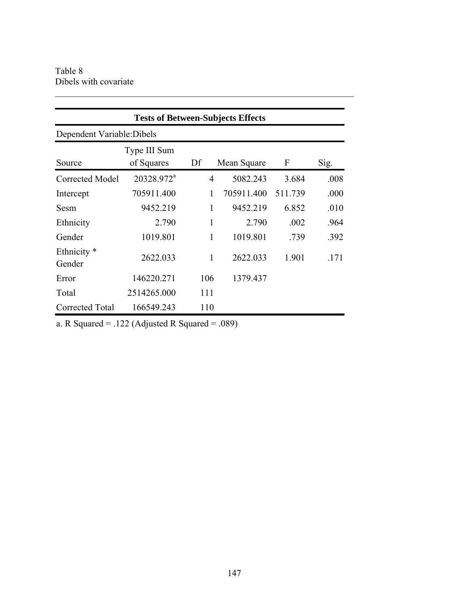| <b>Tests of Between-Subjects Effects</b> |                            |                |             |         |      |  |  |  |  |
|------------------------------------------|----------------------------|----------------|-------------|---------|------|--|--|--|--|
| Dependent Variable: Dibels               |                            |                |             |         |      |  |  |  |  |
| Source                                   | Type III Sum<br>of Squares | Df             | Mean Square | F       | Sig. |  |  |  |  |
| Corrected Model                          | 20328.972 <sup>a</sup>     | $\overline{4}$ | 5082.243    | 3.684   | .008 |  |  |  |  |
| Intercept                                | 705911.400                 | 1              | 705911.400  | 511.739 | .000 |  |  |  |  |
| Sesm                                     | 9452.219                   | $\mathbf{1}$   | 9452.219    | 6.852   | .010 |  |  |  |  |
| Ethnicity                                | 2.790                      | 1              | 2.790       | .002    | .964 |  |  |  |  |
| Gender                                   | 1019.801                   | $\mathbf{1}$   | 1019.801    | .739    | .392 |  |  |  |  |
| Ethnicity <sup>*</sup><br>Gender         | 2622.033                   | 1              | 2622.033    | 1.901   | .171 |  |  |  |  |
| Error                                    | 146220.271                 | 106            | 1379.437    |         |      |  |  |  |  |
| Total                                    | 2514265.000                | 111            |             |         |      |  |  |  |  |
| Corrected Total                          | 166549.243                 | 110            |             |         |      |  |  |  |  |

 $\_$  , and the set of the set of the set of the set of the set of the set of the set of the set of the set of the set of the set of the set of the set of the set of the set of the set of the set of the set of the set of th

a. R Squared = .122 (Adjusted R Squared = .089)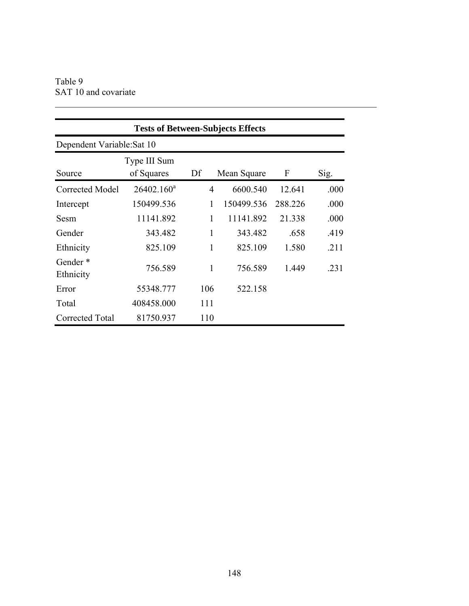Table 9 SAT 10 and covariate

| <b>Tests of Between-Subjects Effects</b> |                            |     |             |         |      |  |  |  |  |
|------------------------------------------|----------------------------|-----|-------------|---------|------|--|--|--|--|
|                                          | Dependent Variable: Sat 10 |     |             |         |      |  |  |  |  |
| Source                                   | Type III Sum<br>of Squares | Df  | Mean Square | F       | Sig. |  |  |  |  |
| Corrected Model                          | $26402.160^a$              | 4   | 6600.540    | 12.641  | .000 |  |  |  |  |
| Intercept                                | 150499.536                 | 1   | 150499.536  | 288.226 | .000 |  |  |  |  |
| Sesm                                     | 11141.892                  | 1   | 11141.892   | 21.338  | .000 |  |  |  |  |
| Gender                                   | 343.482                    | 1   | 343.482     | .658    | .419 |  |  |  |  |
| Ethnicity                                | 825.109                    | 1   | 825.109     | 1.580   | .211 |  |  |  |  |
| Gender*<br>Ethnicity                     | 756.589                    | 1   | 756.589     | 1.449   | .231 |  |  |  |  |
| Error                                    | 55348.777                  | 106 | 522.158     |         |      |  |  |  |  |
| Total                                    | 408458.000                 | 111 |             |         |      |  |  |  |  |
| Corrected Total                          | 81750.937                  | 110 |             |         |      |  |  |  |  |

 $\mathcal{L}_\text{max} = \mathcal{L}_\text{max} = \mathcal{L}_\text{max} = \mathcal{L}_\text{max} = \mathcal{L}_\text{max} = \mathcal{L}_\text{max} = \mathcal{L}_\text{max} = \mathcal{L}_\text{max} = \mathcal{L}_\text{max} = \mathcal{L}_\text{max} = \mathcal{L}_\text{max} = \mathcal{L}_\text{max} = \mathcal{L}_\text{max} = \mathcal{L}_\text{max} = \mathcal{L}_\text{max} = \mathcal{L}_\text{max} = \mathcal{L}_\text{max} = \mathcal{L}_\text{max} = \mathcal{$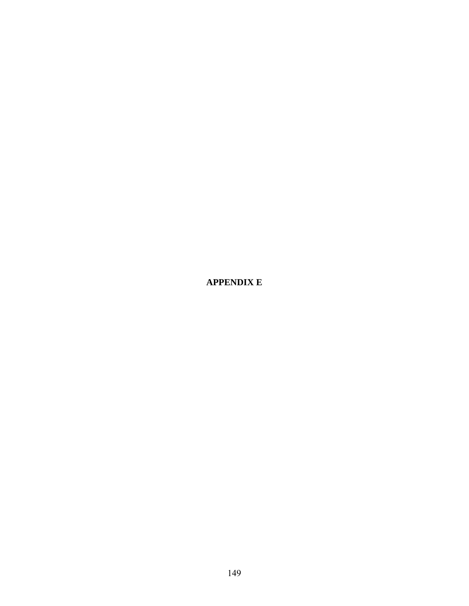**APPENDIX E**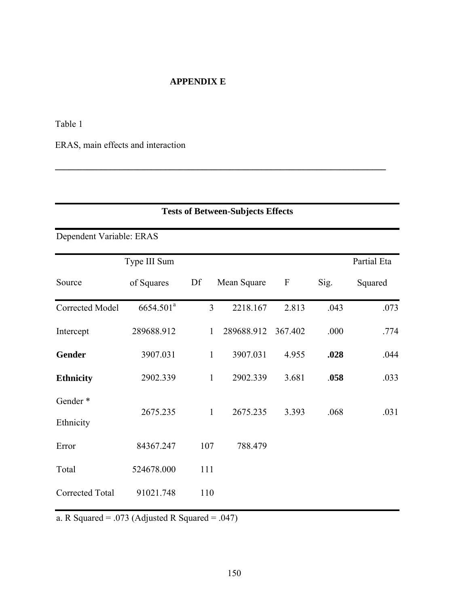## **APPENDIX E**

**\_\_\_\_\_\_\_\_\_\_\_\_\_\_\_\_\_\_\_\_\_\_\_\_\_\_\_\_\_\_\_\_\_\_\_\_\_\_\_\_\_\_\_\_\_\_\_\_\_\_\_\_\_\_\_\_\_\_\_\_\_\_\_\_\_\_\_\_\_\_\_\_**

Table 1

ERAS, main effects and interaction

| <b>Tests of Between-Subjects Effects</b> |                       |                |             |                  |      |             |  |  |
|------------------------------------------|-----------------------|----------------|-------------|------------------|------|-------------|--|--|
| Dependent Variable: ERAS                 |                       |                |             |                  |      |             |  |  |
|                                          | Type III Sum          |                |             |                  |      | Partial Eta |  |  |
| Source                                   | of Squares            | Df             | Mean Square | $\boldsymbol{F}$ | Sig. | Squared     |  |  |
| Corrected Model                          | 6654.501 <sup>a</sup> | $\overline{3}$ | 2218.167    | 2.813            | .043 | .073        |  |  |
| Intercept                                | 289688.912            | $\mathbf{1}$   | 289688.912  | 367.402          | .000 | .774        |  |  |
| <b>Gender</b>                            | 3907.031              | $\mathbf{1}$   | 3907.031    | 4.955            | .028 | .044        |  |  |
| <b>Ethnicity</b>                         | 2902.339              | $\mathbf{1}$   | 2902.339    | 3.681            | .058 | .033        |  |  |
| Gender*                                  | 2675.235              | $\mathbf{1}$   | 2675.235    | 3.393            | .068 | .031        |  |  |
| Ethnicity                                |                       |                |             |                  |      |             |  |  |
| Error                                    | 84367.247             | 107            | 788.479     |                  |      |             |  |  |
| Total                                    | 524678.000            | 111            |             |                  |      |             |  |  |
| Corrected Total                          | 91021.748             | 110            |             |                  |      |             |  |  |

a. R Squared = .073 (Adjusted R Squared = .047)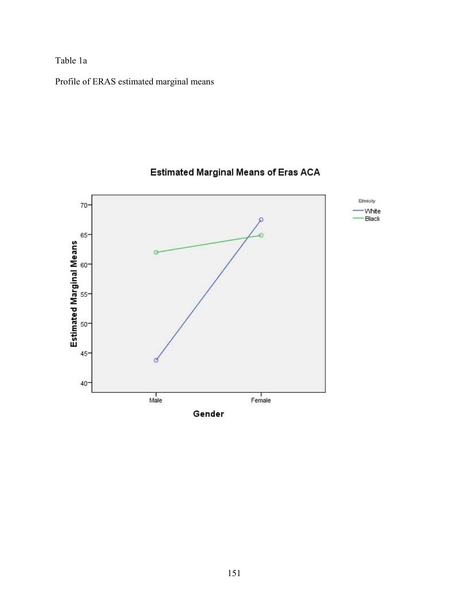Table 1a

Profile of ERAS estimated marginal means



# Estimated Marginal Means of Eras ACA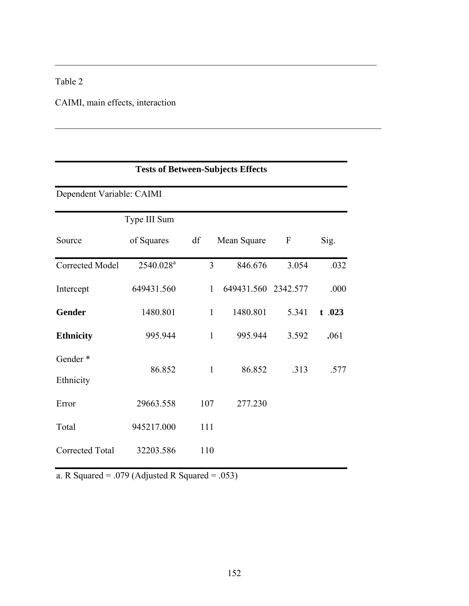# Table 2

CAIMI, main effects, interaction

|                           | <b>Tests of Between-Subjects Effects</b> |              |                     |                  |          |  |  |  |  |
|---------------------------|------------------------------------------|--------------|---------------------|------------------|----------|--|--|--|--|
| Dependent Variable: CAIMI |                                          |              |                     |                  |          |  |  |  |  |
|                           | Type III Sum                             |              |                     |                  |          |  |  |  |  |
| Source                    | of Squares                               | df           | Mean Square         | $\boldsymbol{F}$ | Sig.     |  |  |  |  |
| <b>Corrected Model</b>    | 2540.028 <sup>a</sup>                    | 3            | 846.676             | 3.054            | .032     |  |  |  |  |
| Intercept                 | 649431.560                               | $\mathbf{1}$ | 649431.560 2342.577 |                  | .000     |  |  |  |  |
| <b>Gender</b>             | 1480.801                                 | $\mathbf{1}$ | 1480.801            | 5.341            | $t$ .023 |  |  |  |  |
| <b>Ethnicity</b>          | 995.944                                  | $\mathbf{1}$ | 995.944             | 3.592            | .061     |  |  |  |  |
| Gender <sup>*</sup>       |                                          |              |                     |                  |          |  |  |  |  |
| Ethnicity                 | 86.852                                   | $\mathbf{1}$ | 86.852              | .313             | .577     |  |  |  |  |
| Error                     | 29663.558                                | 107          | 277.230             |                  |          |  |  |  |  |
| Total                     | 945217.000                               | 111          |                     |                  |          |  |  |  |  |
| <b>Corrected Total</b>    | 32203.586                                | 110          |                     |                  |          |  |  |  |  |

 $\_$  , and the contribution of the contribution of  $\mathcal{L}_\mathcal{A}$  , and the contribution of  $\mathcal{L}_\mathcal{A}$ 

 $\_$  , and the contribution of the contribution of  $\mathcal{L}_\mathcal{A}$  , and the contribution of  $\mathcal{L}_\mathcal{A}$ 

a. R Squared = .079 (Adjusted R Squared = .053)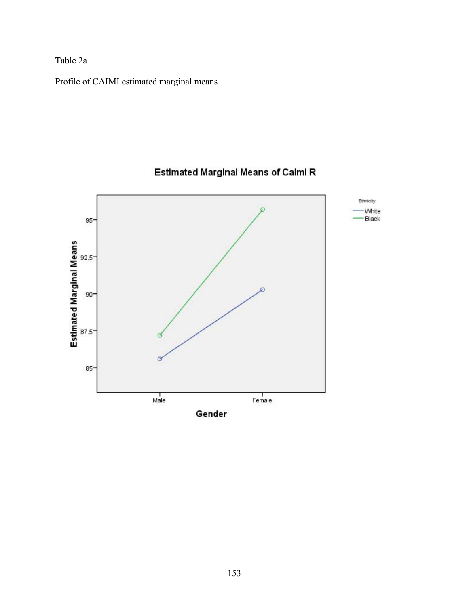Table 2a

Profile of CAIMI estimated marginal means



# Estimated Marginal Means of Caimi R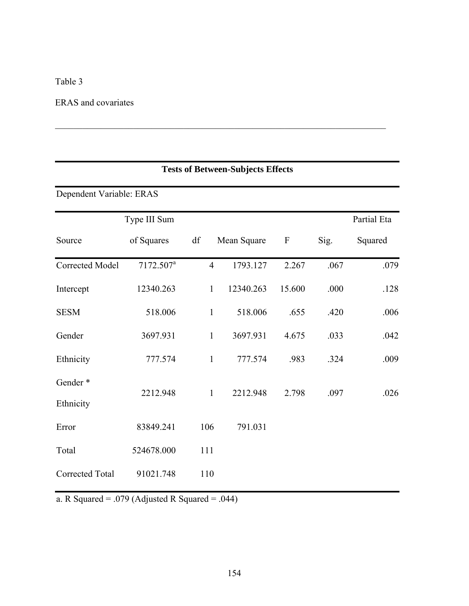## Table 3

# ERAS and covariates

|                          | <b>Tests of Between-Subjects Effects</b> |                |             |                  |      |             |  |  |  |  |  |
|--------------------------|------------------------------------------|----------------|-------------|------------------|------|-------------|--|--|--|--|--|
|                          |                                          |                |             |                  |      |             |  |  |  |  |  |
| Dependent Variable: ERAS |                                          |                |             |                  |      |             |  |  |  |  |  |
|                          | Type III Sum                             |                |             |                  |      | Partial Eta |  |  |  |  |  |
| Source                   | of Squares                               | df             | Mean Square | $\boldsymbol{F}$ | Sig. | Squared     |  |  |  |  |  |
| Corrected Model          | 7172.507 <sup>a</sup>                    | $\overline{4}$ | 1793.127    | 2.267            | .067 | .079        |  |  |  |  |  |
| Intercept                | 12340.263                                | $\mathbf{1}$   | 12340.263   | 15.600           | .000 | .128        |  |  |  |  |  |
| <b>SESM</b>              | 518.006                                  | $\mathbf{1}$   | 518.006     | .655             | .420 | .006        |  |  |  |  |  |
| Gender                   | 3697.931                                 | $\mathbf{1}$   | 3697.931    | 4.675            | .033 | .042        |  |  |  |  |  |
| Ethnicity                | 777.574                                  | $\mathbf{1}$   | 777.574     | .983             | .324 | .009        |  |  |  |  |  |
| Gender*                  |                                          |                |             |                  |      | .026        |  |  |  |  |  |
| Ethnicity                | 2212.948                                 | $\mathbf{1}$   | 2212.948    | 2.798            | .097 |             |  |  |  |  |  |
| Error                    | 83849.241                                | 106            | 791.031     |                  |      |             |  |  |  |  |  |
| Total                    | 524678.000                               | 111            |             |                  |      |             |  |  |  |  |  |
| Corrected Total          | 91021.748                                | 110            |             |                  |      |             |  |  |  |  |  |

 $\_$  , and the contribution of the contribution of  $\mathcal{L}_\mathcal{A}$  , and the contribution of  $\mathcal{L}_\mathcal{A}$ 

a. R Squared = .079 (Adjusted R Squared = .044)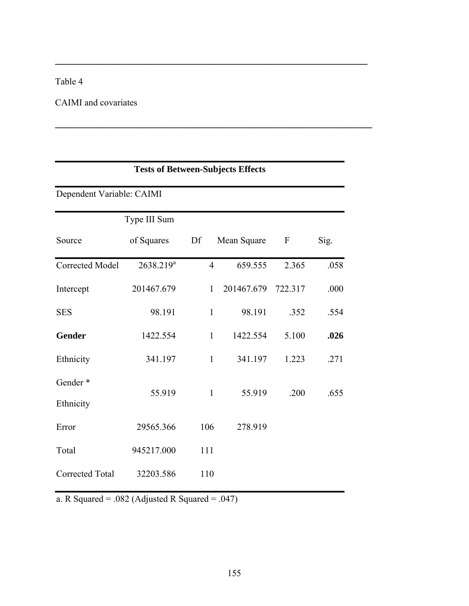# Table 4

# CAIMI and covariates

|                           |                       |                | <b>Tests of Between-Subjects Effects</b> |         |      |  |  |  |  |  |  |
|---------------------------|-----------------------|----------------|------------------------------------------|---------|------|--|--|--|--|--|--|
| Dependent Variable: CAIMI |                       |                |                                          |         |      |  |  |  |  |  |  |
|                           | Type III Sum          |                |                                          |         |      |  |  |  |  |  |  |
| Source                    | of Squares            | Df             | Mean Square                              | F       | Sig. |  |  |  |  |  |  |
| Corrected Model           | 2638.219 <sup>a</sup> | $\overline{4}$ | 659.555                                  | 2.365   | .058 |  |  |  |  |  |  |
| Intercept                 | 201467.679            | 1              | 201467.679                               | 722.317 | .000 |  |  |  |  |  |  |
| <b>SES</b>                | 98.191                | $\mathbf{1}$   | 98.191                                   | .352    | .554 |  |  |  |  |  |  |
| <b>Gender</b>             | 1422.554              | $\mathbf{1}$   | 1422.554                                 | 5.100   | .026 |  |  |  |  |  |  |
| Ethnicity                 | 341.197               | $\mathbf{1}$   | 341.197                                  | 1.223   | .271 |  |  |  |  |  |  |
| Gender <sup>*</sup>       |                       |                |                                          |         |      |  |  |  |  |  |  |
| Ethnicity                 | 55.919                | $\mathbf{1}$   | 55.919                                   | .200    | .655 |  |  |  |  |  |  |
| Error                     | 29565.366             | 106            | 278.919                                  |         |      |  |  |  |  |  |  |
| Total                     | 945217.000            | 111            |                                          |         |      |  |  |  |  |  |  |
| Corrected Total           | 32203.586             | 110            |                                          |         |      |  |  |  |  |  |  |

**\_\_\_\_\_\_\_\_\_\_\_\_\_\_\_\_\_\_\_\_\_\_\_\_\_\_\_\_\_\_\_\_\_\_\_\_\_\_\_\_\_\_\_\_\_\_\_\_\_\_\_\_\_\_\_\_\_\_\_\_\_\_\_\_\_\_\_\_** 

**\_\_\_\_\_\_\_\_\_\_\_\_\_\_\_\_\_\_\_\_\_\_\_\_\_\_\_\_\_\_\_\_\_\_\_\_\_\_\_\_\_\_\_\_\_\_\_\_\_\_\_\_\_\_\_\_\_\_\_\_\_\_\_\_\_\_\_\_\_** 

a. R Squared = .082 (Adjusted R Squared = .047)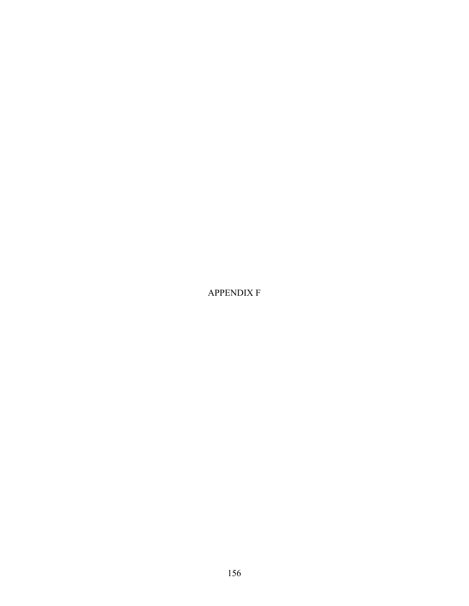APPENDIX F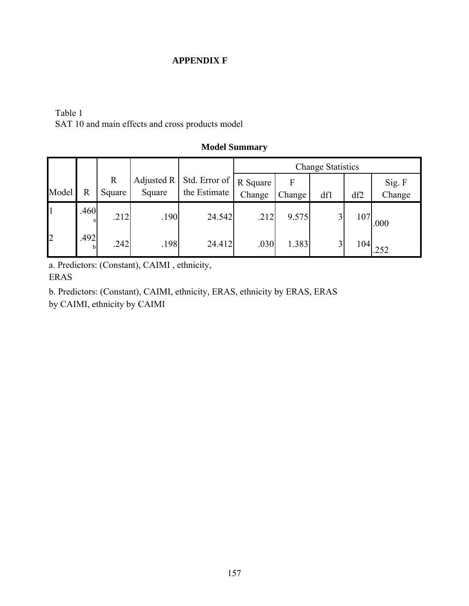#### **APPENDIX F**

### Table 1 SAT 10 and main effects and cross products model

|                |                      |              |            |                            |        |        | <b>Change Statistics</b> |     |        |
|----------------|----------------------|--------------|------------|----------------------------|--------|--------|--------------------------|-----|--------|
|                |                      | $\mathbb{R}$ | Adjusted R | Std. Error of   R Square ' |        | F      |                          |     | Sig. F |
| Model          | R                    | Square       | Square     | the Estimate               | Change | Change | df1                      | df2 | Change |
|                | .460                 | .212         | .190       | 24.542                     | .212   | 9.575  | 3                        | 107 | .000   |
| $\overline{2}$ | .492<br><sub>b</sub> | .242         | .198       | 24.412                     | .030   | 1.383  | 3                        | 104 | .252   |

### **Model Summary**

a. Predictors: (Constant), CAIMI , ethnicity, ERAS

b. Predictors: (Constant), CAIMI, ethnicity, ERAS, ethnicity by ERAS, ERAS by CAIMI, ethnicity by CAIMI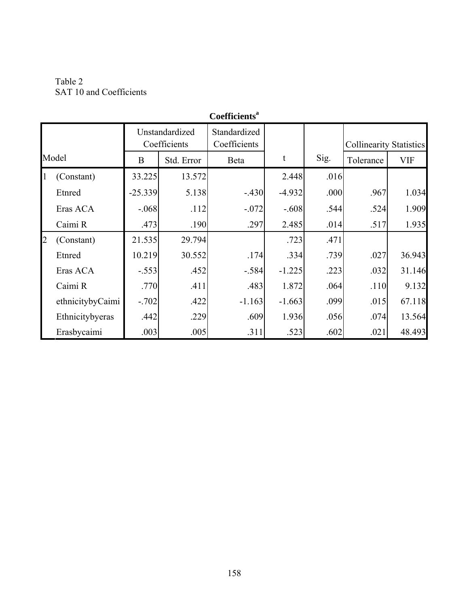Table 2 SAT 10 and Coefficients

|                | Coemicients      |                                |            |                              |          |      |                                |            |  |  |  |
|----------------|------------------|--------------------------------|------------|------------------------------|----------|------|--------------------------------|------------|--|--|--|
|                |                  | Unstandardized<br>Coefficients |            | Standardized<br>Coefficients |          |      | <b>Collinearity Statistics</b> |            |  |  |  |
|                | Model            | B                              | Std. Error | Beta                         | t        | Sig. | Tolerance                      | <b>VIF</b> |  |  |  |
| 11             | (Constant)       | 33.225                         | 13.572     |                              | 2.448    | .016 |                                |            |  |  |  |
|                | Etnred           | $-25.339$                      | 5.138      | $-.430$                      | $-4.932$ | .000 | .967                           | 1.034      |  |  |  |
|                | Eras ACA         | $-.068$                        | .112       | $-.072$                      | $-.608$  | .544 | .524                           | 1.909      |  |  |  |
|                | Caimi R          | .473                           | .190       | .297                         | 2.485    | .014 | .517                           | 1.935      |  |  |  |
| $\overline{2}$ | (Constant)       | 21.535                         | 29.794     |                              | .723     | .471 |                                |            |  |  |  |
|                | Etnred           | 10.219                         | 30.552     | .174                         | .334     | .739 | .027                           | 36.943     |  |  |  |
|                | Eras ACA         | $-.553$                        | .452       | $-.584$                      | $-1.225$ | .223 | .032                           | 31.146     |  |  |  |
|                | Caimi R          | .770                           | .411       | .483                         | 1.872    | .064 | .110                           | 9.132      |  |  |  |
|                | ethnicitybyCaimi | $-.702$                        | .422       | $-1.163$                     | $-1.663$ | .099 | .015                           | 67.118     |  |  |  |
|                | Ethnicitybyeras  | .442                           | .229       | .609                         | 1.936    | .056 | .074                           | 13.564     |  |  |  |
|                | Erasbycaimi      | .003                           | .005       | .311                         | .523     | .602 | .021                           | 48.493     |  |  |  |

# **Coefficientsa**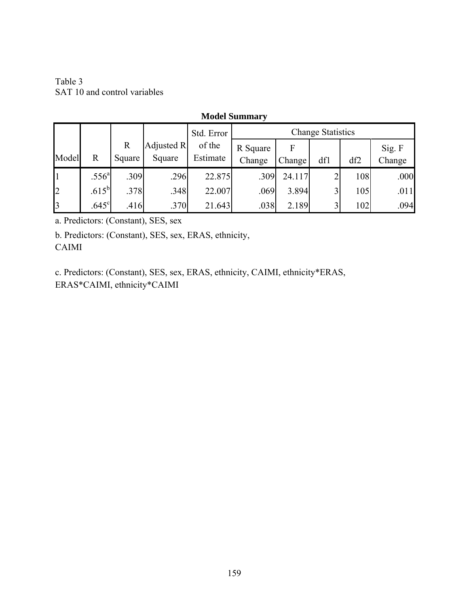Table 3 SAT 10 and control variables

### **Model Summary**

|                |                   |             |            | Std. Error |          |                     |             |     |        |
|----------------|-------------------|-------------|------------|------------|----------|---------------------|-------------|-----|--------|
|                |                   | $\mathbf R$ | Adjusted R | of the     | R Square |                     |             |     | Sig. F |
| Model          | R                 | Square      | Square     | Estimate   | Change   | Change <sup>1</sup> | df1         | df2 | Change |
| $\overline{1}$ | .556 <sup>a</sup> | .309        | .296       | 22.875     | .309     | 24.117              |             | 108 | .000   |
| $\overline{2}$ | $.615^{\rm b}$    | .378        | .348       | 22.007     | .069     | 3.894               | $\mathbf 3$ | 105 | .011   |
| $\mathsf{B}$   | .645 <sup>c</sup> | .416        | .370       | 21.643     | .038     | 2.189               | 3           | 102 | .094   |

a. Predictors: (Constant), SES, sex

b. Predictors: (Constant), SES, sex, ERAS, ethnicity, CAIMI

c. Predictors: (Constant), SES, sex, ERAS, ethnicity, CAIMI, ethnicity\*ERAS, ERAS\*CAIMI, ethnicity\*CAIMI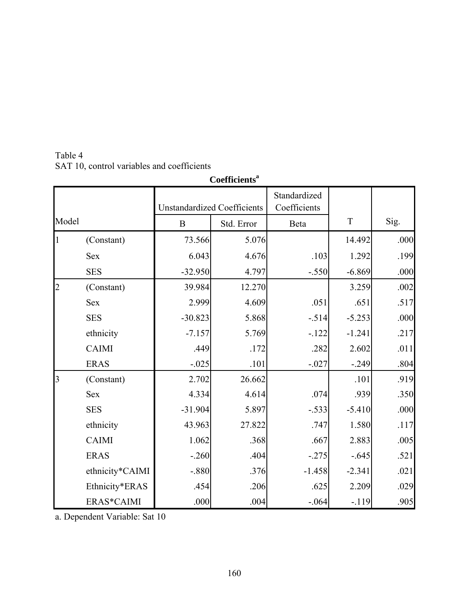| Table 4                                    |
|--------------------------------------------|
| SAT 10, control variables and coefficients |

|                |                 |                                    | Coefficients <sup>a</sup> |                              |          |      |
|----------------|-----------------|------------------------------------|---------------------------|------------------------------|----------|------|
|                |                 | <b>Unstandardized Coefficients</b> |                           | Standardized<br>Coefficients |          |      |
| Model          |                 | $\overline{B}$                     | Std. Error                | Beta                         | T        | Sig. |
|                | (Constant)      | 73.566                             | 5.076                     |                              | 14.492   | .000 |
|                | <b>Sex</b>      | 6.043                              | 4.676                     | .103                         | 1.292    | .199 |
|                | <b>SES</b>      | $-32.950$                          | 4.797                     | $-.550$                      | $-6.869$ | .000 |
| $\overline{2}$ | (Constant)      | 39.984                             | 12.270                    |                              | 3.259    | .002 |
|                | <b>Sex</b>      | 2.999                              | 4.609                     | .051                         | .651     | .517 |
|                | <b>SES</b>      | $-30.823$                          | 5.868                     | $-.514$                      | $-5.253$ | .000 |
|                | ethnicity       | $-7.157$                           | 5.769                     | $-122$                       | $-1.241$ | .217 |
|                | <b>CAIMI</b>    | .449                               | .172                      | .282                         | 2.602    | .011 |
|                | <b>ERAS</b>     | $-.025$                            | .101                      | $-.027$                      | $-.249$  | .804 |
| $\overline{3}$ | (Constant)      | 2.702                              | 26.662                    |                              | .101     | .919 |
|                | <b>Sex</b>      | 4.334                              | 4.614                     | .074                         | .939     | .350 |
|                | <b>SES</b>      | $-31.904$                          | 5.897                     | $-.533$                      | $-5.410$ | .000 |
|                | ethnicity       | 43.963                             | 27.822                    | .747                         | 1.580    | .117 |
|                | <b>CAIMI</b>    | 1.062                              | .368                      | .667                         | 2.883    | .005 |
|                | <b>ERAS</b>     | $-.260$                            | .404                      | $-.275$                      | $-.645$  | .521 |
|                | ethnicity*CAIMI | $-.880$                            | .376                      | $-1.458$                     | $-2.341$ | .021 |
|                | Ethnicity*ERAS  | .454                               | .206                      | .625                         | 2.209    | .029 |
|                | ERAS*CAIMI      | .000                               | .004                      | $-.064$                      | $-119$   | .905 |

a. Dependent Variable: Sat 10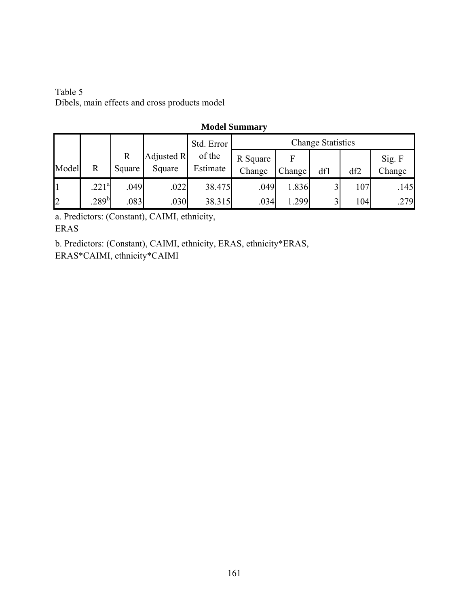Table 5 Dibels, main effects and cross products model

### **Model Summary**

|                |                         |              |                   | Std. Error | <b>Change Statistics</b> |        |              |     |        |  |
|----------------|-------------------------|--------------|-------------------|------------|--------------------------|--------|--------------|-----|--------|--|
|                |                         | $\mathbb{R}$ | <b>Adjusted R</b> | of the     | R Square                 |        |              |     | Sig. F |  |
| Model          | $\overline{\mathrm{R}}$ | Square       | Square            | Estimate   | Change                   | Change | df1          | df2 | Change |  |
|                | 221 <sup>a</sup>        | .049         | .022              | 38.475     | .049                     | 1.836  | $\mathbf{R}$ | 107 | .145   |  |
| $\overline{2}$ | $289^{\rm b}$           | .083         | .030              | 38.315     | .034                     | 1.299  | $\mathbf 3$  | 104 | .279   |  |

a. Predictors: (Constant), CAIMI, ethnicity, ERAS

b. Predictors: (Constant), CAIMI, ethnicity, ERAS, ethnicity\*ERAS,

ERAS\*CAIMI, ethnicity\*CAIMI